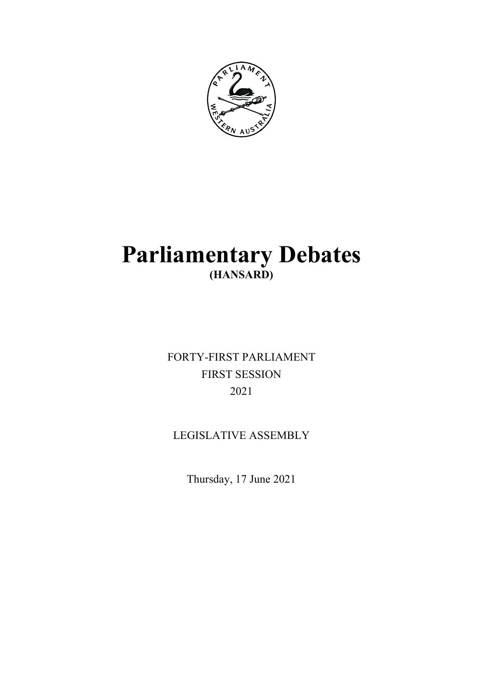

# **Parliamentary Debates (HANSARD)**

FORTY-FIRST PARLIAMENT FIRST SESSION 2021

# LEGISLATIVE ASSEMBLY

Thursday, 17 June 2021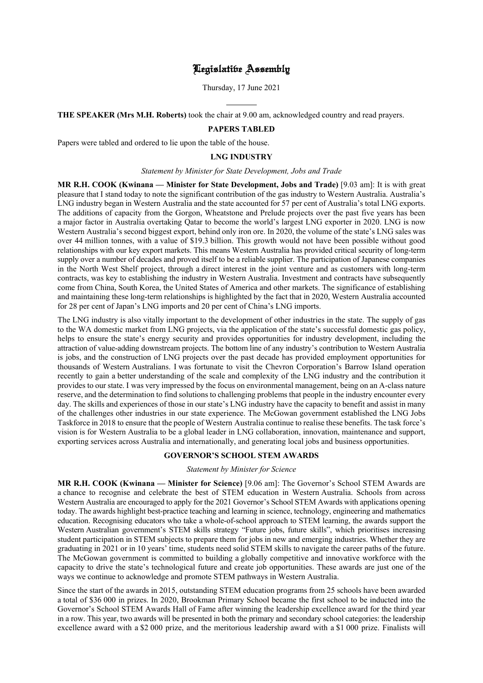# Legislative Assembly

Thursday, 17 June 2021

**THE SPEAKER (Mrs M.H. Roberts)** took the chair at 9.00 am, acknowledged country and read prayers.

l

#### **PAPERS TABLED**

Papers were tabled and ordered to lie upon the table of the house.

#### **LNG INDUSTRY**

#### *Statement by Minister for State Development, Jobs and Trade*

**MR R.H. COOK (Kwinana — Minister for State Development, Jobs and Trade)** [9.03 am]: It is with great pleasure that I stand today to note the significant contribution of the gas industry to Western Australia. Australia's LNG industry began in Western Australia and the state accounted for 57 per cent of Australia's total LNG exports. The additions of capacity from the Gorgon, Wheatstone and Prelude projects over the past five years has been a major factor in Australia overtaking Qatar to become the world's largest LNG exporter in 2020. LNG is now Western Australia's second biggest export, behind only iron ore. In 2020, the volume of the state's LNG sales was over 44 million tonnes, with a value of \$19.3 billion. This growth would not have been possible without good relationships with our key export markets. This means Western Australia has provided critical security of long-term supply over a number of decades and proved itself to be a reliable supplier. The participation of Japanese companies in the North West Shelf project, through a direct interest in the joint venture and as customers with long-term contracts, was key to establishing the industry in Western Australia. Investment and contracts have subsequently come from China, South Korea, the United States of America and other markets. The significance of establishing and maintaining these long-term relationships is highlighted by the fact that in 2020, Western Australia accounted for 28 per cent of Japan's LNG imports and 20 per cent of China's LNG imports.

The LNG industry is also vitally important to the development of other industries in the state. The supply of gas to the WA domestic market from LNG projects, via the application of the state's successful domestic gas policy, helps to ensure the state's energy security and provides opportunities for industry development, including the attraction of value-adding downstream projects. The bottom line of any industry's contribution to Western Australia is jobs, and the construction of LNG projects over the past decade has provided employment opportunities for thousands of Western Australians. I was fortunate to visit the Chevron Corporation's Barrow Island operation recently to gain a better understanding of the scale and complexity of the LNG industry and the contribution it provides to our state. I was very impressed by the focus on environmental management, being on an A-class nature reserve, and the determination to find solutions to challenging problems that people in the industry encounter every day. The skills and experiences of those in our state's LNG industry have the capacity to benefit and assist in many of the challenges other industries in our state experience. The McGowan government established the LNG Jobs Taskforce in 2018 to ensure that the people of Western Australia continue to realise these benefits. The task force's vision is for Western Australia to be a global leader in LNG collaboration, innovation, maintenance and support, exporting services across Australia and internationally, and generating local jobs and business opportunities.

#### **GOVERNOR'S SCHOOL STEM AWARDS**

#### *Statement by Minister for Science*

**MR R.H. COOK (Kwinana — Minister for Science)** [9.06 am]: The Governor's School STEM Awards are a chance to recognise and celebrate the best of STEM education in Western Australia. Schools from across Western Australia are encouraged to apply for the 2021 Governor's School STEM Awards with applications opening today. The awards highlight best-practice teaching and learning in science, technology, engineering and mathematics education. Recognising educators who take a whole-of-school approach to STEM learning, the awards support the Western Australian government's STEM skills strategy "Future jobs, future skills", which prioritises increasing student participation in STEM subjects to prepare them for jobs in new and emerging industries. Whether they are graduating in 2021 or in 10 years' time, students need solid STEM skills to navigate the career paths of the future. The McGowan government is committed to building a globally competitive and innovative workforce with the capacity to drive the state's technological future and create job opportunities. These awards are just one of the ways we continue to acknowledge and promote STEM pathways in Western Australia.

Since the start of the awards in 2015, outstanding STEM education programs from 25 schools have been awarded a total of \$36 000 in prizes. In 2020, Brookman Primary School became the first school to be inducted into the Governor's School STEM Awards Hall of Fame after winning the leadership excellence award for the third year in a row. This year, two awards will be presented in both the primary and secondary school categories: the leadership excellence award with a \$2 000 prize, and the meritorious leadership award with a \$1 000 prize. Finalists will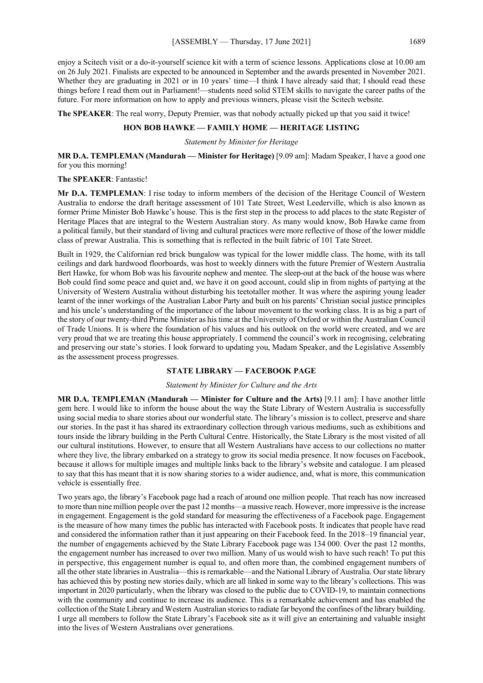enjoy a Scitech visit or a do-it-yourself science kit with a term of science lessons. Applications close at 10.00 am on 26 July 2021. Finalists are expected to be announced in September and the awards presented in November 2021. Whether they are graduating in 2021 or in 10 years' time—I think I have already said that; I should read these things before I read them out in Parliament!—students need solid STEM skills to navigate the career paths of the future. For more information on how to apply and previous winners, please visit the Scitech website.

**The SPEAKER**: The real worry, Deputy Premier, was that nobody actually picked up that you said it twice!

# **HON BOB HAWKE — FAMILY HOME — HERITAGE LISTING**

*Statement by Minister for Heritage*

**MR D.A. TEMPLEMAN (Mandurah — Minister for Heritage)** [9.09 am]: Madam Speaker, I have a good one for you this morning!

#### **The SPEAKER**: Fantastic!

**Mr D.A. TEMPLEMAN**: I rise today to inform members of the decision of the Heritage Council of Western Australia to endorse the draft heritage assessment of 101 Tate Street, West Leederville, which is also known as former Prime Minister Bob Hawke's house. This is the first step in the process to add places to the state Register of Heritage Places that are integral to the Western Australian story. As many would know, Bob Hawke came from a political family, but their standard of living and cultural practices were more reflective of those of the lower middle class of prewar Australia. This is something that is reflected in the built fabric of 101 Tate Street.

Built in 1929, the Californian red brick bungalow was typical for the lower middle class. The home, with its tall ceilings and dark hardwood floorboards, was host to weekly dinners with the future Premier of Western Australia Bert Hawke, for whom Bob was his favourite nephew and mentee. The sleep-out at the back of the house was where Bob could find some peace and quiet and, we have it on good account, could slip in from nights of partying at the University of Western Australia without disturbing his teetotaller mother. It was where the aspiring young leader learnt of the inner workings of the Australian Labor Party and built on his parents' Christian social justice principles and his uncle's understanding of the importance of the labour movement to the working class. It is as big a part of the story of our twenty-third Prime Minister as his time at the University of Oxford or within the Australian Council of Trade Unions. It is where the foundation of his values and his outlook on the world were created, and we are very proud that we are treating this house appropriately. I commend the council's work in recognising, celebrating and preserving our state's stories. I look forward to updating you, Madam Speaker, and the Legislative Assembly as the assessment process progresses.

#### **STATE LIBRARY — FACEBOOK PAGE**

#### *Statement by Minister for Culture and the Arts*

**MR D.A. TEMPLEMAN (Mandurah — Minister for Culture and the Arts)** [9.11 am]: I have another little gem here. I would like to inform the house about the way the State Library of Western Australia is successfully using social media to share stories about our wonderful state. The library's mission is to collect, preserve and share our stories. In the past it has shared its extraordinary collection through various mediums, such as exhibitions and tours inside the library building in the Perth Cultural Centre. Historically, the State Library is the most visited of all our cultural institutions. However, to ensure that all Western Australians have access to our collections no matter where they live, the library embarked on a strategy to grow its social media presence. It now focuses on Facebook, because it allows for multiple images and multiple links back to the library's website and catalogue. I am pleased to say that this has meant that it is now sharing stories to a wider audience, and, what is more, this communication vehicle is essentially free.

Two years ago, the library's Facebook page had a reach of around one million people. That reach has now increased to more than nine million people over the past 12 months—a massive reach. However, more impressive is the increase in engagement. Engagement is the gold standard for measuring the effectiveness of a Facebook page. Engagement is the measure of how many times the public has interacted with Facebook posts. It indicates that people have read and considered the information rather than it just appearing on their Facebook feed. In the 2018–19 financial year, the number of engagements achieved by the State Library Facebook page was 134 000. Over the past 12 months, the engagement number has increased to over two million. Many of us would wish to have such reach! To put this in perspective, this engagement number is equal to, and often more than, the combined engagement numbers of all the other state libraries in Australia—this is remarkable—and the National Library of Australia. Our state library has achieved this by posting new stories daily, which are all linked in some way to the library's collections. This was important in 2020 particularly, when the library was closed to the public due to COVID-19, to maintain connections with the community and continue to increase its audience. This is a remarkable achievement and has enabled the collection of the State Library and Western Australian stories to radiate far beyond the confines of the library building. I urge all members to follow the State Library's Facebook site as it will give an entertaining and valuable insight into the lives of Western Australians over generations.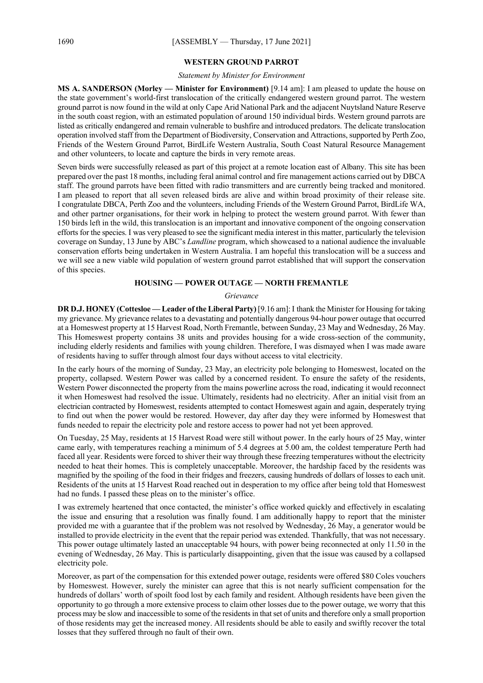#### **WESTERN GROUND PARROT**

#### *Statement by Minister for Environment*

**MS A. SANDERSON (Morley — Minister for Environment)** [9.14 am]: I am pleased to update the house on the state government's world-first translocation of the critically endangered western ground parrot. The western ground parrot is now found in the wild at only Cape Arid National Park and the adjacent Nuytsland Nature Reserve in the south coast region, with an estimated population of around 150 individual birds. Western ground parrots are listed as critically endangered and remain vulnerable to bushfire and introduced predators. The delicate translocation operation involved staff from the Department of Biodiversity, Conservation and Attractions, supported by Perth Zoo, Friends of the Western Ground Parrot, BirdLife Western Australia, South Coast Natural Resource Management and other volunteers, to locate and capture the birds in very remote areas.

Seven birds were successfully released as part of this project at a remote location east of Albany. This site has been prepared over the past 18 months, including feral animal control and fire management actions carried out by DBCA staff. The ground parrots have been fitted with radio transmitters and are currently being tracked and monitored. I am pleased to report that all seven released birds are alive and within broad proximity of their release site. I congratulate DBCA, Perth Zoo and the volunteers, including Friends of the Western Ground Parrot, BirdLife WA, and other partner organisations, for their work in helping to protect the western ground parrot. With fewer than 150 birds left in the wild, this translocation is an important and innovative component of the ongoing conservation efforts for the species. I was very pleased to see the significant media interest in this matter, particularly the television coverage on Sunday, 13 June by ABC's *Landline* program, which showcased to a national audience the invaluable conservation efforts being undertaken in Western Australia. I am hopeful this translocation will be a success and we will see a new viable wild population of western ground parrot established that will support the conservation of this species.

# **HOUSING — POWER OUTAGE — NORTH FREMANTLE**

#### *Grievance*

**DR D.J. HONEY (Cottesloe — Leader of the Liberal Party)** [9.16 am]: I thank the Minister for Housing for taking my grievance. My grievance relates to a devastating and potentially dangerous 94-hour power outage that occurred at a Homeswest property at 15 Harvest Road, North Fremantle, between Sunday, 23 May and Wednesday, 26 May. This Homeswest property contains 38 units and provides housing for a wide cross-section of the community, including elderly residents and families with young children. Therefore, I was dismayed when I was made aware of residents having to suffer through almost four days without access to vital electricity.

In the early hours of the morning of Sunday, 23 May, an electricity pole belonging to Homeswest, located on the property, collapsed. Western Power was called by a concerned resident. To ensure the safety of the residents, Western Power disconnected the property from the mains powerline across the road, indicating it would reconnect it when Homeswest had resolved the issue. Ultimately, residents had no electricity. After an initial visit from an electrician contracted by Homeswest, residents attempted to contact Homeswest again and again, desperately trying to find out when the power would be restored. However, day after day they were informed by Homeswest that funds needed to repair the electricity pole and restore access to power had not yet been approved.

On Tuesday, 25 May, residents at 15 Harvest Road were still without power. In the early hours of 25 May, winter came early, with temperatures reaching a minimum of 5.4 degrees at 5.00 am, the coldest temperature Perth had faced all year. Residents were forced to shiver their way through these freezing temperatures without the electricity needed to heat their homes. This is completely unacceptable. Moreover, the hardship faced by the residents was magnified by the spoiling of the food in their fridges and freezers, causing hundreds of dollars of losses to each unit. Residents of the units at 15 Harvest Road reached out in desperation to my office after being told that Homeswest had no funds. I passed these pleas on to the minister's office.

I was extremely heartened that once contacted, the minister's office worked quickly and effectively in escalating the issue and ensuring that a resolution was finally found. I am additionally happy to report that the minister provided me with a guarantee that if the problem was not resolved by Wednesday, 26 May, a generator would be installed to provide electricity in the event that the repair period was extended. Thankfully, that was not necessary. This power outage ultimately lasted an unacceptable 94 hours, with power being reconnected at only 11.50 in the evening of Wednesday, 26 May. This is particularly disappointing, given that the issue was caused by a collapsed electricity pole.

Moreover, as part of the compensation for this extended power outage, residents were offered \$80 Coles vouchers by Homeswest. However, surely the minister can agree that this is not nearly sufficient compensation for the hundreds of dollars' worth of spoilt food lost by each family and resident. Although residents have been given the opportunity to go through a more extensive process to claim other losses due to the power outage, we worry that this process may be slow and inaccessible to some of the residents in that set of units and therefore only a small proportion of those residents may get the increased money. All residents should be able to easily and swiftly recover the total losses that they suffered through no fault of their own.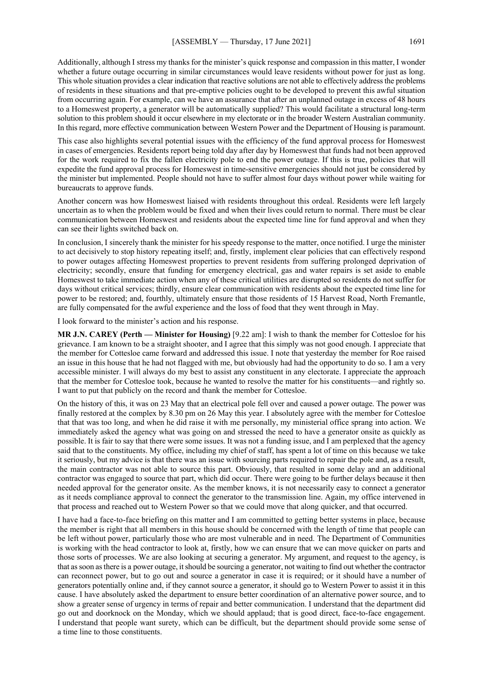Additionally, although I stress my thanks for the minister's quick response and compassion in this matter, I wonder whether a future outage occurring in similar circumstances would leave residents without power for just as long. This whole situation provides a clear indication that reactive solutions are not able to effectively address the problems of residents in these situations and that pre-emptive policies ought to be developed to prevent this awful situation from occurring again. For example, can we have an assurance that after an unplanned outage in excess of 48 hours to a Homeswest property, a generator will be automatically supplied? This would facilitate a structural long-term solution to this problem should it occur elsewhere in my electorate or in the broader Western Australian community. In this regard, more effective communication between Western Power and the Department of Housing is paramount.

This case also highlights several potential issues with the efficiency of the fund approval process for Homeswest in cases of emergencies. Residents report being told day after day by Homeswest that funds had not been approved for the work required to fix the fallen electricity pole to end the power outage. If this is true, policies that will expedite the fund approval process for Homeswest in time-sensitive emergencies should not just be considered by the minister but implemented. People should not have to suffer almost four days without power while waiting for bureaucrats to approve funds.

Another concern was how Homeswest liaised with residents throughout this ordeal. Residents were left largely uncertain as to when the problem would be fixed and when their lives could return to normal. There must be clear communication between Homeswest and residents about the expected time line for fund approval and when they can see their lights switched back on.

In conclusion, I sincerely thank the minister for his speedy response to the matter, once notified. I urge the minister to act decisively to stop history repeating itself; and, firstly, implement clear policies that can effectively respond to power outages affecting Homeswest properties to prevent residents from suffering prolonged deprivation of electricity; secondly, ensure that funding for emergency electrical, gas and water repairs is set aside to enable Homeswest to take immediate action when any of these critical utilities are disrupted so residents do not suffer for days without critical services; thirdly, ensure clear communication with residents about the expected time line for power to be restored; and, fourthly, ultimately ensure that those residents of 15 Harvest Road, North Fremantle, are fully compensated for the awful experience and the loss of food that they went through in May.

I look forward to the minister's action and his response.

**MR J.N. CAREY (Perth — Minister for Housing)** [9.22 am]: I wish to thank the member for Cottesloe for his grievance. I am known to be a straight shooter, and I agree that this simply was not good enough. I appreciate that the member for Cottesloe came forward and addressed this issue. I note that yesterday the member for Roe raised an issue in this house that he had not flagged with me, but obviously had had the opportunity to do so. I am a very accessible minister. I will always do my best to assist any constituent in any electorate. I appreciate the approach that the member for Cottesloe took, because he wanted to resolve the matter for his constituents—and rightly so. I want to put that publicly on the record and thank the member for Cottesloe.

On the history of this, it was on 23 May that an electrical pole fell over and caused a power outage. The power was finally restored at the complex by 8.30 pm on 26 May this year. I absolutely agree with the member for Cottesloe that that was too long, and when he did raise it with me personally, my ministerial office sprang into action. We immediately asked the agency what was going on and stressed the need to have a generator onsite as quickly as possible. It is fair to say that there were some issues. It was not a funding issue, and I am perplexed that the agency said that to the constituents. My office, including my chief of staff, has spent a lot of time on this because we take it seriously, but my advice is that there was an issue with sourcing parts required to repair the pole and, as a result, the main contractor was not able to source this part. Obviously, that resulted in some delay and an additional contractor was engaged to source that part, which did occur. There were going to be further delays because it then needed approval for the generator onsite. As the member knows, it is not necessarily easy to connect a generator as it needs compliance approval to connect the generator to the transmission line. Again, my office intervened in that process and reached out to Western Power so that we could move that along quicker, and that occurred.

I have had a face-to-face briefing on this matter and I am committed to getting better systems in place, because the member is right that all members in this house should be concerned with the length of time that people can be left without power, particularly those who are most vulnerable and in need. The Department of Communities is working with the head contractor to look at, firstly, how we can ensure that we can move quicker on parts and those sorts of processes. We are also looking at securing a generator. My argument, and request to the agency, is that as soon as there is a power outage, it should be sourcing a generator, not waiting to find out whether the contractor can reconnect power, but to go out and source a generator in case it is required; or it should have a number of generators potentially online and, if they cannot source a generator, it should go to Western Power to assist it in this cause. I have absolutely asked the department to ensure better coordination of an alternative power source, and to show a greater sense of urgency in terms of repair and better communication. I understand that the department did go out and doorknock on the Monday, which we should applaud; that is good direct, face-to-face engagement. I understand that people want surety, which can be difficult, but the department should provide some sense of a time line to those constituents.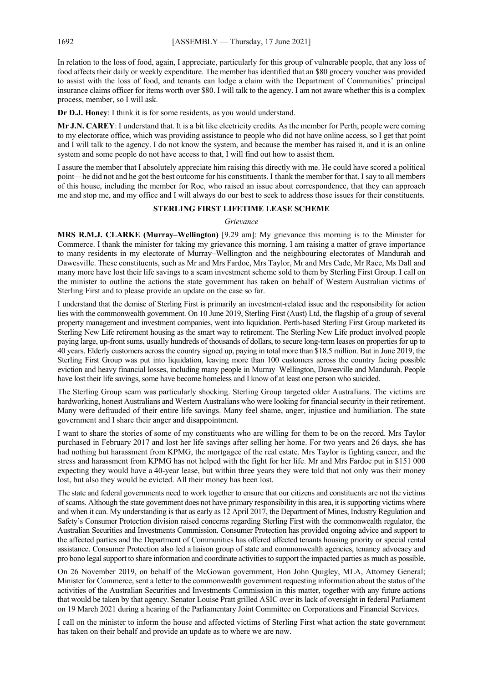In relation to the loss of food, again, I appreciate, particularly for this group of vulnerable people, that any loss of food affects their daily or weekly expenditure. The member has identified that an \$80 grocery voucher was provided to assist with the loss of food, and tenants can lodge a claim with the Department of Communities' principal insurance claims officer for items worth over \$80. I will talk to the agency. I am not aware whether this is a complex process, member, so I will ask.

**Dr D.J. Honey**: I think it is for some residents, as you would understand.

**Mr J.N. CAREY**: I understand that. It is a bit like electricity credits. As the member for Perth, people were coming to my electorate office, which was providing assistance to people who did not have online access, so I get that point and I will talk to the agency. I do not know the system, and because the member has raised it, and it is an online system and some people do not have access to that, I will find out how to assist them.

I assure the member that I absolutely appreciate him raising this directly with me. He could have scored a political point—he did not and he got the best outcome for his constituents. I thank the member for that. I say to all members of this house, including the member for Roe, who raised an issue about correspondence, that they can approach me and stop me, and my office and I will always do our best to seek to address those issues for their constituents.

#### **STERLING FIRST LIFETIME LEASE SCHEME**

#### *Grievance*

**MRS R.M.J. CLARKE (Murray–Wellington)** [9.29 am]: My grievance this morning is to the Minister for Commerce. I thank the minister for taking my grievance this morning. I am raising a matter of grave importance to many residents in my electorate of Murray–Wellington and the neighbouring electorates of Mandurah and Dawesville. These constituents, such as Mr and Mrs Fardoe, Mrs Taylor, Mr and Mrs Cade, Mr Race, Ms Dall and many more have lost their life savings to a scam investment scheme sold to them by Sterling First Group. I call on the minister to outline the actions the state government has taken on behalf of Western Australian victims of Sterling First and to please provide an update on the case so far.

I understand that the demise of Sterling First is primarily an investment-related issue and the responsibility for action lies with the commonwealth government. On 10 June 2019, Sterling First (Aust) Ltd, the flagship of a group of several property management and investment companies, went into liquidation. Perth-based Sterling First Group marketed its Sterling New Life retirement housing as the smart way to retirement. The Sterling New Life product involved people paying large, up-front sums, usually hundreds of thousands of dollars, to secure long-term leases on properties for up to 40 years. Elderly customers across the country signed up, paying in total more than \$18.5 million. But in June 2019, the Sterling First Group was put into liquidation, leaving more than 100 customers across the country facing possible eviction and heavy financial losses, including many people in Murray–Wellington, Dawesville and Mandurah. People have lost their life savings, some have become homeless and I know of at least one person who suicided.

The Sterling Group scam was particularly shocking. Sterling Group targeted older Australians. The victims are hardworking, honest Australians and Western Australians who were looking for financial security in their retirement. Many were defrauded of their entire life savings. Many feel shame, anger, injustice and humiliation. The state government and I share their anger and disappointment.

I want to share the stories of some of my constituents who are willing for them to be on the record. Mrs Taylor purchased in February 2017 and lost her life savings after selling her home. For two years and 26 days, she has had nothing but harassment from KPMG, the mortgagee of the real estate. Mrs Taylor is fighting cancer, and the stress and harassment from KPMG has not helped with the fight for her life. Mr and Mrs Fardoe put in \$151 000 expecting they would have a 40-year lease, but within three years they were told that not only was their money lost, but also they would be evicted. All their money has been lost.

The state and federal governments need to work together to ensure that our citizens and constituents are not the victims of scams. Although the state government does not have primary responsibility in this area, it is supporting victims where and when it can. My understanding is that as early as 12 April 2017, the Department of Mines, Industry Regulation and Safety's Consumer Protection division raised concerns regarding Sterling First with the commonwealth regulator, the Australian Securities and Investments Commission. Consumer Protection has provided ongoing advice and support to the affected parties and the Department of Communities has offered affected tenants housing priority or special rental assistance. Consumer Protection also led a liaison group of state and commonwealth agencies, tenancy advocacy and pro bono legal support to share information and coordinate activities to support the impacted parties as much as possible.

On 26 November 2019, on behalf of the McGowan government, Hon John Quigley, MLA, Attorney General; Minister for Commerce, sent a letter to the commonwealth government requesting information about the status of the activities of the Australian Securities and Investments Commission in this matter, together with any future actions that would be taken by that agency. Senator Louise Pratt grilled ASIC over its lack of oversight in federal Parliament on 19 March 2021 during a hearing of the Parliamentary Joint Committee on Corporations and Financial Services.

I call on the minister to inform the house and affected victims of Sterling First what action the state government has taken on their behalf and provide an update as to where we are now.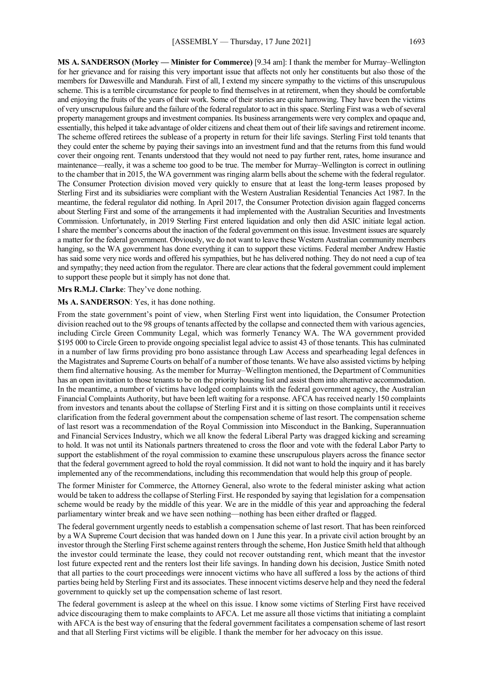**MS A. SANDERSON (Morley — Minister for Commerce)** [9.34 am]: I thank the member for Murray–Wellington for her grievance and for raising this very important issue that affects not only her constituents but also those of the members for Dawesville and Mandurah. First of all, I extend my sincere sympathy to the victims of this unscrupulous scheme. This is a terrible circumstance for people to find themselves in at retirement, when they should be comfortable and enjoying the fruits of the years of their work. Some of their stories are quite harrowing. They have been the victims of very unscrupulous failure and the failure of the federal regulator to act in this space. Sterling First was a web of several property management groups and investment companies. Its business arrangements were very complex and opaque and, essentially, this helped it take advantage of older citizens and cheat them out of their life savings and retirement income. The scheme offered retirees the sublease of a property in return for their life savings. Sterling First told tenants that they could enter the scheme by paying their savings into an investment fund and that the returns from this fund would cover their ongoing rent. Tenants understood that they would not need to pay further rent, rates, home insurance and maintenance—really, it was a scheme too good to be true. The member for Murray–Wellington is correct in outlining to the chamber that in 2015, the WA government was ringing alarm bells about the scheme with the federal regulator. The Consumer Protection division moved very quickly to ensure that at least the long-term leases proposed by Sterling First and its subsidiaries were compliant with the Western Australian Residential Tenancies Act 1987. In the meantime, the federal regulator did nothing. In April 2017, the Consumer Protection division again flagged concerns about Sterling First and some of the arrangements it had implemented with the Australian Securities and Investments Commission. Unfortunately, in 2019 Sterling First entered liquidation and only then did ASIC initiate legal action. I share the member's concerns about the inaction of the federal government on this issue. Investment issues are squarely a matter for the federal government. Obviously, we do not want to leave these Western Australian community members hanging, so the WA government has done everything it can to support these victims. Federal member Andrew Hastie has said some very nice words and offered his sympathies, but he has delivered nothing. They do not need a cup of tea and sympathy; they need action from the regulator. There are clear actions that the federal government could implement to support these people but it simply has not done that.

**Mrs R.M.J. Clarke**: They've done nothing.

#### **Ms A. SANDERSON**: Yes, it has done nothing.

From the state government's point of view, when Sterling First went into liquidation, the Consumer Protection division reached out to the 98 groups of tenants affected by the collapse and connected them with various agencies, including Circle Green Community Legal, which was formerly Tenancy WA. The WA government provided \$195 000 to Circle Green to provide ongoing specialist legal advice to assist 43 of those tenants. This has culminated in a number of law firms providing pro bono assistance through Law Access and spearheading legal defences in the Magistrates and Supreme Courts on behalf of a number of those tenants. We have also assisted victims by helping them find alternative housing. As the member for Murray–Wellington mentioned, the Department of Communities has an open invitation to those tenants to be on the priority housing list and assist them into alternative accommodation. In the meantime, a number of victims have lodged complaints with the federal government agency, the Australian Financial Complaints Authority, but have been left waiting for a response. AFCA has received nearly 150 complaints from investors and tenants about the collapse of Sterling First and it is sitting on those complaints until it receives clarification from the federal government about the compensation scheme of last resort. The compensation scheme of last resort was a recommendation of the Royal Commission into Misconduct in the Banking, Superannuation and Financial Services Industry, which we all know the federal Liberal Party was dragged kicking and screaming to hold. It was not until its Nationals partners threatened to cross the floor and vote with the federal Labor Party to support the establishment of the royal commission to examine these unscrupulous players across the finance sector that the federal government agreed to hold the royal commission. It did not want to hold the inquiry and it has barely implemented any of the recommendations, including this recommendation that would help this group of people.

The former Minister for Commerce, the Attorney General, also wrote to the federal minister asking what action would be taken to address the collapse of Sterling First. He responded by saying that legislation for a compensation scheme would be ready by the middle of this year. We are in the middle of this year and approaching the federal parliamentary winter break and we have seen nothing—nothing has been either drafted or flagged.

The federal government urgently needs to establish a compensation scheme of last resort. That has been reinforced by a WA Supreme Court decision that was handed down on 1 June this year. In a private civil action brought by an investor through the Sterling First scheme against renters through the scheme, Hon Justice Smith held that although the investor could terminate the lease, they could not recover outstanding rent, which meant that the investor lost future expected rent and the renters lost their life savings. In handing down his decision, Justice Smith noted that all parties to the court proceedings were innocent victims who have all suffered a loss by the actions of third parties being held by Sterling First and its associates. These innocent victims deserve help and they need the federal government to quickly set up the compensation scheme of last resort.

The federal government is asleep at the wheel on this issue. I know some victims of Sterling First have received advice discouraging them to make complaints to AFCA. Let me assure all those victims that initiating a complaint with AFCA is the best way of ensuring that the federal government facilitates a compensation scheme of last resort and that all Sterling First victims will be eligible. I thank the member for her advocacy on this issue.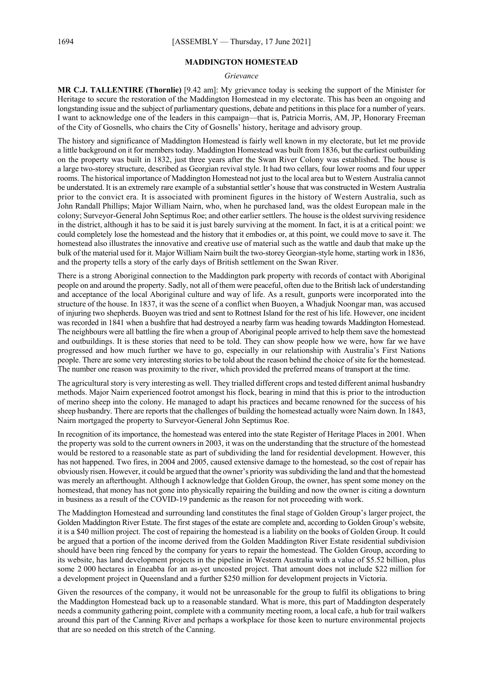#### **MADDINGTON HOMESTEAD**

#### *Grievance*

**MR C.J. TALLENTIRE (Thornlie)** [9.42 am]: My grievance today is seeking the support of the Minister for Heritage to secure the restoration of the Maddington Homestead in my electorate. This has been an ongoing and longstanding issue and the subject of parliamentary questions, debate and petitions in this place for a number of years. I want to acknowledge one of the leaders in this campaign—that is, Patricia Morris, AM, JP, Honorary Freeman of the City of Gosnells, who chairs the City of Gosnells' history, heritage and advisory group.

The history and significance of Maddington Homestead is fairly well known in my electorate, but let me provide a little background on it for members today. Maddington Homestead was built from 1836, but the earliest outbuilding on the property was built in 1832, just three years after the Swan River Colony was established. The house is a large two-storey structure, described as Georgian revival style. It had two cellars, four lower rooms and four upper rooms. The historical importance of Maddington Homestead not just to the local area but to Western Australia cannot be understated. It is an extremely rare example of a substantial settler's house that was constructed in Western Australia prior to the convict era. It is associated with prominent figures in the history of Western Australia, such as John Randall Phillips; Major William Nairn, who, when he purchased land, was the oldest European male in the colony; Surveyor-General John Septimus Roe; and other earlier settlers. The house is the oldest surviving residence in the district, although it has to be said it is just barely surviving at the moment. In fact, it is at a critical point: we could completely lose the homestead and the history that it embodies or, at this point, we could move to save it. The homestead also illustrates the innovative and creative use of material such as the wattle and daub that make up the bulk of the material used for it. Major William Nairn built the two-storey Georgian-style home, starting work in 1836, and the property tells a story of the early days of British settlement on the Swan River.

There is a strong Aboriginal connection to the Maddington park property with records of contact with Aboriginal people on and around the property. Sadly, not all of them were peaceful, often due to the British lack of understanding and acceptance of the local Aboriginal culture and way of life. As a result, gunports were incorporated into the structure of the house. In 1837, it was the scene of a conflict when Buoyen, a Whadjuk Noongar man, was accused of injuring two shepherds. Buoyen was tried and sent to Rottnest Island for the rest of his life. However, one incident was recorded in 1841 when a bushfire that had destroyed a nearby farm was heading towards Maddington Homestead. The neighbours were all battling the fire when a group of Aboriginal people arrived to help them save the homestead and outbuildings. It is these stories that need to be told. They can show people how we were, how far we have progressed and how much further we have to go, especially in our relationship with Australia's First Nations people. There are some very interesting stories to be told about the reason behind the choice of site for the homestead. The number one reason was proximity to the river, which provided the preferred means of transport at the time.

The agricultural story is very interesting as well. They trialled different crops and tested different animal husbandry methods. Major Nairn experienced footrot amongst his flock, bearing in mind that this is prior to the introduction of merino sheep into the colony. He managed to adapt his practices and became renowned for the success of his sheep husbandry. There are reports that the challenges of building the homestead actually wore Nairn down. In 1843, Nairn mortgaged the property to Surveyor-General John Septimus Roe.

In recognition of its importance, the homestead was entered into the state Register of Heritage Places in 2001. When the property was sold to the current owners in 2003, it was on the understanding that the structure of the homestead would be restored to a reasonable state as part of subdividing the land for residential development. However, this has not happened. Two fires, in 2004 and 2005, caused extensive damage to the homestead, so the cost of repair has obviously risen. However, it could be argued that the owner's priority was subdividing the land and that the homestead was merely an afterthought. Although I acknowledge that Golden Group, the owner, has spent some money on the homestead, that money has not gone into physically repairing the building and now the owner is citing a downturn in business as a result of the COVID-19 pandemic as the reason for not proceeding with work.

The Maddington Homestead and surrounding land constitutes the final stage of Golden Group's larger project, the Golden Maddington River Estate. The first stages of the estate are complete and, according to Golden Group's website, it is a \$40 million project. The cost of repairing the homestead is a liability on the books of Golden Group. It could be argued that a portion of the income derived from the Golden Maddington River Estate residential subdivision should have been ring fenced by the company for years to repair the homestead. The Golden Group, according to its website, has land development projects in the pipeline in Western Australia with a value of \$5.52 billion, plus some 2 000 hectares in Eneabba for an as-yet uncosted project. That amount does not include \$22 million for a development project in Queensland and a further \$250 million for development projects in Victoria.

Given the resources of the company, it would not be unreasonable for the group to fulfil its obligations to bring the Maddington Homestead back up to a reasonable standard. What is more, this part of Maddington desperately needs a community gathering point, complete with a community meeting room, a local cafe, a hub for trail walkers around this part of the Canning River and perhaps a workplace for those keen to nurture environmental projects that are so needed on this stretch of the Canning.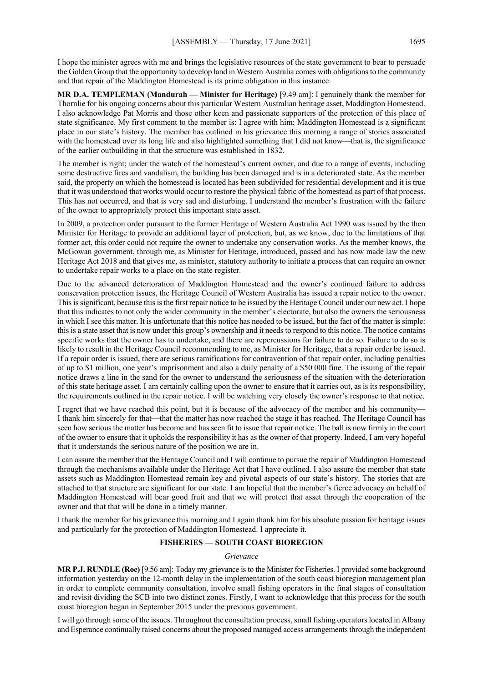I hope the minister agrees with me and brings the legislative resources of the state government to bear to persuade the Golden Group that the opportunity to develop land in Western Australia comes with obligations to the community and that repair of the Maddington Homestead is its prime obligation in this instance.

**MR D.A. TEMPLEMAN (Mandurah — Minister for Heritage)** [9.49 am]: I genuinely thank the member for Thornlie for his ongoing concerns about this particular Western Australian heritage asset, Maddington Homestead. I also acknowledge Pat Morris and those other keen and passionate supporters of the protection of this place of state significance. My first comment to the member is: I agree with him; Maddington Homestead is a significant place in our state's history. The member has outlined in his grievance this morning a range of stories associated with the homestead over its long life and also highlighted something that I did not know—that is, the significance of the earlier outbuilding in that the structure was established in 1832.

The member is right; under the watch of the homestead's current owner, and due to a range of events, including some destructive fires and vandalism, the building has been damaged and is in a deteriorated state. As the member said, the property on which the homestead is located has been subdivided for residential development and it is true that it was understood that works would occur to restore the physical fabric of the homestead as part of that process. This has not occurred, and that is very sad and disturbing. I understand the member's frustration with the failure of the owner to appropriately protect this important state asset.

In 2009, a protection order pursuant to the former Heritage of Western Australia Act 1990 was issued by the then Minister for Heritage to provide an additional layer of protection, but, as we know, due to the limitations of that former act, this order could not require the owner to undertake any conservation works. As the member knows, the McGowan government, through me, as Minister for Heritage, introduced, passed and has now made law the new Heritage Act 2018 and that gives me, as minister, statutory authority to initiate a process that can require an owner to undertake repair works to a place on the state register.

Due to the advanced deterioration of Maddington Homestead and the owner's continued failure to address conservation protection issues, the Heritage Council of Western Australia has issued a repair notice to the owner. This is significant, because this is the first repair notice to be issued by the Heritage Council under our new act. I hope that this indicates to not only the wider community in the member's electorate, but also the owners the seriousness in which I see this matter. It is unfortunate that this notice has needed to be issued, but the fact of the matter is simple: this is a state asset that is now under this group's ownership and it needs to respond to this notice. The notice contains specific works that the owner has to undertake, and there are repercussions for failure to do so. Failure to do so is likely to result in the Heritage Council recommending to me, as Minister for Heritage, that a repair order be issued. If a repair order is issued, there are serious ramifications for contravention of that repair order, including penalties of up to \$1 million, one year's imprisonment and also a daily penalty of a \$50 000 fine. The issuing of the repair notice draws a line in the sand for the owner to understand the seriousness of the situation with the deterioration of this state heritage asset. I am certainly calling upon the owner to ensure that it carries out, as is its responsibility, the requirements outlined in the repair notice. I will be watching very closely the owner's response to that notice.

I regret that we have reached this point, but it is because of the advocacy of the member and his community— I thank him sincerely for that—that the matter has now reached the stage it has reached. The Heritage Council has seen how serious the matter has become and has seen fit to issue that repair notice. The ball is now firmly in the court of the owner to ensure that it upholds the responsibility it has as the owner of that property. Indeed, I am very hopeful that it understands the serious nature of the position we are in.

I can assure the member that the Heritage Council and I will continue to pursue the repair of Maddington Homestead through the mechanisms available under the Heritage Act that I have outlined. I also assure the member that state assets such as Maddington Homestead remain key and pivotal aspects of our state's history. The stories that are attached to that structure are significant for our state. I am hopeful that the member's fierce advocacy on behalf of Maddington Homestead will bear good fruit and that we will protect that asset through the cooperation of the owner and that that will be done in a timely manner.

I thank the member for his grievance this morning and I again thank him for his absolute passion for heritage issues and particularly for the protection of Maddington Homestead. I appreciate it.

#### **FISHERIES — SOUTH COAST BIOREGION**

#### *Grievance*

**MR P.J. RUNDLE (Roe)** [9.56 am]: Today my grievance is to the Minister for Fisheries. I provided some background information yesterday on the 12-month delay in the implementation of the south coast bioregion management plan in order to complete community consultation, involve small fishing operators in the final stages of consultation and revisit dividing the SCB into two distinct zones. Firstly, I want to acknowledge that this process for the south coast bioregion began in September 2015 under the previous government.

I will go through some of the issues. Throughout the consultation process, small fishing operators located in Albany and Esperance continually raised concerns about the proposed managed access arrangements through the independent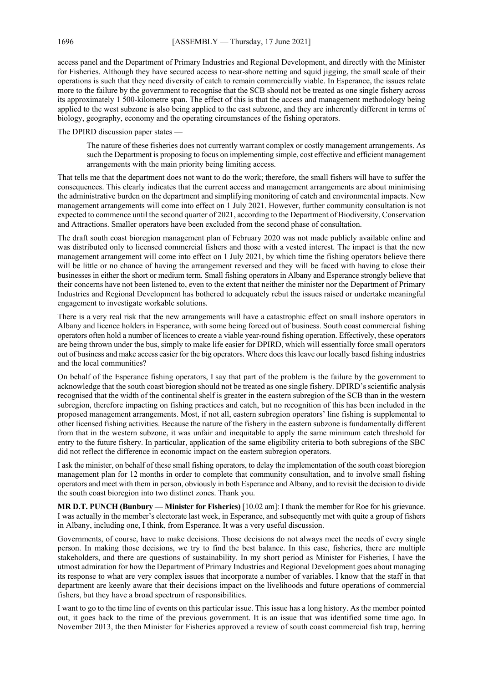access panel and the Department of Primary Industries and Regional Development, and directly with the Minister for Fisheries. Although they have secured access to near-shore netting and squid jigging, the small scale of their operations is such that they need diversity of catch to remain commercially viable. In Esperance, the issues relate more to the failure by the government to recognise that the SCB should not be treated as one single fishery across its approximately 1 500-kilometre span. The effect of this is that the access and management methodology being applied to the west subzone is also being applied to the east subzone, and they are inherently different in terms of biology, geography, economy and the operating circumstances of the fishing operators.

The DPIRD discussion paper states —

The nature of these fisheries does not currently warrant complex or costly management arrangements. As such the Department is proposing to focus on implementing simple, cost effective and efficient management arrangements with the main priority being limiting access.

That tells me that the department does not want to do the work; therefore, the small fishers will have to suffer the consequences. This clearly indicates that the current access and management arrangements are about minimising the administrative burden on the department and simplifying monitoring of catch and environmental impacts. New management arrangements will come into effect on 1 July 2021. However, further community consultation is not expected to commence until the second quarter of 2021, according to the Department of Biodiversity, Conservation and Attractions. Smaller operators have been excluded from the second phase of consultation.

The draft south coast bioregion management plan of February 2020 was not made publicly available online and was distributed only to licensed commercial fishers and those with a vested interest. The impact is that the new management arrangement will come into effect on 1 July 2021, by which time the fishing operators believe there will be little or no chance of having the arrangement reversed and they will be faced with having to close their businesses in either the short or medium term. Small fishing operators in Albany and Esperance strongly believe that their concerns have not been listened to, even to the extent that neither the minister nor the Department of Primary Industries and Regional Development has bothered to adequately rebut the issues raised or undertake meaningful engagement to investigate workable solutions.

There is a very real risk that the new arrangements will have a catastrophic effect on small inshore operators in Albany and licence holders in Esperance, with some being forced out of business. South coast commercial fishing operators often hold a number of licences to create a viable year-round fishing operation. Effectively, these operators are being thrown under the bus, simply to make life easier for DPIRD, which will essentially force small operators out of business and make access easier for the big operators. Where does this leave our locally based fishing industries and the local communities?

On behalf of the Esperance fishing operators, I say that part of the problem is the failure by the government to acknowledge that the south coast bioregion should not be treated as one single fishery. DPIRD's scientific analysis recognised that the width of the continental shelf is greater in the eastern subregion of the SCB than in the western subregion, therefore impacting on fishing practices and catch, but no recognition of this has been included in the proposed management arrangements. Most, if not all, eastern subregion operators' line fishing is supplemental to other licensed fishing activities. Because the nature of the fishery in the eastern subzone is fundamentally different from that in the western subzone, it was unfair and inequitable to apply the same minimum catch threshold for entry to the future fishery. In particular, application of the same eligibility criteria to both subregions of the SBC did not reflect the difference in economic impact on the eastern subregion operators.

I ask the minister, on behalf of these small fishing operators, to delay the implementation of the south coast bioregion management plan for 12 months in order to complete that community consultation, and to involve small fishing operators and meet with them in person, obviously in both Esperance and Albany, and to revisit the decision to divide the south coast bioregion into two distinct zones. Thank you.

**MR D.T. PUNCH (Bunbury — Minister for Fisheries)** [10.02 am]: I thank the member for Roe for his grievance. I was actually in the member's electorate last week, in Esperance, and subsequently met with quite a group of fishers in Albany, including one, I think, from Esperance. It was a very useful discussion.

Governments, of course, have to make decisions. Those decisions do not always meet the needs of every single person. In making those decisions, we try to find the best balance. In this case, fisheries, there are multiple stakeholders, and there are questions of sustainability. In my short period as Minister for Fisheries, I have the utmost admiration for how the Department of Primary Industries and Regional Development goes about managing its response to what are very complex issues that incorporate a number of variables. I know that the staff in that department are keenly aware that their decisions impact on the livelihoods and future operations of commercial fishers, but they have a broad spectrum of responsibilities.

I want to go to the time line of events on this particular issue. This issue has a long history. As the member pointed out, it goes back to the time of the previous government. It is an issue that was identified some time ago. In November 2013, the then Minister for Fisheries approved a review of south coast commercial fish trap, herring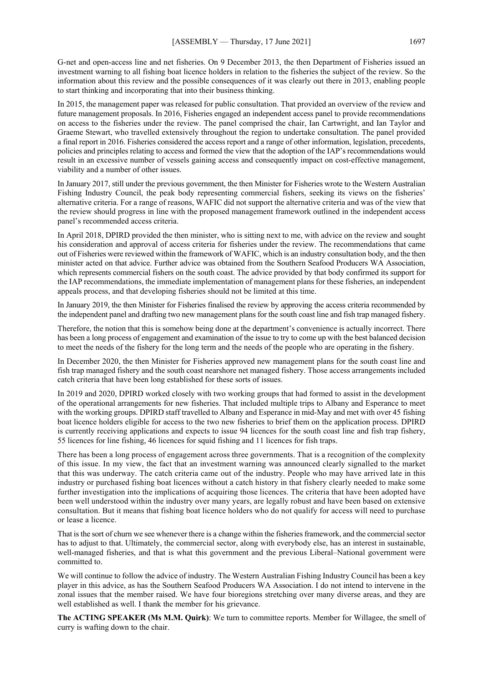G-net and open-access line and net fisheries. On 9 December 2013, the then Department of Fisheries issued an investment warning to all fishing boat licence holders in relation to the fisheries the subject of the review. So the information about this review and the possible consequences of it was clearly out there in 2013, enabling people to start thinking and incorporating that into their business thinking.

In 2015, the management paper was released for public consultation. That provided an overview of the review and future management proposals. In 2016, Fisheries engaged an independent access panel to provide recommendations on access to the fisheries under the review. The panel comprised the chair, Ian Cartwright, and Ian Taylor and Graeme Stewart, who travelled extensively throughout the region to undertake consultation. The panel provided a final report in 2016. Fisheries considered the access report and a range of other information, legislation, precedents, policies and principles relating to access and formed the view that the adoption of the IAP's recommendations would result in an excessive number of vessels gaining access and consequently impact on cost-effective management, viability and a number of other issues.

In January 2017, still under the previous government, the then Minister for Fisheries wrote to the Western Australian Fishing Industry Council, the peak body representing commercial fishers, seeking its views on the fisheries' alternative criteria. For a range of reasons, WAFIC did not support the alternative criteria and was of the view that the review should progress in line with the proposed management framework outlined in the independent access panel's recommended access criteria.

In April 2018, DPIRD provided the then minister, who is sitting next to me, with advice on the review and sought his consideration and approval of access criteria for fisheries under the review. The recommendations that came out of Fisheries were reviewed within the framework of WAFIC, which is an industry consultation body, and the then minister acted on that advice. Further advice was obtained from the Southern Seafood Producers WA Association, which represents commercial fishers on the south coast. The advice provided by that body confirmed its support for the IAP recommendations, the immediate implementation of management plans for these fisheries, an independent appeals process, and that developing fisheries should not be limited at this time.

In January 2019, the then Minister for Fisheries finalised the review by approving the access criteria recommended by the independent panel and drafting two new management plans for the south coast line and fish trap managed fishery.

Therefore, the notion that this is somehow being done at the department's convenience is actually incorrect. There has been a long process of engagement and examination of the issue to try to come up with the best balanced decision to meet the needs of the fishery for the long term and the needs of the people who are operating in the fishery.

In December 2020, the then Minister for Fisheries approved new management plans for the south coast line and fish trap managed fishery and the south coast nearshore net managed fishery. Those access arrangements included catch criteria that have been long established for these sorts of issues.

In 2019 and 2020, DPIRD worked closely with two working groups that had formed to assist in the development of the operational arrangements for new fisheries. That included multiple trips to Albany and Esperance to meet with the working groups. DPIRD staff travelled to Albany and Esperance in mid-May and met with over 45 fishing boat licence holders eligible for access to the two new fisheries to brief them on the application process. DPIRD is currently receiving applications and expects to issue 94 licences for the south coast line and fish trap fishery, 55 licences for line fishing, 46 licences for squid fishing and 11 licences for fish traps.

There has been a long process of engagement across three governments. That is a recognition of the complexity of this issue. In my view, the fact that an investment warning was announced clearly signalled to the market that this was underway. The catch criteria came out of the industry. People who may have arrived late in this industry or purchased fishing boat licences without a catch history in that fishery clearly needed to make some further investigation into the implications of acquiring those licences. The criteria that have been adopted have been well understood within the industry over many years, are legally robust and have been based on extensive consultation. But it means that fishing boat licence holders who do not qualify for access will need to purchase or lease a licence.

That is the sort of churn we see whenever there is a change within the fisheries framework, and the commercial sector has to adjust to that. Ultimately, the commercial sector, along with everybody else, has an interest in sustainable, well-managed fisheries, and that is what this government and the previous Liberal–National government were committed to.

We will continue to follow the advice of industry. The Western Australian Fishing Industry Council has been a key player in this advice, as has the Southern Seafood Producers WA Association. I do not intend to intervene in the zonal issues that the member raised. We have four bioregions stretching over many diverse areas, and they are well established as well. I thank the member for his grievance.

**The ACTING SPEAKER (Ms M.M. Quirk)**: We turn to committee reports. Member for Willagee, the smell of curry is wafting down to the chair.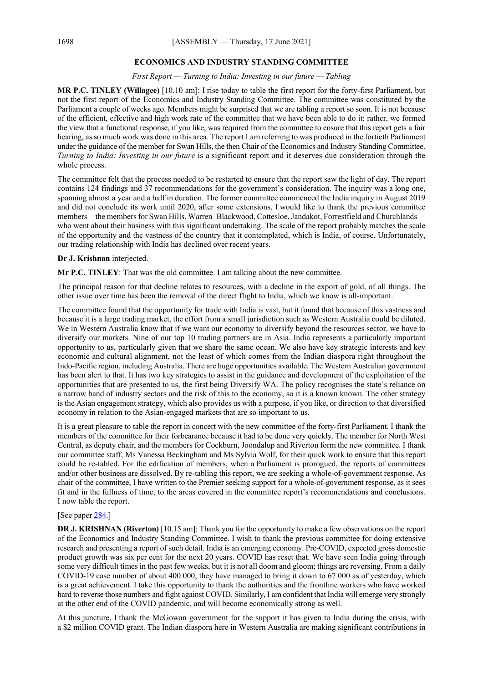#### **ECONOMICS AND INDUSTRY STANDING COMMITTEE**

#### *First Report — Turning to India: Investing in our future — Tabling*

**MR P.C. TINLEY (Willagee)** [10.10 am]: I rise today to table the first report for the forty-first Parliament, but not the first report of the Economics and Industry Standing Committee. The committee was constituted by the Parliament a couple of weeks ago. Members might be surprised that we are tabling a report so soon. It is not because of the efficient, effective and high work rate of the committee that we have been able to do it; rather, we formed the view that a functional response, if you like, was required from the committee to ensure that this report gets a fair hearing, as so much work was done in this area. The report I am referring to was produced in the fortieth Parliament under the guidance of the member for Swan Hills, the then Chair of the Economics and Industry Standing Committee. *Turning to India: Investing in our future* is a significant report and it deserves due consideration through the whole process.

The committee felt that the process needed to be restarted to ensure that the report saw the light of day. The report contains 124 findings and 37 recommendations for the government's consideration. The inquiry was a long one, spanning almost a year and a half in duration. The former committee commenced the India inquiry in August 2019 and did not conclude its work until 2020, after some extensions. I would like to thank the previous committee members—the members for Swan Hills, Warren–Blackwood, Cottesloe, Jandakot, Forrestfield and Churchlands who went about their business with this significant undertaking. The scale of the report probably matches the scale of the opportunity and the vastness of the country that it contemplated, which is India, of course. Unfortunately, our trading relationship with India has declined over recent years.

#### **Dr J. Krishnan** interjected.

**Mr P.C. TINLEY**: That was the old committee. I am talking about the new committee.

The principal reason for that decline relates to resources, with a decline in the export of gold, of all things. The other issue over time has been the removal of the direct flight to India, which we know is all-important.

The committee found that the opportunity for trade with India is vast, but it found that because of this vastness and because it is a large trading market, the effort from a small jurisdiction such as Western Australia could be diluted. We in Western Australia know that if we want our economy to diversify beyond the resources sector, we have to diversify our markets. Nine of our top 10 trading partners are in Asia. India represents a particularly important opportunity to us, particularly given that we share the same ocean. We also have key strategic interests and key economic and cultural alignment, not the least of which comes from the Indian diaspora right throughout the Indo-Pacific region, including Australia. There are huge opportunities available. The Western Australian government has been alert to that. It has two key strategies to assist in the guidance and development of the exploitation of the opportunities that are presented to us, the first being Diversify WA. The policy recognises the state's reliance on a narrow band of industry sectors and the risk of this to the economy, so it is a known known. The other strategy is the Asian engagement strategy, which also provides us with a purpose, if you like, or direction to that diversified economy in relation to the Asian-engaged markets that are so important to us.

It is a great pleasure to table the report in concert with the new committee of the forty-first Parliament. I thank the members of the committee for their forbearance because it had to be done very quickly. The member for North West Central, as deputy chair, and the members for Cockburn, Joondalup and Riverton form the new committee. I thank our committee staff, Ms Vanessa Beckingham and Ms Sylvia Wolf, for their quick work to ensure that this report could be re-tabled. For the edification of members, when a Parliament is prorogued, the reports of committees and/or other business are dissolved. By re-tabling this report, we are seeking a whole-of-government response. As chair of the committee, I have written to the Premier seeking support for a whole-of-government response, as it sees fit and in the fullness of time, to the areas covered in the committee report's recommendations and conclusions. I now table the report.

#### [See paper [284.](https://www.parliament.wa.gov.au/publications/tabledpapers.nsf/displaypaper/4110284a383a23551ef01e3c482586f800189ee5/$file/tp+284+(2021).pdf)]

**DR J. KRISHNAN (Riverton)** [10.15 am]: Thank you for the opportunity to make a few observations on the report of the Economics and Industry Standing Committee. I wish to thank the previous committee for doing extensive research and presenting a report of such detail. India is an emerging economy. Pre-COVID, expected gross domestic product growth was six per cent for the next 20 years. COVID has reset that. We have seen India going through some very difficult times in the past few weeks, but it is not all doom and gloom; things are reversing. From a daily COVID-19 case number of about 400 000, they have managed to bring it down to 67 000 as of yesterday, which is a great achievement. I take this opportunity to thank the authorities and the frontline workers who have worked hard to reverse those numbers and fight against COVID. Similarly, I am confident that India will emerge very strongly at the other end of the COVID pandemic, and will become economically strong as well.

At this juncture, I thank the McGowan government for the support it has given to India during the crisis, with a \$2 million COVID grant. The Indian diaspora here in Western Australia are making significant contributions in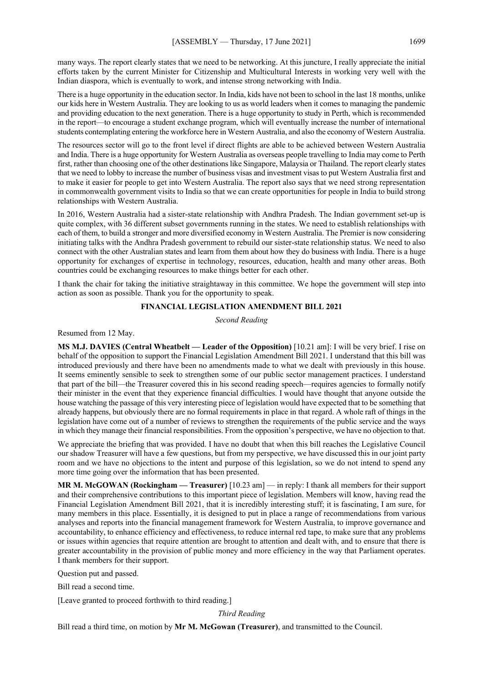many ways. The report clearly states that we need to be networking. At this juncture, I really appreciate the initial efforts taken by the current Minister for Citizenship and Multicultural Interests in working very well with the Indian diaspora, which is eventually to work, and intense strong networking with India.

There is a huge opportunity in the education sector. In India, kids have not been to school in the last 18 months, unlike our kids here in Western Australia. They are looking to us as world leaders when it comes to managing the pandemic and providing education to the next generation. There is a huge opportunity to study in Perth, which is recommended in the report—to encourage a student exchange program, which will eventually increase the number of international students contemplating entering the workforce here in Western Australia, and also the economy of Western Australia.

The resources sector will go to the front level if direct flights are able to be achieved between Western Australia and India. There is a huge opportunity for Western Australia as overseas people travelling to India may come to Perth first, rather than choosing one of the other destinations like Singapore, Malaysia or Thailand. The report clearly states that we need to lobby to increase the number of business visas and investment visas to put Western Australia first and to make it easier for people to get into Western Australia. The report also says that we need strong representation in commonwealth government visits to India so that we can create opportunities for people in India to build strong relationships with Western Australia.

In 2016, Western Australia had a sister-state relationship with Andhra Pradesh. The Indian government set-up is quite complex, with 36 different subset governments running in the states. We need to establish relationships with each of them, to build a stronger and more diversified economy in Western Australia. The Premier is now considering initiating talks with the Andhra Pradesh government to rebuild our sister-state relationship status. We need to also connect with the other Australian states and learn from them about how they do business with India. There is a huge opportunity for exchanges of expertise in technology, resources, education, health and many other areas. Both countries could be exchanging resources to make things better for each other.

I thank the chair for taking the initiative straightaway in this committee. We hope the government will step into action as soon as possible. Thank you for the opportunity to speak.

#### **FINANCIAL LEGISLATION AMENDMENT BILL 2021**

*Second Reading*

Resumed from 12 May.

**MS M.J. DAVIES (Central Wheatbelt — Leader of the Opposition)** [10.21 am]: I will be very brief. I rise on behalf of the opposition to support the Financial Legislation Amendment Bill 2021. I understand that this bill was introduced previously and there have been no amendments made to what we dealt with previously in this house. It seems eminently sensible to seek to strengthen some of our public sector management practices. I understand that part of the bill—the Treasurer covered this in his second reading speech—requires agencies to formally notify their minister in the event that they experience financial difficulties. I would have thought that anyone outside the house watching the passage of this very interesting piece of legislation would have expected that to be something that already happens, but obviously there are no formal requirements in place in that regard. A whole raft of things in the legislation have come out of a number of reviews to strengthen the requirements of the public service and the ways in which they manage their financial responsibilities. From the opposition's perspective, we have no objection to that.

We appreciate the briefing that was provided. I have no doubt that when this bill reaches the Legislative Council our shadow Treasurer will have a few questions, but from my perspective, we have discussed this in our joint party room and we have no objections to the intent and purpose of this legislation, so we do not intend to spend any more time going over the information that has been presented.

**MR M. McGOWAN (Rockingham — Treasurer)** [10.23 am] — in reply: I thank all members for their support and their comprehensive contributions to this important piece of legislation. Members will know, having read the Financial Legislation Amendment Bill 2021, that it is incredibly interesting stuff; it is fascinating, I am sure, for many members in this place. Essentially, it is designed to put in place a range of recommendations from various analyses and reports into the financial management framework for Western Australia, to improve governance and accountability, to enhance efficiency and effectiveness, to reduce internal red tape, to make sure that any problems or issues within agencies that require attention are brought to attention and dealt with, and to ensure that there is greater accountability in the provision of public money and more efficiency in the way that Parliament operates. I thank members for their support.

Question put and passed.

Bill read a second time.

[Leave granted to proceed forthwith to third reading.]

*Third Reading*

Bill read a third time, on motion by **Mr M. McGowan (Treasurer)**, and transmitted to the Council.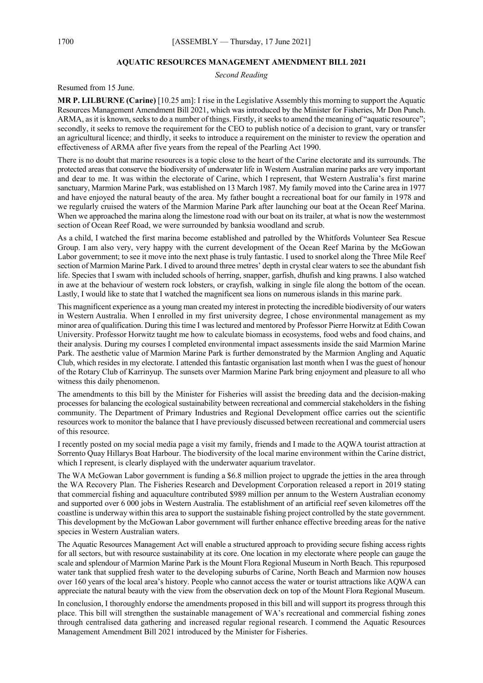#### **AQUATIC RESOURCES MANAGEMENT AMENDMENT BILL 2021**

*Second Reading*

Resumed from 15 June.

**MR P. LILBURNE (Carine)** [10.25 am]: I rise in the Legislative Assembly this morning to support the Aquatic Resources Management Amendment Bill 2021, which was introduced by the Minister for Fisheries, Mr Don Punch. ARMA, as it is known, seeks to do a number of things. Firstly, it seeks to amend the meaning of "aquatic resource"; secondly, it seeks to remove the requirement for the CEO to publish notice of a decision to grant, vary or transfer an agricultural licence; and thirdly, it seeks to introduce a requirement on the minister to review the operation and effectiveness of ARMA after five years from the repeal of the Pearling Act 1990.

There is no doubt that marine resources is a topic close to the heart of the Carine electorate and its surrounds. The protected areas that conserve the biodiversity of underwater life in Western Australian marine parks are very important and dear to me. It was within the electorate of Carine, which I represent, that Western Australia's first marine sanctuary, Marmion Marine Park, was established on 13 March 1987. My family moved into the Carine area in 1977 and have enjoyed the natural beauty of the area. My father bought a recreational boat for our family in 1978 and we regularly cruised the waters of the Marmion Marine Park after launching our boat at the Ocean Reef Marina. When we approached the marina along the limestone road with our boat on its trailer, at what is now the westernmost section of Ocean Reef Road, we were surrounded by banksia woodland and scrub.

As a child, I watched the first marina become established and patrolled by the Whitfords Volunteer Sea Rescue Group. I am also very, very happy with the current development of the Ocean Reef Marina by the McGowan Labor government; to see it move into the next phase is truly fantastic. I used to snorkel along the Three Mile Reef section of Marmion Marine Park. I dived to around three metres' depth in crystal clear waters to see the abundant fish life. Species that I swam with included schools of herring, snapper, garfish, dhufish and king prawns. I also watched in awe at the behaviour of western rock lobsters, or crayfish, walking in single file along the bottom of the ocean. Lastly, I would like to state that I watched the magnificent sea lions on numerous islands in this marine park.

This magnificent experience as a young man created my interest in protecting the incredible biodiversity of our waters in Western Australia. When I enrolled in my first university degree, I chose environmental management as my minor area of qualification. During this time I was lectured and mentored by Professor Pierre Horwitz at Edith Cowan University. Professor Horwitz taught me how to calculate biomass in ecosystems, food webs and food chains, and their analysis. During my courses I completed environmental impact assessments inside the said Marmion Marine Park. The aesthetic value of Marmion Marine Park is further demonstrated by the Marmion Angling and Aquatic Club, which resides in my electorate. I attended this fantastic organisation last month when I was the guest of honour of the Rotary Club of Karrinyup. The sunsets over Marmion Marine Park bring enjoyment and pleasure to all who witness this daily phenomenon.

The amendments to this bill by the Minister for Fisheries will assist the breeding data and the decision-making processes for balancing the ecological sustainability between recreational and commercial stakeholders in the fishing community. The Department of Primary Industries and Regional Development office carries out the scientific resources work to monitor the balance that I have previously discussed between recreational and commercial users of this resource.

I recently posted on my social media page a visit my family, friends and I made to the AQWA tourist attraction at Sorrento Quay Hillarys Boat Harbour. The biodiversity of the local marine environment within the Carine district, which I represent, is clearly displayed with the underwater aquarium travelator.

The WA McGowan Labor government is funding a \$6.8 million project to upgrade the jetties in the area through the WA Recovery Plan. The Fisheries Research and Development Corporation released a report in 2019 stating that commercial fishing and aquaculture contributed \$989 million per annum to the Western Australian economy and supported over 6 000 jobs in Western Australia. The establishment of an artificial reef seven kilometres off the coastline is underway within this area to support the sustainable fishing project controlled by the state government. This development by the McGowan Labor government will further enhance effective breeding areas for the native species in Western Australian waters.

The Aquatic Resources Management Act will enable a structured approach to providing secure fishing access rights for all sectors, but with resource sustainability at its core. One location in my electorate where people can gauge the scale and splendour of Marmion Marine Park is the Mount Flora Regional Museum in North Beach. This repurposed water tank that supplied fresh water to the developing suburbs of Carine, North Beach and Marmion now houses over 160 years of the local area's history. People who cannot access the water or tourist attractions like AQWA can appreciate the natural beauty with the view from the observation deck on top of the Mount Flora Regional Museum.

In conclusion, I thoroughly endorse the amendments proposed in this bill and will support its progress through this place. This bill will strengthen the sustainable management of WA's recreational and commercial fishing zones through centralised data gathering and increased regular regional research. I commend the Aquatic Resources Management Amendment Bill 2021 introduced by the Minister for Fisheries.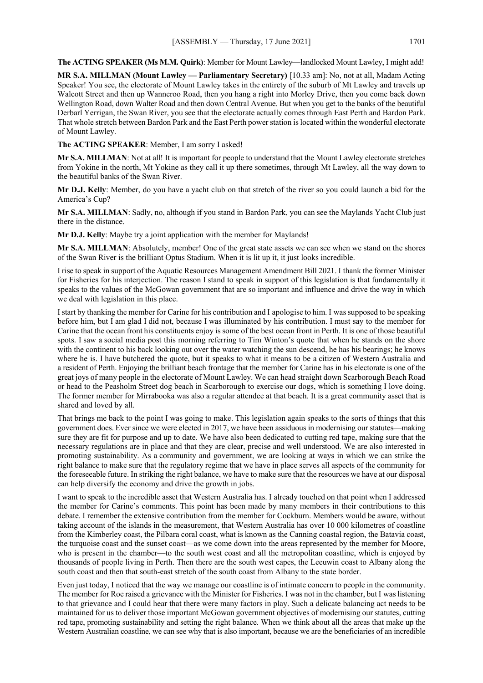**The ACTING SPEAKER (Ms M.M. Quirk)**: Member for Mount Lawley—landlocked Mount Lawley, I might add!

**MR S.A. MILLMAN (Mount Lawley — Parliamentary Secretary)** [10.33 am]: No, not at all, Madam Acting Speaker! You see, the electorate of Mount Lawley takes in the entirety of the suburb of Mt Lawley and travels up Walcott Street and then up Wanneroo Road, then you hang a right into Morley Drive, then you come back down Wellington Road, down Walter Road and then down Central Avenue. But when you get to the banks of the beautiful Derbarl Yerrigan, the Swan River, you see that the electorate actually comes through East Perth and Bardon Park. That whole stretch between Bardon Park and the East Perth power station is located within the wonderful electorate of Mount Lawley.

**The ACTING SPEAKER**: Member, I am sorry I asked!

**Mr S.A. MILLMAN**: Not at all! It is important for people to understand that the Mount Lawley electorate stretches from Yokine in the north, Mt Yokine as they call it up there sometimes, through Mt Lawley, all the way down to the beautiful banks of the Swan River.

**Mr D.J. Kelly**: Member, do you have a yacht club on that stretch of the river so you could launch a bid for the America's Cup?

**Mr S.A. MILLMAN**: Sadly, no, although if you stand in Bardon Park, you can see the Maylands Yacht Club just there in the distance.

**Mr D.J. Kelly**: Maybe try a joint application with the member for Maylands!

**Mr S.A. MILLMAN**: Absolutely, member! One of the great state assets we can see when we stand on the shores of the Swan River is the brilliant Optus Stadium. When it is lit up it, it just looks incredible.

I rise to speak in support of the Aquatic Resources Management Amendment Bill 2021. I thank the former Minister for Fisheries for his interjection. The reason I stand to speak in support of this legislation is that fundamentally it speaks to the values of the McGowan government that are so important and influence and drive the way in which we deal with legislation in this place.

I start by thanking the member for Carine for his contribution and I apologise to him. I was supposed to be speaking before him, but I am glad I did not, because I was illuminated by his contribution. I must say to the member for Carine that the ocean front his constituents enjoy is some of the best ocean front in Perth. It is one of those beautiful spots. I saw a social media post this morning referring to Tim Winton's quote that when he stands on the shore with the continent to his back looking out over the water watching the sun descend, he has his bearings; he knows where he is. I have butchered the quote, but it speaks to what it means to be a citizen of Western Australia and a resident of Perth. Enjoying the brilliant beach frontage that the member for Carine has in his electorate is one of the great joys of many people in the electorate of Mount Lawley. We can head straight down Scarborough Beach Road or head to the Peasholm Street dog beach in Scarborough to exercise our dogs, which is something I love doing. The former member for Mirrabooka was also a regular attendee at that beach. It is a great community asset that is shared and loved by all.

That brings me back to the point I was going to make. This legislation again speaks to the sorts of things that this government does. Ever since we were elected in 2017, we have been assiduous in modernising our statutes—making sure they are fit for purpose and up to date. We have also been dedicated to cutting red tape, making sure that the necessary regulations are in place and that they are clear, precise and well understood. We are also interested in promoting sustainability. As a community and government, we are looking at ways in which we can strike the right balance to make sure that the regulatory regime that we have in place serves all aspects of the community for the foreseeable future. In striking the right balance, we have to make sure that the resources we have at our disposal can help diversify the economy and drive the growth in jobs.

I want to speak to the incredible asset that Western Australia has. I already touched on that point when I addressed the member for Carine's comments. This point has been made by many members in their contributions to this debate. I remember the extensive contribution from the member for Cockburn. Members would be aware, without taking account of the islands in the measurement, that Western Australia has over 10 000 kilometres of coastline from the Kimberley coast, the Pilbara coral coast, what is known as the Canning coastal region, the Batavia coast, the turquoise coast and the sunset coast—as we come down into the areas represented by the member for Moore, who is present in the chamber—to the south west coast and all the metropolitan coastline, which is enjoyed by thousands of people living in Perth. Then there are the south west capes, the Leeuwin coast to Albany along the south coast and then that south-east stretch of the south coast from Albany to the state border.

Even just today, I noticed that the way we manage our coastline is of intimate concern to people in the community. The member for Roe raised a grievance with the Minister for Fisheries. I was not in the chamber, but I was listening to that grievance and I could hear that there were many factors in play. Such a delicate balancing act needs to be maintained for us to deliver those important McGowan government objectives of modernising our statutes, cutting red tape, promoting sustainability and setting the right balance. When we think about all the areas that make up the Western Australian coastline, we can see why that is also important, because we are the beneficiaries of an incredible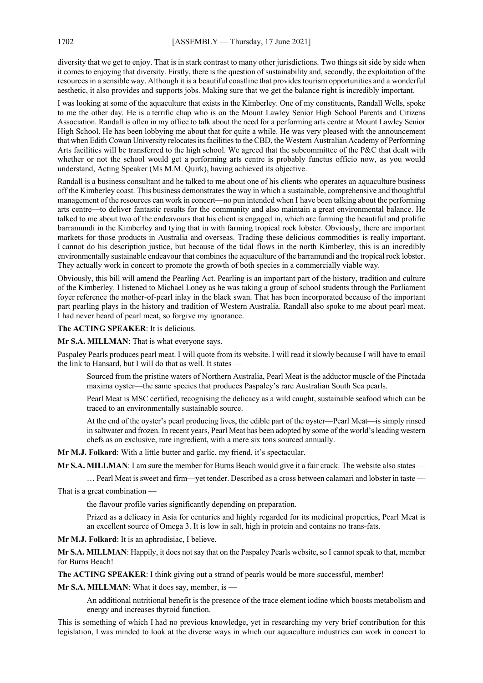diversity that we get to enjoy. That is in stark contrast to many other jurisdictions. Two things sit side by side when it comes to enjoying that diversity. Firstly, there is the question of sustainability and, secondly, the exploitation of the resources in a sensible way. Although it is a beautiful coastline that provides tourism opportunities and a wonderful aesthetic, it also provides and supports jobs. Making sure that we get the balance right is incredibly important.

I was looking at some of the aquaculture that exists in the Kimberley. One of my constituents, Randall Wells, spoke to me the other day. He is a terrific chap who is on the Mount Lawley Senior High School Parents and Citizens Association. Randall is often in my office to talk about the need for a performing arts centre at Mount Lawley Senior High School. He has been lobbying me about that for quite a while. He was very pleased with the announcement that when Edith Cowan University relocates its facilities to the CBD, the Western Australian Academy of Performing Arts facilities will be transferred to the high school. We agreed that the subcommittee of the P&C that dealt with whether or not the school would get a performing arts centre is probably functus officio now, as you would understand, Acting Speaker (Ms M.M. Quirk), having achieved its objective.

Randall is a business consultant and he talked to me about one of his clients who operates an aquaculture business off the Kimberley coast. This business demonstrates the way in which a sustainable, comprehensive and thoughtful management of the resources can work in concert—no pun intended when I have been talking about the performing arts centre—to deliver fantastic results for the community and also maintain a great environmental balance. He talked to me about two of the endeavours that his client is engaged in, which are farming the beautiful and prolific barramundi in the Kimberley and tying that in with farming tropical rock lobster. Obviously, there are important markets for those products in Australia and overseas. Trading these delicious commodities is really important. I cannot do his description justice, but because of the tidal flows in the north Kimberley, this is an incredibly environmentally sustainable endeavour that combines the aquaculture of the barramundi and the tropical rock lobster. They actually work in concert to promote the growth of both species in a commercially viable way.

Obviously, this bill will amend the Pearling Act. Pearling is an important part of the history, tradition and culture of the Kimberley. I listened to Michael Loney as he was taking a group of school students through the Parliament foyer reference the mother-of-pearl inlay in the black swan. That has been incorporated because of the important part pearling plays in the history and tradition of Western Australia. Randall also spoke to me about pearl meat. I had never heard of pearl meat, so forgive my ignorance.

**The ACTING SPEAKER**: It is delicious.

**Mr S.A. MILLMAN**: That is what everyone says.

Paspaley Pearls produces pearl meat. I will quote from its website. I will read it slowly because I will have to email the link to Hansard, but I will do that as well. It states -

Sourced from the pristine waters of Northern Australia, Pearl Meat is the adductor muscle of the Pinctada maxima oyster—the same species that produces Paspaley's rare Australian South Sea pearls.

Pearl Meat is MSC certified, recognising the delicacy as a wild caught, sustainable seafood which can be traced to an environmentally sustainable source.

At the end of the oyster's pearl producing lives, the edible part of the oyster—Pearl Meat—is simply rinsed in saltwater and frozen. In recent years, Pearl Meat has been adopted by some of the world's leading western chefs as an exclusive, rare ingredient, with a mere six tons sourced annually.

**Mr M.J. Folkard**: With a little butter and garlic, my friend, it's spectacular.

**Mr S.A. MILLMAN**: I am sure the member for Burns Beach would give it a fair crack. The website also states —

… Pearl Meat is sweet and firm—yet tender. Described as a cross between calamari and lobster in taste —

That is a great combination —

the flavour profile varies significantly depending on preparation.

Prized as a delicacy in Asia for centuries and highly regarded for its medicinal properties, Pearl Meat is an excellent source of Omega 3. It is low in salt, high in protein and contains no trans-fats.

**Mr M.J. Folkard**: It is an aphrodisiac, I believe.

**Mr S.A. MILLMAN**: Happily, it does not say that on the Paspaley Pearls website, so I cannot speak to that, member for Burns Beach!

**The ACTING SPEAKER**: I think giving out a strand of pearls would be more successful, member!

**Mr S.A. MILLMAN**: What it does say, member, is —

An additional nutritional benefit is the presence of the trace element iodine which boosts metabolism and energy and increases thyroid function.

This is something of which I had no previous knowledge, yet in researching my very brief contribution for this legislation, I was minded to look at the diverse ways in which our aquaculture industries can work in concert to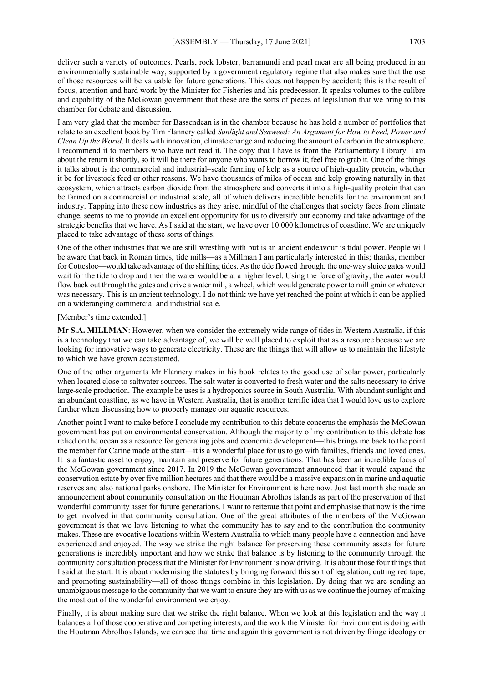deliver such a variety of outcomes. Pearls, rock lobster, barramundi and pearl meat are all being produced in an environmentally sustainable way, supported by a government regulatory regime that also makes sure that the use of those resources will be valuable for future generations. This does not happen by accident; this is the result of focus, attention and hard work by the Minister for Fisheries and his predecessor. It speaks volumes to the calibre and capability of the McGowan government that these are the sorts of pieces of legislation that we bring to this chamber for debate and discussion.

I am very glad that the member for Bassendean is in the chamber because he has held a number of portfolios that relate to an excellent book by Tim Flannery called *Sunlight and Seaweed: An Argument for How to Feed, Power and Clean Up the World*. It deals with innovation, climate change and reducing the amount of carbon in the atmosphere. I recommend it to members who have not read it. The copy that I have is from the Parliamentary Library. I am about the return it shortly, so it will be there for anyone who wants to borrow it; feel free to grab it. One of the things it talks about is the commercial and industrial–scale farming of kelp as a source of high-quality protein, whether it be for livestock feed or other reasons. We have thousands of miles of ocean and kelp growing naturally in that ecosystem, which attracts carbon dioxide from the atmosphere and converts it into a high-quality protein that can be farmed on a commercial or industrial scale, all of which delivers incredible benefits for the environment and industry. Tapping into these new industries as they arise, mindful of the challenges that society faces from climate change, seems to me to provide an excellent opportunity for us to diversify our economy and take advantage of the strategic benefits that we have. As I said at the start, we have over 10 000 kilometres of coastline. We are uniquely placed to take advantage of these sorts of things.

One of the other industries that we are still wrestling with but is an ancient endeavour is tidal power. People will be aware that back in Roman times, tide mills—as a Millman I am particularly interested in this; thanks, member for Cottesloe—would take advantage of the shifting tides. As the tide flowed through, the one-way sluice gates would wait for the tide to drop and then the water would be at a higher level. Using the force of gravity, the water would flow back out through the gates and drive a water mill, a wheel, which would generate power to mill grain or whatever was necessary. This is an ancient technology. I do not think we have yet reached the point at which it can be applied on a wideranging commercial and industrial scale.

#### [Member's time extended.]

**Mr S.A. MILLMAN**: However, when we consider the extremely wide range of tides in Western Australia, if this is a technology that we can take advantage of, we will be well placed to exploit that as a resource because we are looking for innovative ways to generate electricity. These are the things that will allow us to maintain the lifestyle to which we have grown accustomed.

One of the other arguments Mr Flannery makes in his book relates to the good use of solar power, particularly when located close to saltwater sources. The salt water is converted to fresh water and the salts necessary to drive large-scale production. The example he uses is a hydroponics source in South Australia. With abundant sunlight and an abundant coastline, as we have in Western Australia, that is another terrific idea that I would love us to explore further when discussing how to properly manage our aquatic resources.

Another point I want to make before I conclude my contribution to this debate concerns the emphasis the McGowan government has put on environmental conservation. Although the majority of my contribution to this debate has relied on the ocean as a resource for generating jobs and economic development—this brings me back to the point the member for Carine made at the start—it is a wonderful place for us to go with families, friends and loved ones. It is a fantastic asset to enjoy, maintain and preserve for future generations. That has been an incredible focus of the McGowan government since 2017. In 2019 the McGowan government announced that it would expand the conservation estate by over five million hectares and that there would be a massive expansion in marine and aquatic reserves and also national parks onshore. The Minister for Environment is here now. Just last month she made an announcement about community consultation on the Houtman Abrolhos Islands as part of the preservation of that wonderful community asset for future generations. I want to reiterate that point and emphasise that now is the time to get involved in that community consultation. One of the great attributes of the members of the McGowan government is that we love listening to what the community has to say and to the contribution the community makes. These are evocative locations within Western Australia to which many people have a connection and have experienced and enjoyed. The way we strike the right balance for preserving these community assets for future generations is incredibly important and how we strike that balance is by listening to the community through the community consultation process that the Minister for Environment is now driving. It is about those four things that I said at the start. It is about modernising the statutes by bringing forward this sort of legislation, cutting red tape, and promoting sustainability—all of those things combine in this legislation. By doing that we are sending an unambiguous message to the community that we want to ensure they are with us as we continue the journey of making the most out of the wonderful environment we enjoy.

Finally, it is about making sure that we strike the right balance. When we look at this legislation and the way it balances all of those cooperative and competing interests, and the work the Minister for Environment is doing with the Houtman Abrolhos Islands, we can see that time and again this government is not driven by fringe ideology or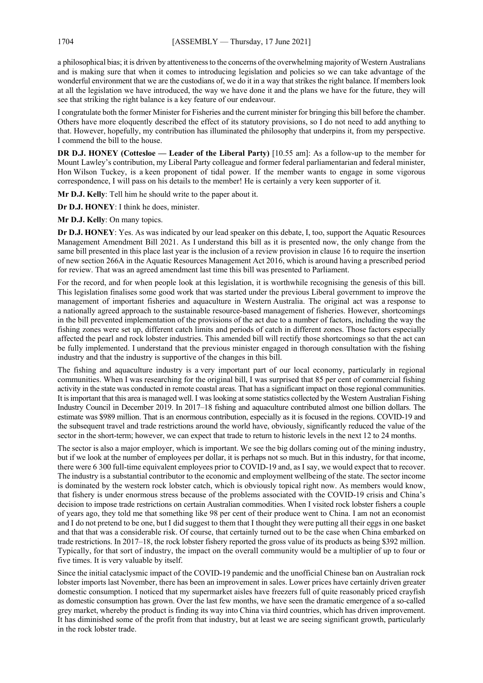a philosophical bias; it is driven by attentiveness to the concerns of the overwhelming majority of Western Australians and is making sure that when it comes to introducing legislation and policies so we can take advantage of the wonderful environment that we are the custodians of, we do it in a way that strikes the right balance. If members look at all the legislation we have introduced, the way we have done it and the plans we have for the future, they will see that striking the right balance is a key feature of our endeavour.

I congratulate both the former Minister for Fisheries and the current minister for bringing this bill before the chamber. Others have more eloquently described the effect of its statutory provisions, so I do not need to add anything to that. However, hopefully, my contribution has illuminated the philosophy that underpins it, from my perspective. I commend the bill to the house.

**DR D.J. HONEY (Cottesloe — Leader of the Liberal Party)** [10.55 am]: As a follow-up to the member for Mount Lawley's contribution, my Liberal Party colleague and former federal parliamentarian and federal minister, Hon Wilson Tuckey, is a keen proponent of tidal power. If the member wants to engage in some vigorous correspondence, I will pass on his details to the member! He is certainly a very keen supporter of it.

**Mr D.J. Kelly**: Tell him he should write to the paper about it.

**Dr D.J. HONEY**: I think he does, minister.

**Mr D.J. Kelly**: On many topics.

**Dr D.J. HONEY**: Yes. As was indicated by our lead speaker on this debate, I, too, support the Aquatic Resources Management Amendment Bill 2021. As I understand this bill as it is presented now, the only change from the same bill presented in this place last year is the inclusion of a review provision in clause 16 to require the insertion of new section 266A in the Aquatic Resources Management Act 2016, which is around having a prescribed period for review. That was an agreed amendment last time this bill was presented to Parliament.

For the record, and for when people look at this legislation, it is worthwhile recognising the genesis of this bill. This legislation finalises some good work that was started under the previous Liberal government to improve the management of important fisheries and aquaculture in Western Australia. The original act was a response to a nationally agreed approach to the sustainable resource-based management of fisheries. However, shortcomings in the bill prevented implementation of the provisions of the act due to a number of factors, including the way the fishing zones were set up, different catch limits and periods of catch in different zones. Those factors especially affected the pearl and rock lobster industries. This amended bill will rectify those shortcomings so that the act can be fully implemented. I understand that the previous minister engaged in thorough consultation with the fishing industry and that the industry is supportive of the changes in this bill.

The fishing and aquaculture industry is a very important part of our local economy, particularly in regional communities. When I was researching for the original bill, I was surprised that 85 per cent of commercial fishing activity in the state was conducted in remote coastal areas. That has a significant impact on those regional communities. It is important that this area is managed well.I was looking at some statistics collected by the Western Australian Fishing Industry Council in December 2019. In 2017–18 fishing and aquaculture contributed almost one billion dollars. The estimate was \$989 million. That is an enormous contribution, especially as it is focused in the regions. COVID-19 and the subsequent travel and trade restrictions around the world have, obviously, significantly reduced the value of the sector in the short-term; however, we can expect that trade to return to historic levels in the next 12 to 24 months.

The sector is also a major employer, which is important. We see the big dollars coming out of the mining industry, but if we look at the number of employees per dollar, it is perhaps not so much. But in this industry, for that income, there were 6 300 full-time equivalent employees prior to COVID-19 and, as I say, we would expect that to recover. The industry is a substantial contributor to the economic and employment wellbeing of the state. The sector income is dominated by the western rock lobster catch, which is obviously topical right now. As members would know, that fishery is under enormous stress because of the problems associated with the COVID-19 crisis and China's decision to impose trade restrictions on certain Australian commodities. When I visited rock lobster fishers a couple of years ago, they told me that something like 98 per cent of their produce went to China. I am not an economist and I do not pretend to be one, but I did suggest to them that I thought they were putting all their eggs in one basket and that that was a considerable risk. Of course, that certainly turned out to be the case when China embarked on trade restrictions. In 2017–18, the rock lobster fishery reported the gross value of its products as being \$392 million. Typically, for that sort of industry, the impact on the overall community would be a multiplier of up to four or five times. It is very valuable by itself.

Since the initial cataclysmic impact of the COVID-19 pandemic and the unofficial Chinese ban on Australian rock lobster imports last November, there has been an improvement in sales. Lower prices have certainly driven greater domestic consumption. I noticed that my supermarket aisles have freezers full of quite reasonably priced crayfish as domestic consumption has grown. Over the last few months, we have seen the dramatic emergence of a so-called grey market, whereby the product is finding its way into China via third countries, which has driven improvement. It has diminished some of the profit from that industry, but at least we are seeing significant growth, particularly in the rock lobster trade.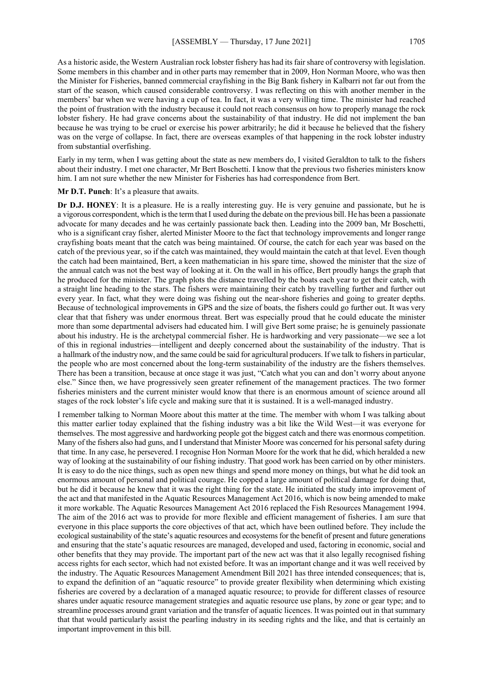As a historic aside, the Western Australian rock lobster fishery has had its fair share of controversy with legislation. Some members in this chamber and in other parts may remember that in 2009, Hon Norman Moore, who was then the Minister for Fisheries, banned commercial crayfishing in the Big Bank fishery in Kalbarri not far out from the start of the season, which caused considerable controversy. I was reflecting on this with another member in the members' bar when we were having a cup of tea. In fact, it was a very willing time. The minister had reached the point of frustration with the industry because it could not reach consensus on how to properly manage the rock lobster fishery. He had grave concerns about the sustainability of that industry. He did not implement the ban because he was trying to be cruel or exercise his power arbitrarily; he did it because he believed that the fishery was on the verge of collapse. In fact, there are overseas examples of that happening in the rock lobster industry from substantial overfishing.

Early in my term, when I was getting about the state as new members do, I visited Geraldton to talk to the fishers about their industry. I met one character, Mr Bert Boschetti. I know that the previous two fisheries ministers know him. I am not sure whether the new Minister for Fisheries has had correspondence from Bert.

**Mr D.T. Punch**: It's a pleasure that awaits.

**Dr D.J. HONEY**: It is a pleasure. He is a really interesting guy. He is very genuine and passionate, but he is a vigorous correspondent, which is the term thatI used during the debate on the previous bill. He has been a passionate advocate for many decades and he was certainly passionate back then. Leading into the 2009 ban, Mr Boschetti, who is a significant cray fisher, alerted Minister Moore to the fact that technology improvements and longer range crayfishing boats meant that the catch was being maintained. Of course, the catch for each year was based on the catch of the previous year, so if the catch was maintained, they would maintain the catch at that level. Even though the catch had been maintained, Bert, a keen mathematician in his spare time, showed the minister that the size of the annual catch was not the best way of looking at it. On the wall in his office, Bert proudly hangs the graph that he produced for the minister. The graph plots the distance travelled by the boats each year to get their catch, with a straight line heading to the stars. The fishers were maintaining their catch by travelling further and further out every year. In fact, what they were doing was fishing out the near-shore fisheries and going to greater depths. Because of technological improvements in GPS and the size of boats, the fishers could go further out. It was very clear that that fishery was under enormous threat. Bert was especially proud that he could educate the minister more than some departmental advisers had educated him. I will give Bert some praise; he is genuinely passionate about his industry. He is the archetypal commercial fisher. He is hardworking and very passionate—we see a lot of this in regional industries—intelligent and deeply concerned about the sustainability of the industry. That is a hallmark of the industry now, and the same could be said for agricultural producers. If we talk to fishers in particular, the people who are most concerned about the long-term sustainability of the industry are the fishers themselves. There has been a transition, because at once stage it was just, "Catch what you can and don't worry about anyone else." Since then, we have progressively seen greater refinement of the management practices. The two former fisheries ministers and the current minister would know that there is an enormous amount of science around all stages of the rock lobster's life cycle and making sure that it is sustained. It is a well-managed industry.

I remember talking to Norman Moore about this matter at the time. The member with whom I was talking about this matter earlier today explained that the fishing industry was a bit like the Wild West—it was everyone for themselves. The most aggressive and hardworking people got the biggest catch and there was enormous competition. Many of the fishers also had guns, and I understand that Minister Moore was concerned for his personal safety during that time. In any case, he persevered. I recognise Hon Norman Moore for the work that he did, which heralded a new way of looking at the sustainability of our fishing industry. That good work has been carried on by other ministers. It is easy to do the nice things, such as open new things and spend more money on things, but what he did took an enormous amount of personal and political courage. He copped a large amount of political damage for doing that, but he did it because he knew that it was the right thing for the state. He initiated the study into improvement of the act and that manifested in the Aquatic Resources Management Act 2016, which is now being amended to make it more workable. The Aquatic Resources Management Act 2016 replaced the Fish Resources Management 1994. The aim of the 2016 act was to provide for more flexible and efficient management of fisheries. I am sure that everyone in this place supports the core objectives of that act, which have been outlined before. They include the ecological sustainability of the state's aquatic resources and ecosystems for the benefit of present and future generations and ensuring that the state's aquatic resources are managed, developed and used, factoring in economic, social and other benefits that they may provide. The important part of the new act was that it also legally recognised fishing access rights for each sector, which had not existed before. It was an important change and it was well received by the industry. The Aquatic Resources Management Amendment Bill 2021 has three intended consequences; that is, to expand the definition of an "aquatic resource" to provide greater flexibility when determining which existing fisheries are covered by a declaration of a managed aquatic resource; to provide for different classes of resource shares under aquatic resource management strategies and aquatic resource use plans, by zone or gear type; and to streamline processes around grant variation and the transfer of aquatic licences. It was pointed out in that summary that that would particularly assist the pearling industry in its seeding rights and the like, and that is certainly an important improvement in this bill.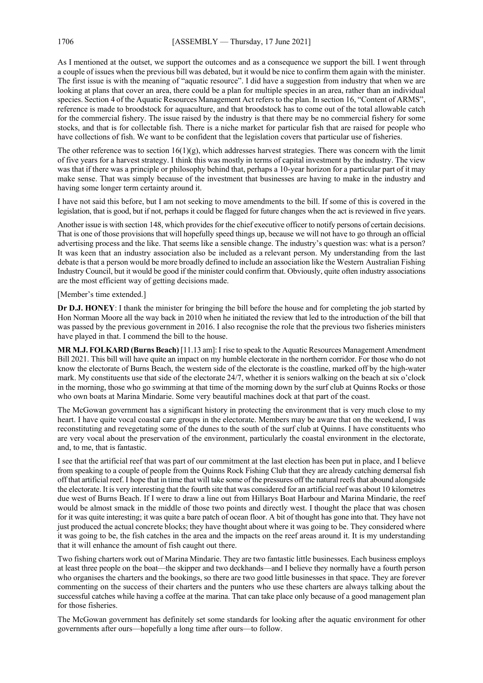As I mentioned at the outset, we support the outcomes and as a consequence we support the bill. I went through a couple of issues when the previous bill was debated, but it would be nice to confirm them again with the minister. The first issue is with the meaning of "aquatic resource". I did have a suggestion from industry that when we are looking at plans that cover an area, there could be a plan for multiple species in an area, rather than an individual species. Section 4 of the Aquatic Resources Management Act refers to the plan. In section 16, "Content of ARMS", reference is made to broodstock for aquaculture, and that broodstock has to come out of the total allowable catch for the commercial fishery. The issue raised by the industry is that there may be no commercial fishery for some stocks, and that is for collectable fish. There is a niche market for particular fish that are raised for people who have collections of fish. We want to be confident that the legislation covers that particular use of fisheries.

The other reference was to section  $16(1)(g)$ , which addresses harvest strategies. There was concern with the limit of five years for a harvest strategy. I think this was mostly in terms of capital investment by the industry. The view was that if there was a principle or philosophy behind that, perhaps a 10-year horizon for a particular part of it may make sense. That was simply because of the investment that businesses are having to make in the industry and having some longer term certainty around it.

I have not said this before, but I am not seeking to move amendments to the bill. If some of this is covered in the legislation, that is good, but if not, perhaps it could be flagged for future changes when the act is reviewed in five years.

Another issue is with section 148, which provides for the chief executive officer to notify persons of certain decisions. That is one of those provisions that will hopefully speed things up, because we will not have to go through an official advertising process and the like. That seems like a sensible change. The industry's question was: what is a person? It was keen that an industry association also be included as a relevant person. My understanding from the last debate is that a person would be more broadly defined to include an association like the Western Australian Fishing Industry Council, but it would be good if the minister could confirm that. Obviously, quite often industry associations are the most efficient way of getting decisions made.

[Member's time extended.]

**Dr D.J. HONEY**: I thank the minister for bringing the bill before the house and for completing the job started by Hon Norman Moore all the way back in 2010 when he initiated the review that led to the introduction of the bill that was passed by the previous government in 2016. I also recognise the role that the previous two fisheries ministers have played in that. I commend the bill to the house.

**MR M.J. FOLKARD (Burns Beach)** [11.13 am]: I rise to speak to the Aquatic Resources Management Amendment Bill 2021. This bill will have quite an impact on my humble electorate in the northern corridor. For those who do not know the electorate of Burns Beach, the western side of the electorate is the coastline, marked off by the high-water mark. My constituents use that side of the electorate 24/7, whether it is seniors walking on the beach at six o'clock in the morning, those who go swimming at that time of the morning down by the surf club at Quinns Rocks or those who own boats at Marina Mindarie. Some very beautiful machines dock at that part of the coast.

The McGowan government has a significant history in protecting the environment that is very much close to my heart. I have quite vocal coastal care groups in the electorate. Members may be aware that on the weekend, I was reconstituting and revegetating some of the dunes to the south of the surf club at Quinns. I have constituents who are very vocal about the preservation of the environment, particularly the coastal environment in the electorate, and, to me, that is fantastic.

I see that the artificial reef that was part of our commitment at the last election has been put in place, and I believe from speaking to a couple of people from the Quinns Rock Fishing Club that they are already catching demersal fish off that artificial reef. I hope that in time that will take some of the pressures off the natural reefs that abound alongside the electorate. It is very interesting that the fourth site that was considered for an artificial reef was about 10 kilometres due west of Burns Beach. If I were to draw a line out from Hillarys Boat Harbour and Marina Mindarie, the reef would be almost smack in the middle of those two points and directly west. I thought the place that was chosen for it was quite interesting; it was quite a bare patch of ocean floor. A bit of thought has gone into that. They have not just produced the actual concrete blocks; they have thought about where it was going to be. They considered where it was going to be, the fish catches in the area and the impacts on the reef areas around it. It is my understanding that it will enhance the amount of fish caught out there.

Two fishing charters work out of Marina Mindarie. They are two fantastic little businesses. Each business employs at least three people on the boat—the skipper and two deckhands—and I believe they normally have a fourth person who organises the charters and the bookings, so there are two good little businesses in that space. They are forever commenting on the success of their charters and the punters who use these charters are always talking about the successful catches while having a coffee at the marina. That can take place only because of a good management plan for those fisheries.

The McGowan government has definitely set some standards for looking after the aquatic environment for other governments after ours—hopefully a long time after ours—to follow.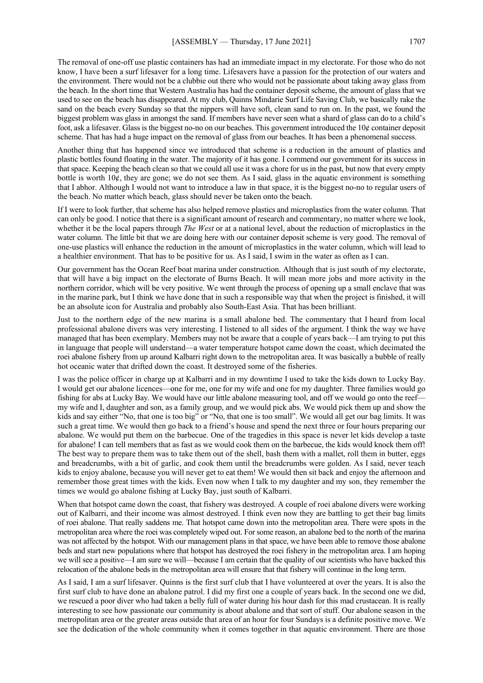used to see on the beach has disappeared. At my club, Quinns Mindarie Surf Life Saving Club, we basically rake the sand on the beach every Sunday so that the nippers will have soft, clean sand to run on. In the past, we found the biggest problem was glass in amongst the sand. If members have never seen what a shard of glass can do to a child's foot, ask a lifesaver. Glass is the biggest no-no on our beaches. This government introduced the 10¢ container deposit scheme. That has had a huge impact on the removal of glass from our beaches. It has been a phenomenal success.

Another thing that has happened since we introduced that scheme is a reduction in the amount of plastics and plastic bottles found floating in the water. The majority of it has gone. I commend our government for its success in that space. Keeping the beach clean so that we could all use it was a chore for us in the past, but now that every empty bottle is worth  $10¢$ , they are gone; we do not see them. As I said, glass in the aquatic environment is something that I abhor. Although I would not want to introduce a law in that space, it is the biggest no-no to regular users of the beach. No matter which beach, glass should never be taken onto the beach.

If I were to look further, that scheme has also helped remove plastics and microplastics from the water column. That can only be good. I notice that there is a significant amount of research and commentary, no matter where we look, whether it be the local papers through *The West* or at a national level, about the reduction of microplastics in the water column. The little bit that we are doing here with our container deposit scheme is very good. The removal of one-use plastics will enhance the reduction in the amount of microplastics in the water column, which will lead to a healthier environment. That has to be positive for us. As I said, I swim in the water as often as I can.

Our government has the Ocean Reef boat marina under construction. Although that is just south of my electorate, that will have a big impact on the electorate of Burns Beach. It will mean more jobs and more activity in the northern corridor, which will be very positive. We went through the process of opening up a small enclave that was in the marine park, but I think we have done that in such a responsible way that when the project is finished, it will be an absolute icon for Australia and probably also South-East Asia. That has been brilliant.

Just to the northern edge of the new marina is a small abalone bed. The commentary that I heard from local professional abalone divers was very interesting. I listened to all sides of the argument. I think the way we have managed that has been exemplary. Members may not be aware that a couple of years back—I am trying to put this in language that people will understand—a water temperature hotspot came down the coast, which decimated the roei abalone fishery from up around Kalbarri right down to the metropolitan area. It was basically a bubble of really hot oceanic water that drifted down the coast. It destroyed some of the fisheries.

I was the police officer in charge up at Kalbarri and in my downtime I used to take the kids down to Lucky Bay. I would get our abalone licences—one for me, one for my wife and one for my daughter. Three families would go fishing for abs at Lucky Bay. We would have our little abalone measuring tool, and off we would go onto the reef my wife and I, daughter and son, as a family group, and we would pick abs. We would pick them up and show the kids and say either "No, that one is too big" or "No, that one is too small". We would all get our bag limits. It was such a great time. We would then go back to a friend's house and spend the next three or four hours preparing our abalone. We would put them on the barbecue. One of the tragedies in this space is never let kids develop a taste for abalone! I can tell members that as fast as we would cook them on the barbecue, the kids would knock them off! The best way to prepare them was to take them out of the shell, bash them with a mallet, roll them in butter, eggs and breadcrumbs, with a bit of garlic, and cook them until the breadcrumbs were golden. As I said, never teach kids to enjoy abalone, because you will never get to eat them! We would then sit back and enjoy the afternoon and remember those great times with the kids. Even now when I talk to my daughter and my son, they remember the times we would go abalone fishing at Lucky Bay, just south of Kalbarri.

When that hotspot came down the coast, that fishery was destroyed. A couple of roei abalone divers were working out of Kalbarri, and their income was almost destroyed. I think even now they are battling to get their bag limits of roei abalone. That really saddens me. That hotspot came down into the metropolitan area. There were spots in the metropolitan area where the roei was completely wiped out. For some reason, an abalone bed to the north of the marina was not affected by the hotspot. With our management plans in that space, we have been able to remove those abalone beds and start new populations where that hotspot has destroyed the roei fishery in the metropolitan area. I am hoping we will see a positive—I am sure we will—because I am certain that the quality of our scientists who have backed this relocation of the abalone beds in the metropolitan area will ensure that that fishery will continue in the long term.

As I said, I am a surf lifesaver. Quinns is the first surf club that I have volunteered at over the years. It is also the first surf club to have done an abalone patrol. I did my first one a couple of years back. In the second one we did, we rescued a poor diver who had taken a belly full of water during his hour dash for this mad crustacean. It is really interesting to see how passionate our community is about abalone and that sort of stuff. Our abalone season in the metropolitan area or the greater areas outside that area of an hour for four Sundays is a definite positive move. We see the dedication of the whole community when it comes together in that aquatic environment. There are those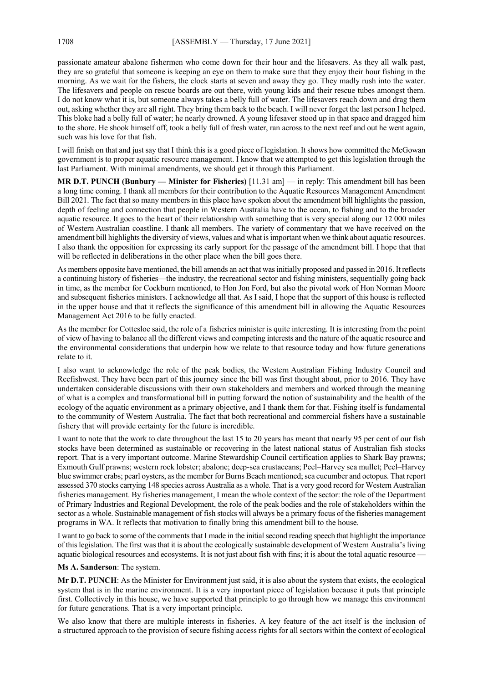passionate amateur abalone fishermen who come down for their hour and the lifesavers. As they all walk past, they are so grateful that someone is keeping an eye on them to make sure that they enjoy their hour fishing in the morning. As we wait for the fishers, the clock starts at seven and away they go. They madly rush into the water. The lifesavers and people on rescue boards are out there, with young kids and their rescue tubes amongst them. I do not know what it is, but someone always takes a belly full of water. The lifesavers reach down and drag them out, asking whether they are all right. They bring them back to the beach. I will never forget the last person I helped. This bloke had a belly full of water; he nearly drowned. A young lifesaver stood up in that space and dragged him to the shore. He shook himself off, took a belly full of fresh water, ran across to the next reef and out he went again, such was his love for that fish.

I will finish on that and just say that I think this is a good piece of legislation. It shows how committed the McGowan government is to proper aquatic resource management. I know that we attempted to get this legislation through the last Parliament. With minimal amendments, we should get it through this Parliament.

**MR D.T. PUNCH (Bunbury — Minister for Fisheries)** [11.31 am] — in reply: This amendment bill has been a long time coming. I thank all members for their contribution to the Aquatic Resources Management Amendment Bill 2021. The fact that so many members in this place have spoken about the amendment bill highlights the passion, depth of feeling and connection that people in Western Australia have to the ocean, to fishing and to the broader aquatic resource. It goes to the heart of their relationship with something that is very special along our 12 000 miles of Western Australian coastline. I thank all members. The variety of commentary that we have received on the amendment bill highlights the diversity of views, values and what is important when we think about aquatic resources. I also thank the opposition for expressing its early support for the passage of the amendment bill. I hope that that will be reflected in deliberations in the other place when the bill goes there.

As members opposite have mentioned, the bill amends an act that was initially proposed and passed in 2016. It reflects a continuing history of fisheries—the industry, the recreational sector and fishing ministers, sequentially going back in time, as the member for Cockburn mentioned, to Hon Jon Ford, but also the pivotal work of Hon Norman Moore and subsequent fisheries ministers. I acknowledge all that. As I said, I hope that the support of this house is reflected in the upper house and that it reflects the significance of this amendment bill in allowing the Aquatic Resources Management Act 2016 to be fully enacted.

As the member for Cottesloe said, the role of a fisheries minister is quite interesting. It is interesting from the point of view of having to balance all the different views and competing interests and the nature of the aquatic resource and the environmental considerations that underpin how we relate to that resource today and how future generations relate to it.

I also want to acknowledge the role of the peak bodies, the Western Australian Fishing Industry Council and Recfishwest. They have been part of this journey since the bill was first thought about, prior to 2016. They have undertaken considerable discussions with their own stakeholders and members and worked through the meaning of what is a complex and transformational bill in putting forward the notion of sustainability and the health of the ecology of the aquatic environment as a primary objective, and I thank them for that. Fishing itself is fundamental to the community of Western Australia. The fact that both recreational and commercial fishers have a sustainable fishery that will provide certainty for the future is incredible.

I want to note that the work to date throughout the last 15 to 20 years has meant that nearly 95 per cent of our fish stocks have been determined as sustainable or recovering in the latest national status of Australian fish stocks report. That is a very important outcome. Marine Stewardship Council certification applies to Shark Bay prawns; Exmouth Gulf prawns; western rock lobster; abalone; deep-sea crustaceans; Peel–Harvey sea mullet; Peel–Harvey blue swimmer crabs; pearl oysters, as the member for Burns Beach mentioned; sea cucumber and octopus. That report assessed 370 stocks carrying 148 species across Australia as a whole. That is a very good record for Western Australian fisheries management. By fisheries management, I mean the whole context of the sector: the role of the Department of Primary Industries and Regional Development, the role of the peak bodies and the role of stakeholders within the sector as a whole. Sustainable management of fish stocks will always be a primary focus of the fisheries management programs in WA. It reflects that motivation to finally bring this amendment bill to the house.

I want to go back to some of the comments that I made in the initial second reading speech that highlight the importance of this legislation. The first was that it is about the ecologically sustainable development of Western Australia's living aquatic biological resources and ecosystems. It is not just about fish with fins; it is about the total aquatic resource -

#### **Ms A. Sanderson**: The system.

**Mr D.T. PUNCH**: As the Minister for Environment just said, it is also about the system that exists, the ecological system that is in the marine environment. It is a very important piece of legislation because it puts that principle first. Collectively in this house, we have supported that principle to go through how we manage this environment for future generations. That is a very important principle.

We also know that there are multiple interests in fisheries. A key feature of the act itself is the inclusion of a structured approach to the provision of secure fishing access rights for all sectors within the context of ecological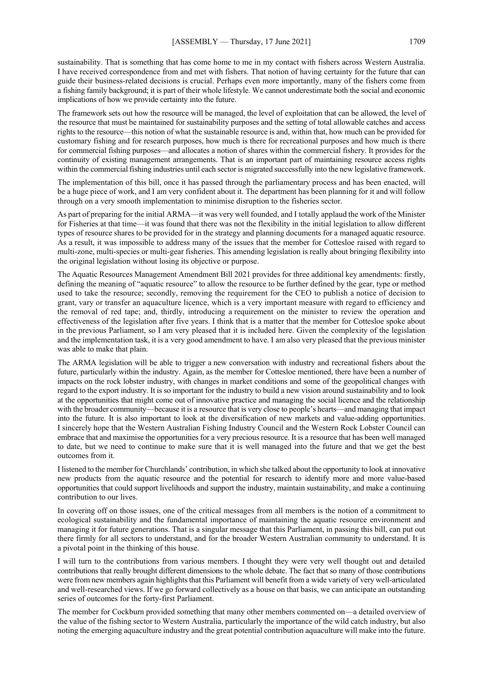sustainability. That is something that has come home to me in my contact with fishers across Western Australia. I have received correspondence from and met with fishers. That notion of having certainty for the future that can guide their business-related decisions is crucial. Perhaps even more importantly, many of the fishers come from a fishing family background; it is part of their whole lifestyle. We cannot underestimate both the social and economic implications of how we provide certainty into the future.

The framework sets out how the resource will be managed, the level of exploitation that can be allowed, the level of the resource that must be maintained for sustainability purposes and the setting of total allowable catches and access rights to the resource—this notion of what the sustainable resource is and, within that, how much can be provided for customary fishing and for research purposes, how much is there for recreational purposes and how much is there for commercial fishing purposes—and allocates a notion of shares within the commercial fishery. It provides for the continuity of existing management arrangements. That is an important part of maintaining resource access rights within the commercial fishing industries until each sector is migrated successfully into the new legislative framework.

The implementation of this bill, once it has passed through the parliamentary process and has been enacted, will be a huge piece of work, and I am very confident about it. The department has been planning for it and will follow through on a very smooth implementation to minimise disruption to the fisheries sector.

As part of preparing for the initial ARMA—it was very well founded, and I totally applaud the work of the Minister for Fisheries at that time—it was found that there was not the flexibility in the initial legislation to allow different types of resource shares to be provided for in the strategy and planning documents for a managed aquatic resource. As a result, it was impossible to address many of the issues that the member for Cottesloe raised with regard to multi-zone, multi-species or multi-gear fisheries. This amending legislation is really about bringing flexibility into the original legislation without losing its objective or purpose.

The Aquatic Resources Management Amendment Bill 2021 provides for three additional key amendments: firstly, defining the meaning of "aquatic resource" to allow the resource to be further defined by the gear, type or method used to take the resource; secondly, removing the requirement for the CEO to publish a notice of decision to grant, vary or transfer an aquaculture licence, which is a very important measure with regard to efficiency and the removal of red tape; and, thirdly, introducing a requirement on the minister to review the operation and effectiveness of the legislation after five years. I think that is a matter that the member for Cottesloe spoke about in the previous Parliament, so I am very pleased that it is included here. Given the complexity of the legislation and the implementation task, it is a very good amendment to have. I am also very pleased that the previous minister was able to make that plain.

The ARMA legislation will be able to trigger a new conversation with industry and recreational fishers about the future, particularly within the industry. Again, as the member for Cottesloe mentioned, there have been a number of impacts on the rock lobster industry, with changes in market conditions and some of the geopolitical changes with regard to the export industry. It is so important for the industry to build a new vision around sustainability and to look at the opportunities that might come out of innovative practice and managing the social licence and the relationship with the broader community—because it is a resource that is very close to people's hearts—and managing that impact into the future. It is also important to look at the diversification of new markets and value-adding opportunities. I sincerely hope that the Western Australian Fishing Industry Council and the Western Rock Lobster Council can embrace that and maximise the opportunities for a very precious resource. It is a resource that has been well managed to date, but we need to continue to make sure that it is well managed into the future and that we get the best outcomes from it.

I listened to the member for Churchlands' contribution, in which she talked about the opportunity to look at innovative new products from the aquatic resource and the potential for research to identify more and more value-based opportunities that could support livelihoods and support the industry, maintain sustainability, and make a continuing contribution to our lives.

In covering off on those issues, one of the critical messages from all members is the notion of a commitment to ecological sustainability and the fundamental importance of maintaining the aquatic resource environment and managing it for future generations. That is a singular message that this Parliament, in passing this bill, can put out there firmly for all sectors to understand, and for the broader Western Australian community to understand. It is a pivotal point in the thinking of this house.

I will turn to the contributions from various members. I thought they were very well thought out and detailed contributions that really brought different dimensions to the whole debate. The fact that so many of those contributions were from new members again highlights that this Parliament will benefit from a wide variety of very well-articulated and well-researched views. If we go forward collectively as a house on that basis, we can anticipate an outstanding series of outcomes for the forty-first Parliament.

The member for Cockburn provided something that many other members commented on—a detailed overview of the value of the fishing sector to Western Australia, particularly the importance of the wild catch industry, but also noting the emerging aquaculture industry and the great potential contribution aquaculture will make into the future.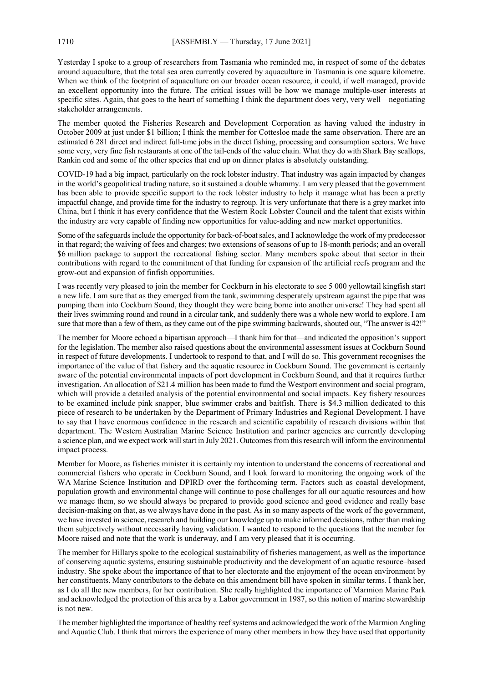Yesterday I spoke to a group of researchers from Tasmania who reminded me, in respect of some of the debates around aquaculture, that the total sea area currently covered by aquaculture in Tasmania is one square kilometre. When we think of the footprint of aquaculture on our broader ocean resource, it could, if well managed, provide an excellent opportunity into the future. The critical issues will be how we manage multiple-user interests at specific sites. Again, that goes to the heart of something I think the department does very, very well—negotiating stakeholder arrangements.

The member quoted the Fisheries Research and Development Corporation as having valued the industry in October 2009 at just under \$1 billion; I think the member for Cottesloe made the same observation. There are an estimated 6 281 direct and indirect full-time jobs in the direct fishing, processing and consumption sectors. We have some very, very fine fish restaurants at one of the tail-ends of the value chain. What they do with Shark Bay scallops, Rankin cod and some of the other species that end up on dinner plates is absolutely outstanding.

COVID-19 had a big impact, particularly on the rock lobster industry. That industry was again impacted by changes in the world's geopolitical trading nature, so it sustained a double whammy. I am very pleased that the government has been able to provide specific support to the rock lobster industry to help it manage what has been a pretty impactful change, and provide time for the industry to regroup. It is very unfortunate that there is a grey market into China, but I think it has every confidence that the Western Rock Lobster Council and the talent that exists within the industry are very capable of finding new opportunities for value-adding and new market opportunities.

Some of the safeguards include the opportunity for back-of-boat sales, and I acknowledge the work of my predecessor in that regard; the waiving of fees and charges; two extensions of seasons of up to 18-month periods; and an overall \$6 million package to support the recreational fishing sector. Many members spoke about that sector in their contributions with regard to the commitment of that funding for expansion of the artificial reefs program and the grow-out and expansion of finfish opportunities.

I was recently very pleased to join the member for Cockburn in his electorate to see 5 000 yellowtail kingfish start a new life. I am sure that as they emerged from the tank, swimming desperately upstream against the pipe that was pumping them into Cockburn Sound, they thought they were being borne into another universe! They had spent all their lives swimming round and round in a circular tank, and suddenly there was a whole new world to explore. I am sure that more than a few of them, as they came out of the pipe swimming backwards, shouted out, "The answer is 42!"

The member for Moore echoed a bipartisan approach—I thank him for that—and indicated the opposition's support for the legislation. The member also raised questions about the environmental assessment issues at Cockburn Sound in respect of future developments. I undertook to respond to that, and I will do so. This government recognises the importance of the value of that fishery and the aquatic resource in Cockburn Sound. The government is certainly aware of the potential environmental impacts of port development in Cockburn Sound, and that it requires further investigation. An allocation of \$21.4 million has been made to fund the Westport environment and social program, which will provide a detailed analysis of the potential environmental and social impacts. Key fishery resources to be examined include pink snapper, blue swimmer crabs and baitfish. There is \$4.3 million dedicated to this piece of research to be undertaken by the Department of Primary Industries and Regional Development. I have to say that I have enormous confidence in the research and scientific capability of research divisions within that department. The Western Australian Marine Science Institution and partner agencies are currently developing a science plan, and we expect work will start in July 2021. Outcomes from this research will inform the environmental impact process.

Member for Moore, as fisheries minister it is certainly my intention to understand the concerns of recreational and commercial fishers who operate in Cockburn Sound, and I look forward to monitoring the ongoing work of the WA Marine Science Institution and DPIRD over the forthcoming term. Factors such as coastal development, population growth and environmental change will continue to pose challenges for all our aquatic resources and how we manage them, so we should always be prepared to provide good science and good evidence and really base decision-making on that, as we always have done in the past. As in so many aspects of the work of the government, we have invested in science, research and building our knowledge up to make informed decisions, rather than making them subjectively without necessarily having validation. I wanted to respond to the questions that the member for Moore raised and note that the work is underway, and I am very pleased that it is occurring.

The member for Hillarys spoke to the ecological sustainability of fisheries management, as well as the importance of conserving aquatic systems, ensuring sustainable productivity and the development of an aquatic resource–based industry. She spoke about the importance of that to her electorate and the enjoyment of the ocean environment by her constituents. Many contributors to the debate on this amendment bill have spoken in similar terms. I thank her, as I do all the new members, for her contribution. She really highlighted the importance of Marmion Marine Park and acknowledged the protection of this area by a Labor government in 1987, so this notion of marine stewardship is not new.

The member highlighted the importance of healthy reef systems and acknowledged the work of the Marmion Angling and Aquatic Club. I think that mirrors the experience of many other members in how they have used that opportunity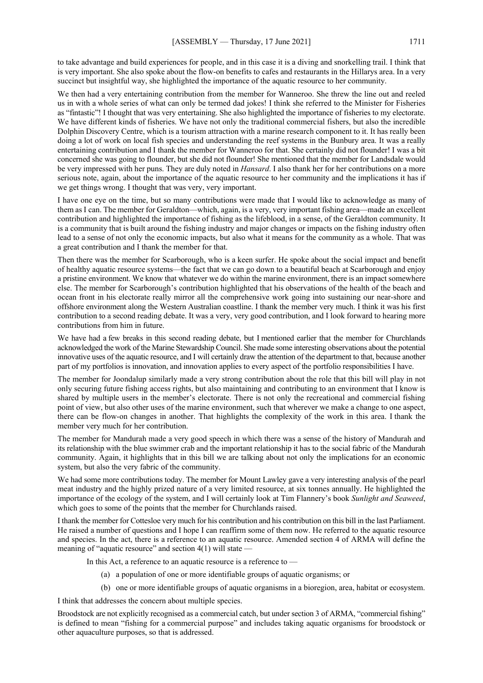to take advantage and build experiences for people, and in this case it is a diving and snorkelling trail. I think that is very important. She also spoke about the flow-on benefits to cafes and restaurants in the Hillarys area. In a very succinct but insightful way, she highlighted the importance of the aquatic resource to her community.

We then had a very entertaining contribution from the member for Wanneroo. She threw the line out and reeled us in with a whole series of what can only be termed dad jokes! I think she referred to the Minister for Fisheries as "fintastic"! I thought that was very entertaining. She also highlighted the importance of fisheries to my electorate. We have different kinds of fisheries. We have not only the traditional commercial fishers, but also the incredible Dolphin Discovery Centre, which is a tourism attraction with a marine research component to it. It has really been doing a lot of work on local fish species and understanding the reef systems in the Bunbury area. It was a really entertaining contribution and I thank the member for Wanneroo for that. She certainly did not flounder! I was a bit concerned she was going to flounder, but she did not flounder! She mentioned that the member for Landsdale would be very impressed with her puns. They are duly noted in *Hansard*. I also thank her for her contributions on a more serious note, again, about the importance of the aquatic resource to her community and the implications it has if we get things wrong. I thought that was very, very important.

I have one eye on the time, but so many contributions were made that I would like to acknowledge as many of them as I can. The member for Geraldton—which, again, is a very, very important fishing area—made an excellent contribution and highlighted the importance of fishing as the lifeblood, in a sense, of the Geraldton community. It is a community that is built around the fishing industry and major changes or impacts on the fishing industry often lead to a sense of not only the economic impacts, but also what it means for the community as a whole. That was a great contribution and I thank the member for that.

Then there was the member for Scarborough, who is a keen surfer. He spoke about the social impact and benefit of healthy aquatic resource systems—the fact that we can go down to a beautiful beach at Scarborough and enjoy a pristine environment. We know that whatever we do within the marine environment, there is an impact somewhere else. The member for Scarborough's contribution highlighted that his observations of the health of the beach and ocean front in his electorate really mirror all the comprehensive work going into sustaining our near-shore and offshore environment along the Western Australian coastline. I thank the member very much. I think it was his first contribution to a second reading debate. It was a very, very good contribution, and I look forward to hearing more contributions from him in future.

We have had a few breaks in this second reading debate, but I mentioned earlier that the member for Churchlands acknowledged the work of the Marine Stewardship Council. She made some interesting observations about the potential innovative uses of the aquatic resource, and I will certainly draw the attention of the department to that, because another part of my portfolios is innovation, and innovation applies to every aspect of the portfolio responsibilities I have.

The member for Joondalup similarly made a very strong contribution about the role that this bill will play in not only securing future fishing access rights, but also maintaining and contributing to an environment that I know is shared by multiple users in the member's electorate. There is not only the recreational and commercial fishing point of view, but also other uses of the marine environment, such that wherever we make a change to one aspect, there can be flow-on changes in another. That highlights the complexity of the work in this area. I thank the member very much for her contribution.

The member for Mandurah made a very good speech in which there was a sense of the history of Mandurah and its relationship with the blue swimmer crab and the important relationship it has to the social fabric of the Mandurah community. Again, it highlights that in this bill we are talking about not only the implications for an economic system, but also the very fabric of the community.

We had some more contributions today. The member for Mount Lawley gave a very interesting analysis of the pearl meat industry and the highly prized nature of a very limited resource, at six tonnes annually. He highlighted the importance of the ecology of the system, and I will certainly look at Tim Flannery's book *Sunlight and Seaweed*, which goes to some of the points that the member for Churchlands raised.

I thank the member for Cottesloe very much for his contribution and his contribution on this bill in the last Parliament. He raised a number of questions and I hope I can reaffirm some of them now. He referred to the aquatic resource and species. In the act, there is a reference to an aquatic resource. Amended section 4 of ARMA will define the meaning of "aquatic resource" and section  $4(1)$  will state —

In this Act, a reference to an aquatic resource is a reference to —

- (a) a population of one or more identifiable groups of aquatic organisms; or
- (b) one or more identifiable groups of aquatic organisms in a bioregion, area, habitat or ecosystem.

I think that addresses the concern about multiple species.

Broodstock are not explicitly recognised as a commercial catch, but under section 3 of ARMA, "commercial fishing" is defined to mean "fishing for a commercial purpose" and includes taking aquatic organisms for broodstock or other aquaculture purposes, so that is addressed.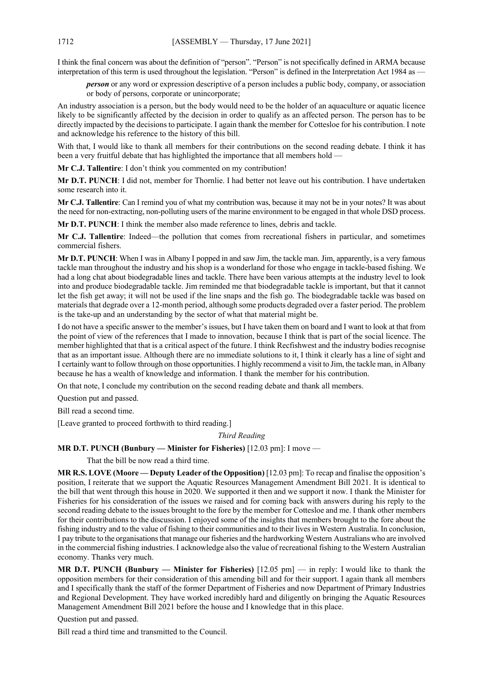I think the final concern was about the definition of "person". "Person" is not specifically defined in ARMA because interpretation of this term is used throughout the legislation. "Person" is defined in the Interpretation Act 1984 as

*person* or any word or expression descriptive of a person includes a public body, company, or association or body of persons, corporate or unincorporate;

An industry association is a person, but the body would need to be the holder of an aquaculture or aquatic licence likely to be significantly affected by the decision in order to qualify as an affected person. The person has to be directly impacted by the decisions to participate. I again thank the member for Cottesloe for his contribution. I note and acknowledge his reference to the history of this bill.

With that, I would like to thank all members for their contributions on the second reading debate. I think it has been a very fruitful debate that has highlighted the importance that all members hold —

**Mr C.J. Tallentire**: I don't think you commented on my contribution!

**Mr D.T. PUNCH**: I did not, member for Thornlie. I had better not leave out his contribution. I have undertaken some research into it.

**Mr C.J. Tallentire**: Can I remind you of what my contribution was, because it may not be in your notes? It was about the need for non-extracting, non-polluting users of the marine environment to be engaged in that whole DSD process.

**Mr D.T. PUNCH**: I think the member also made reference to lines, debris and tackle.

**Mr C.J. Tallentire**: Indeed—the pollution that comes from recreational fishers in particular, and sometimes commercial fishers.

**Mr D.T. PUNCH**: When I was in Albany I popped in and saw Jim, the tackle man. Jim, apparently, is a very famous tackle man throughout the industry and his shop is a wonderland for those who engage in tackle-based fishing. We had a long chat about biodegradable lines and tackle. There have been various attempts at the industry level to look into and produce biodegradable tackle. Jim reminded me that biodegradable tackle is important, but that it cannot let the fish get away; it will not be used if the line snaps and the fish go. The biodegradable tackle was based on materials that degrade over a 12-month period, although some products degraded over a faster period. The problem is the take-up and an understanding by the sector of what that material might be.

I do not have a specific answer to the member's issues, but I have taken them on board and I want to look at that from the point of view of the references that I made to innovation, because I think that is part of the social licence. The member highlighted that that is a critical aspect of the future. I think Recfishwest and the industry bodies recognise that as an important issue. Although there are no immediate solutions to it, I think it clearly has a line of sight and I certainly want to follow through on those opportunities. I highly recommend a visit to Jim, the tackle man, in Albany because he has a wealth of knowledge and information. I thank the member for his contribution.

On that note, I conclude my contribution on the second reading debate and thank all members.

Question put and passed.

Bill read a second time.

[Leave granted to proceed forthwith to third reading.]

*Third Reading*

# **MR D.T. PUNCH (Bunbury — Minister for Fisheries)** [12.03 pm]: I move —

That the bill be now read a third time.

**MR R.S. LOVE (Moore — Deputy Leader of the Opposition)** [12.03 pm]: To recap and finalise the opposition's position, I reiterate that we support the Aquatic Resources Management Amendment Bill 2021. It is identical to the bill that went through this house in 2020. We supported it then and we support it now. I thank the Minister for Fisheries for his consideration of the issues we raised and for coming back with answers during his reply to the second reading debate to the issues brought to the fore by the member for Cottesloe and me. I thank other members for their contributions to the discussion. I enjoyed some of the insights that members brought to the fore about the fishing industry and to the value of fishing to their communities and to their lives in Western Australia. In conclusion, I pay tribute to the organisations that manage our fisheries and the hardworking Western Australians who are involved in the commercial fishing industries. I acknowledge also the value of recreational fishing to the Western Australian economy. Thanks very much.

**MR D.T. PUNCH (Bunbury — Minister for Fisheries)** [12.05 pm] — in reply: I would like to thank the opposition members for their consideration of this amending bill and for their support. I again thank all members and I specifically thank the staff of the former Department of Fisheries and now Department of Primary Industries and Regional Development. They have worked incredibly hard and diligently on bringing the Aquatic Resources Management Amendment Bill 2021 before the house and I knowledge that in this place.

Question put and passed.

Bill read a third time and transmitted to the Council.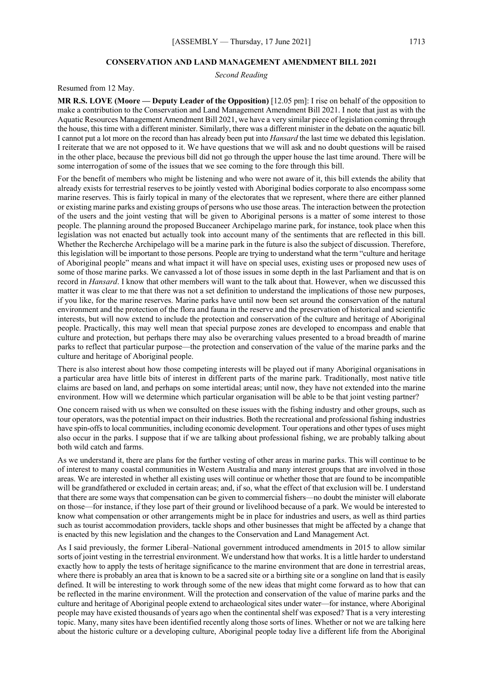#### **CONSERVATION AND LAND MANAGEMENT AMENDMENT BILL 2021**

*Second Reading*

Resumed from 12 May.

**MR R.S. LOVE (Moore — Deputy Leader of the Opposition)** [12.05 pm]: I rise on behalf of the opposition to make a contribution to the Conservation and Land Management Amendment Bill 2021. I note that just as with the Aquatic Resources Management Amendment Bill 2021, we have a very similar piece of legislation coming through the house, this time with a different minister. Similarly, there was a different minister in the debate on the aquatic bill. I cannot put a lot more on the record than has already been put into *Hansard* the last time we debated this legislation. I reiterate that we are not opposed to it. We have questions that we will ask and no doubt questions will be raised in the other place, because the previous bill did not go through the upper house the last time around. There will be some interrogation of some of the issues that we see coming to the fore through this bill.

For the benefit of members who might be listening and who were not aware of it, this bill extends the ability that already exists for terrestrial reserves to be jointly vested with Aboriginal bodies corporate to also encompass some marine reserves. This is fairly topical in many of the electorates that we represent, where there are either planned or existing marine parks and existing groups of persons who use those areas. The interaction between the protection of the users and the joint vesting that will be given to Aboriginal persons is a matter of some interest to those people. The planning around the proposed Buccaneer Archipelago marine park, for instance, took place when this legislation was not enacted but actually took into account many of the sentiments that are reflected in this bill. Whether the Recherche Archipelago will be a marine park in the future is also the subject of discussion. Therefore, this legislation will be important to those persons. People are trying to understand what the term "culture and heritage of Aboriginal people" means and what impact it will have on special uses, existing uses or proposed new uses of some of those marine parks. We canvassed a lot of those issues in some depth in the last Parliament and that is on record in *Hansard*. I know that other members will want to the talk about that. However, when we discussed this matter it was clear to me that there was not a set definition to understand the implications of those new purposes, if you like, for the marine reserves. Marine parks have until now been set around the conservation of the natural environment and the protection of the flora and fauna in the reserve and the preservation of historical and scientific interests, but will now extend to include the protection and conservation of the culture and heritage of Aboriginal people. Practically, this may well mean that special purpose zones are developed to encompass and enable that culture and protection, but perhaps there may also be overarching values presented to a broad breadth of marine parks to reflect that particular purpose—the protection and conservation of the value of the marine parks and the culture and heritage of Aboriginal people.

There is also interest about how those competing interests will be played out if many Aboriginal organisations in a particular area have little bits of interest in different parts of the marine park. Traditionally, most native title claims are based on land, and perhaps on some intertidal areas; until now, they have not extended into the marine environment. How will we determine which particular organisation will be able to be that joint vesting partner?

One concern raised with us when we consulted on these issues with the fishing industry and other groups, such as tour operators, was the potential impact on their industries. Both the recreational and professional fishing industries have spin-offs to local communities, including economic development. Tour operations and other types of uses might also occur in the parks. I suppose that if we are talking about professional fishing, we are probably talking about both wild catch and farms.

As we understand it, there are plans for the further vesting of other areas in marine parks. This will continue to be of interest to many coastal communities in Western Australia and many interest groups that are involved in those areas. We are interested in whether all existing uses will continue or whether those that are found to be incompatible will be grandfathered or excluded in certain areas; and, if so, what the effect of that exclusion will be. I understand that there are some ways that compensation can be given to commercial fishers—no doubt the minister will elaborate on those—for instance, if they lose part of their ground or livelihood because of a park. We would be interested to know what compensation or other arrangements might be in place for industries and users, as well as third parties such as tourist accommodation providers, tackle shops and other businesses that might be affected by a change that is enacted by this new legislation and the changes to the Conservation and Land Management Act.

As I said previously, the former Liberal–National government introduced amendments in 2015 to allow similar sorts of joint vesting in the terrestrial environment. We understand how that works. It is a little harder to understand exactly how to apply the tests of heritage significance to the marine environment that are done in terrestrial areas, where there is probably an area that is known to be a sacred site or a birthing site or a songline on land that is easily defined. It will be interesting to work through some of the new ideas that might come forward as to how that can be reflected in the marine environment. Will the protection and conservation of the value of marine parks and the culture and heritage of Aboriginal people extend to archaeological sites under water—for instance, where Aboriginal people may have existed thousands of years ago when the continental shelf was exposed? That is a very interesting topic. Many, many sites have been identified recently along those sorts of lines. Whether or not we are talking here about the historic culture or a developing culture, Aboriginal people today live a different life from the Aboriginal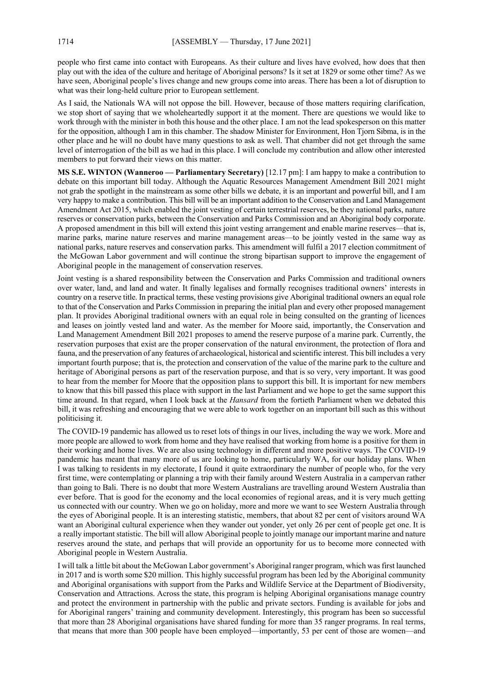people who first came into contact with Europeans. As their culture and lives have evolved, how does that then play out with the idea of the culture and heritage of Aboriginal persons? Is it set at 1829 or some other time? As we have seen, Aboriginal people's lives change and new groups come into areas. There has been a lot of disruption to what was their long-held culture prior to European settlement.

As I said, the Nationals WA will not oppose the bill. However, because of those matters requiring clarification, we stop short of saying that we wholeheartedly support it at the moment. There are questions we would like to work through with the minister in both this house and the other place. I am not the lead spokesperson on this matter for the opposition, although I am in this chamber. The shadow Minister for Environment, Hon Tjorn Sibma, is in the other place and he will no doubt have many questions to ask as well. That chamber did not get through the same level of interrogation of the bill as we had in this place. I will conclude my contribution and allow other interested members to put forward their views on this matter.

**MS S.E. WINTON (Wanneroo — Parliamentary Secretary)** [12.17 pm]: I am happy to make a contribution to debate on this important bill today. Although the Aquatic Resources Management Amendment Bill 2021 might not grab the spotlight in the mainstream as some other bills we debate, it is an important and powerful bill, and I am very happy to make a contribution. This bill will be an important addition to the Conservation and Land Management Amendment Act 2015, which enabled the joint vesting of certain terrestrial reserves, be they national parks, nature reserves or conservation parks, between the Conservation and Parks Commission and an Aboriginal body corporate. A proposed amendment in this bill will extend this joint vesting arrangement and enable marine reserves—that is, marine parks, marine nature reserves and marine management areas—to be jointly vested in the same way as national parks, nature reserves and conservation parks. This amendment will fulfil a 2017 election commitment of the McGowan Labor government and will continue the strong bipartisan support to improve the engagement of Aboriginal people in the management of conservation reserves.

Joint vesting is a shared responsibility between the Conservation and Parks Commission and traditional owners over water, land, and land and water. It finally legalises and formally recognises traditional owners' interests in country on a reserve title. In practical terms, these vesting provisions give Aboriginal traditional owners an equal role to that of the Conservation and Parks Commission in preparing the initial plan and every other proposed management plan. It provides Aboriginal traditional owners with an equal role in being consulted on the granting of licences and leases on jointly vested land and water. As the member for Moore said, importantly, the Conservation and Land Management Amendment Bill 2021 proposes to amend the reserve purpose of a marine park. Currently, the reservation purposes that exist are the proper conservation of the natural environment, the protection of flora and fauna, and the preservation of any features of archaeological, historical and scientific interest. This bill includes a very important fourth purpose; that is, the protection and conservation of the value of the marine park to the culture and heritage of Aboriginal persons as part of the reservation purpose, and that is so very, very important. It was good to hear from the member for Moore that the opposition plans to support this bill. It is important for new members to know that this bill passed this place with support in the last Parliament and we hope to get the same support this time around. In that regard, when I look back at the *Hansard* from the fortieth Parliament when we debated this bill, it was refreshing and encouraging that we were able to work together on an important bill such as this without politicising it.

The COVID-19 pandemic has allowed us to reset lots of things in our lives, including the way we work. More and more people are allowed to work from home and they have realised that working from home is a positive for them in their working and home lives. We are also using technology in different and more positive ways. The COVID-19 pandemic has meant that many more of us are looking to home, particularly WA, for our holiday plans. When I was talking to residents in my electorate, I found it quite extraordinary the number of people who, for the very first time, were contemplating or planning a trip with their family around Western Australia in a campervan rather than going to Bali. There is no doubt that more Western Australians are travelling around Western Australia than ever before. That is good for the economy and the local economies of regional areas, and it is very much getting us connected with our country. When we go on holiday, more and more we want to see Western Australia through the eyes of Aboriginal people. It is an interesting statistic, members, that about 82 per cent of visitors around WA want an Aboriginal cultural experience when they wander out yonder, yet only 26 per cent of people get one. It is a really important statistic. The bill will allow Aboriginal people to jointly manage our important marine and nature reserves around the state, and perhaps that will provide an opportunity for us to become more connected with Aboriginal people in Western Australia.

I will talk a little bit about the McGowan Labor government's Aboriginal ranger program, which was first launched in 2017 and is worth some \$20 million. This highly successful program has been led by the Aboriginal community and Aboriginal organisations with support from the Parks and Wildlife Service at the Department of Biodiversity, Conservation and Attractions. Across the state, this program is helping Aboriginal organisations manage country and protect the environment in partnership with the public and private sectors. Funding is available for jobs and for Aboriginal rangers' training and community development. Interestingly, this program has been so successful that more than 28 Aboriginal organisations have shared funding for more than 35 ranger programs. In real terms, that means that more than 300 people have been employed—importantly, 53 per cent of those are women—and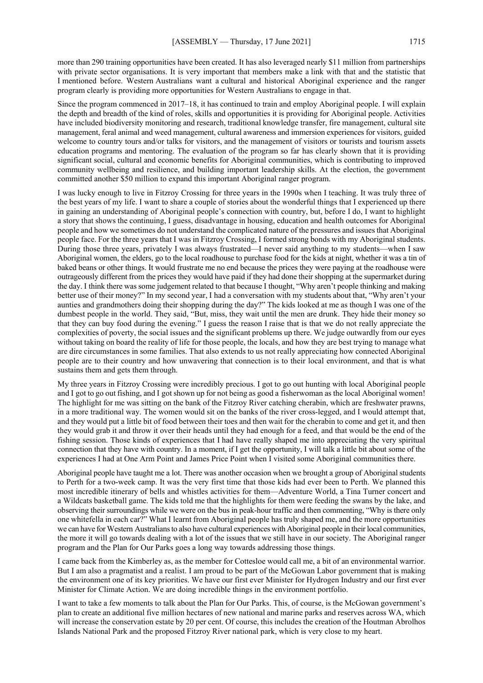more than 290 training opportunities have been created. It has also leveraged nearly \$11 million from partnerships with private sector organisations. It is very important that members make a link with that and the statistic that I mentioned before. Western Australians want a cultural and historical Aboriginal experience and the ranger program clearly is providing more opportunities for Western Australians to engage in that.

Since the program commenced in 2017–18, it has continued to train and employ Aboriginal people. I will explain the depth and breadth of the kind of roles, skills and opportunities it is providing for Aboriginal people. Activities have included biodiversity monitoring and research, traditional knowledge transfer, fire management, cultural site management, feral animal and weed management, cultural awareness and immersion experiences for visitors, guided welcome to country tours and/or talks for visitors, and the management of visitors or tourists and tourism assets education programs and mentoring. The evaluation of the program so far has clearly shown that it is providing significant social, cultural and economic benefits for Aboriginal communities, which is contributing to improved community wellbeing and resilience, and building important leadership skills. At the election, the government committed another \$50 million to expand this important Aboriginal ranger program.

I was lucky enough to live in Fitzroy Crossing for three years in the 1990s when I teaching. It was truly three of the best years of my life. I want to share a couple of stories about the wonderful things that I experienced up there in gaining an understanding of Aboriginal people's connection with country, but, before I do, I want to highlight a story that shows the continuing, I guess, disadvantage in housing, education and health outcomes for Aboriginal people and how we sometimes do not understand the complicated nature of the pressures and issues that Aboriginal people face. For the three years that I was in Fitzroy Crossing, I formed strong bonds with my Aboriginal students. During those three years, privately I was always frustrated—I never said anything to my students—when I saw Aboriginal women, the elders, go to the local roadhouse to purchase food for the kids at night, whether it was a tin of baked beans or other things. It would frustrate me no end because the prices they were paying at the roadhouse were outrageously different from the prices they would have paid if they had done their shopping at the supermarket during the day. I think there was some judgement related to that because I thought, "Why aren't people thinking and making better use of their money?" In my second year, I had a conversation with my students about that, "Why aren't your aunties and grandmothers doing their shopping during the day?" The kids looked at me as though I was one of the dumbest people in the world. They said, "But, miss, they wait until the men are drunk. They hide their money so that they can buy food during the evening." I guess the reason I raise that is that we do not really appreciate the complexities of poverty, the social issues and the significant problems up there. We judge outwardly from our eyes without taking on board the reality of life for those people, the locals, and how they are best trying to manage what are dire circumstances in some families. That also extends to us not really appreciating how connected Aboriginal people are to their country and how unwavering that connection is to their local environment, and that is what sustains them and gets them through.

My three years in Fitzroy Crossing were incredibly precious. I got to go out hunting with local Aboriginal people and I got to go out fishing, and I got shown up for not being as good a fisherwoman as the local Aboriginal women! The highlight for me was sitting on the bank of the Fitzroy River catching cherabin, which are freshwater prawns, in a more traditional way. The women would sit on the banks of the river cross-legged, and I would attempt that, and they would put a little bit of food between their toes and then wait for the cherabin to come and get it, and then they would grab it and throw it over their heads until they had enough for a feed, and that would be the end of the fishing session. Those kinds of experiences that I had have really shaped me into appreciating the very spiritual connection that they have with country. In a moment, if I get the opportunity, I will talk a little bit about some of the experiences I had at One Arm Point and James Price Point when I visited some Aboriginal communities there.

Aboriginal people have taught me a lot. There was another occasion when we brought a group of Aboriginal students to Perth for a two-week camp. It was the very first time that those kids had ever been to Perth. We planned this most incredible itinerary of bells and whistles activities for them—Adventure World, a Tina Turner concert and a Wildcats basketball game. The kids told me that the highlights for them were feeding the swans by the lake, and observing their surroundings while we were on the bus in peak-hour traffic and then commenting, "Why is there only one whitefella in each car?" What I learnt from Aboriginal people has truly shaped me, and the more opportunities we can have for Western Australians to also have cultural experiences with Aboriginal people in their local communities, the more it will go towards dealing with a lot of the issues that we still have in our society. The Aboriginal ranger program and the Plan for Our Parks goes a long way towards addressing those things.

I came back from the Kimberley as, as the member for Cottesloe would call me, a bit of an environmental warrior. But I am also a pragmatist and a realist. I am proud to be part of the McGowan Labor government that is making the environment one of its key priorities. We have our first ever Minister for Hydrogen Industry and our first ever Minister for Climate Action. We are doing incredible things in the environment portfolio.

I want to take a few moments to talk about the Plan for Our Parks. This, of course, is the McGowan government's plan to create an additional five million hectares of new national and marine parks and reserves across WA, which will increase the conservation estate by 20 per cent. Of course, this includes the creation of the Houtman Abrolhos Islands National Park and the proposed Fitzroy River national park, which is very close to my heart.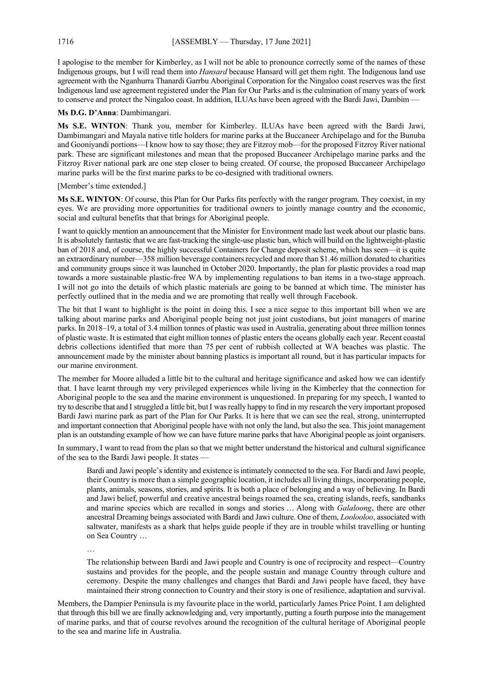I apologise to the member for Kimberley, as I will not be able to pronounce correctly some of the names of these Indigenous groups, but I will read them into *Hansard* because Hansard will get them right. The Indigenous land use agreement with the Nganhurra Thanardi Garrbu Aboriginal Corporation for the Ningaloo coast reserves was the first Indigenous land use agreement registered under the Plan for Our Parks and is the culmination of many years of work to conserve and protect the Ningaloo coast. In addition, ILUAs have been agreed with the Bardi Jawi, Dambim —

**Ms D.G. D'Anna**: Dambimangari.

**Ms S.E. WINTON**: Thank you, member for Kimberley. ILUAs have been agreed with the Bardi Jawi, Dambimangari and Mayala native title holders for marine parks at the Buccaneer Archipelago and for the Bunuba and Gooniyandi portions—I know how to say those; they are Fitzroy mob—for the proposed Fitzroy River national park. These are significant milestones and mean that the proposed Buccaneer Archipelago marine parks and the Fitzroy River national park are one step closer to being created. Of course, the proposed Buccaneer Archipelago marine parks will be the first marine parks to be co-designed with traditional owners.

[Member's time extended.]

**Ms S.E. WINTON**: Of course, this Plan for Our Parks fits perfectly with the ranger program. They coexist, in my eyes. We are providing more opportunities for traditional owners to jointly manage country and the economic, social and cultural benefits that that brings for Aboriginal people.

I want to quickly mention an announcement that the Minister for Environment made last week about our plastic bans. It is absolutely fantastic that we are fast-tracking the single-use plastic ban, which will build on the lightweight-plastic ban of 2018 and, of course, the highly successful Containers for Change deposit scheme, which has seen—it is quite an extraordinary number—358 million beverage containers recycled and more than \$1.46 million donated to charities and community groups since it was launched in October 2020. Importantly, the plan for plastic provides a road map towards a more sustainable plastic-free WA by implementing regulations to ban items in a two-stage approach. I will not go into the details of which plastic materials are going to be banned at which time. The minister has perfectly outlined that in the media and we are promoting that really well through Facebook.

The bit that I want to highlight is the point in doing this. I see a nice segue to this important bill when we are talking about marine parks and Aboriginal people being not just joint custodians, but joint managers of marine parks. In 2018–19, a total of 3.4 million tonnes of plastic was used in Australia, generating about three million tonnes of plastic waste. It is estimated that eight million tonnes of plastic enters the oceans globally each year. Recent coastal debris collections identified that more than 75 per cent of rubbish collected at WA beaches was plastic. The announcement made by the minister about banning plastics is important all round, but it has particular impacts for our marine environment.

The member for Moore alluded a little bit to the cultural and heritage significance and asked how we can identify that. I have learnt through my very privileged experiences while living in the Kimberley that the connection for Aboriginal people to the sea and the marine environment is unquestioned. In preparing for my speech, I wanted to try to describe that and I struggled a little bit, butI was really happy to find in my research the very important proposed Bardi Jawi marine park as part of the Plan for Our Parks. It is here that we can see the real, strong, uninterrupted and important connection that Aboriginal people have with not only the land, but also the sea. This joint management plan is an outstanding example of how we can have future marine parks that have Aboriginal people as joint organisers.

In summary, I want to read from the plan so that we might better understand the historical and cultural significance of the sea to the Bardi Jawi people. It states —

Bardi and Jawi people's identity and existence is intimately connected to the sea. For Bardi and Jawi people, their Country is more than a simple geographic location, it includes all living things, incorporating people, plants, animals, seasons, stories, and spirits. It is both a place of belonging and a way of believing. In Bardi and Jawi belief, powerful and creative ancestral beings roamed the sea, creating islands, reefs, sandbanks and marine species which are recalled in songs and stories … Along with *Galaloong*, there are other ancestral Dreaming beings associated with Bardi and Jawi culture. One of them, *Loolooloo*, associated with saltwater, manifests as a shark that helps guide people if they are in trouble whilst travelling or hunting on Sea Country …

…

The relationship between Bardi and Jawi people and Country is one of reciprocity and respect—Country sustains and provides for the people, and the people sustain and manage Country through culture and ceremony. Despite the many challenges and changes that Bardi and Jawi people have faced, they have maintained their strong connection to Country and their story is one of resilience, adaptation and survival.

Members, the Dampier Peninsula is my favourite place in the world, particularly James Price Point. I am delighted that through this bill we are finally acknowledging and, very importantly, putting a fourth purpose into the management of marine parks, and that of course revolves around the recognition of the cultural heritage of Aboriginal people to the sea and marine life in Australia.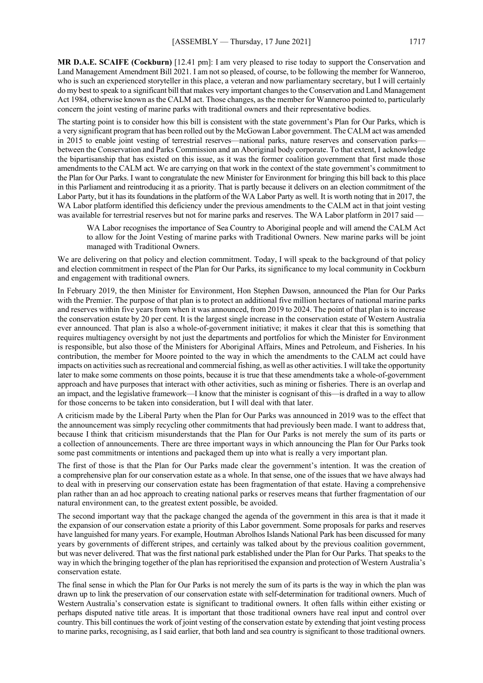**MR D.A.E. SCAIFE (Cockburn)** [12.41 pm]: I am very pleased to rise today to support the Conservation and Land Management Amendment Bill 2021. I am not so pleased, of course, to be following the member for Wanneroo, who is such an experienced storyteller in this place, a veteran and now parliamentary secretary, but I will certainly do my best to speak to a significant bill that makes very important changes to the Conservation and Land Management Act 1984, otherwise known as the CALM act. Those changes, as the member for Wanneroo pointed to, particularly concern the joint vesting of marine parks with traditional owners and their representative bodies.

The starting point is to consider how this bill is consistent with the state government's Plan for Our Parks, which is a very significant program that has been rolled out by the McGowan Labor government. The CALM act was amended in 2015 to enable joint vesting of terrestrial reserves—national parks, nature reserves and conservation parks between the Conservation and Parks Commission and an Aboriginal body corporate. To that extent, I acknowledge the bipartisanship that has existed on this issue, as it was the former coalition government that first made those amendments to the CALM act. We are carrying on that work in the context of the state government's commitment to the Plan for Our Parks. I want to congratulate the new Minister for Environment for bringing this bill back to this place in this Parliament and reintroducing it as a priority. That is partly because it delivers on an election commitment of the Labor Party, but it has its foundations in the platform of the WA Labor Party as well. It is worth noting that in 2017, the WA Labor platform identified this deficiency under the previous amendments to the CALM act in that joint vesting was available for terrestrial reserves but not for marine parks and reserves. The WA Labor platform in 2017 said -

WA Labor recognises the importance of Sea Country to Aboriginal people and will amend the CALM Act to allow for the Joint Vesting of marine parks with Traditional Owners. New marine parks will be joint managed with Traditional Owners.

We are delivering on that policy and election commitment. Today, I will speak to the background of that policy and election commitment in respect of the Plan for Our Parks, its significance to my local community in Cockburn and engagement with traditional owners.

In February 2019, the then Minister for Environment, Hon Stephen Dawson, announced the Plan for Our Parks with the Premier. The purpose of that plan is to protect an additional five million hectares of national marine parks and reserves within five years from when it was announced, from 2019 to 2024. The point of that plan is to increase the conservation estate by 20 per cent. It is the largest single increase in the conservation estate of Western Australia ever announced. That plan is also a whole-of-government initiative; it makes it clear that this is something that requires multiagency oversight by not just the departments and portfolios for which the Minister for Environment is responsible, but also those of the Ministers for Aboriginal Affairs, Mines and Petroleum, and Fisheries. In his contribution, the member for Moore pointed to the way in which the amendments to the CALM act could have impacts on activities such as recreational and commercial fishing, as well as other activities. I will take the opportunity later to make some comments on those points, because it is true that these amendments take a whole-of-government approach and have purposes that interact with other activities, such as mining or fisheries. There is an overlap and an impact, and the legislative framework—I know that the minister is cognisant of this—is drafted in a way to allow for those concerns to be taken into consideration, but I will deal with that later.

A criticism made by the Liberal Party when the Plan for Our Parks was announced in 2019 was to the effect that the announcement was simply recycling other commitments that had previously been made. I want to address that, because I think that criticism misunderstands that the Plan for Our Parks is not merely the sum of its parts or a collection of announcements. There are three important ways in which announcing the Plan for Our Parks took some past commitments or intentions and packaged them up into what is really a very important plan.

The first of those is that the Plan for Our Parks made clear the government's intention. It was the creation of a comprehensive plan for our conservation estate as a whole. In that sense, one of the issues that we have always had to deal with in preserving our conservation estate has been fragmentation of that estate. Having a comprehensive plan rather than an ad hoc approach to creating national parks or reserves means that further fragmentation of our natural environment can, to the greatest extent possible, be avoided.

The second important way that the package changed the agenda of the government in this area is that it made it the expansion of our conservation estate a priority of this Labor government. Some proposals for parks and reserves have languished for many years. For example, Houtman Abrolhos Islands National Park has been discussed for many years by governments of different stripes, and certainly was talked about by the previous coalition government, but was never delivered. That was the first national park established under the Plan for Our Parks. That speaks to the way in which the bringing together of the plan has reprioritised the expansion and protection of Western Australia's conservation estate.

The final sense in which the Plan for Our Parks is not merely the sum of its parts is the way in which the plan was drawn up to link the preservation of our conservation estate with self-determination for traditional owners. Much of Western Australia's conservation estate is significant to traditional owners. It often falls within either existing or perhaps disputed native title areas. It is important that those traditional owners have real input and control over country. This bill continues the work of joint vesting of the conservation estate by extending that joint vesting process to marine parks, recognising, as I said earlier, that both land and sea country is significant to those traditional owners.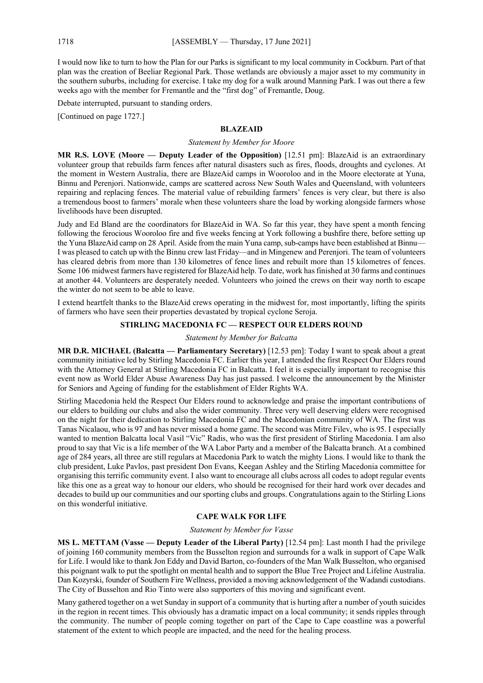I would now like to turn to how the Plan for our Parks is significant to my local community in Cockburn. Part of that plan was the creation of Beeliar Regional Park. Those wetlands are obviously a major asset to my community in the southern suburbs, including for exercise. I take my dog for a walk around Manning Park. I was out there a few weeks ago with the member for Fremantle and the "first dog" of Fremantle, Doug.

Debate interrupted, pursuant to standing orders.

[Continued on page 1727.]

# **BLAZEAID**

#### *Statement by Member for Moore*

**MR R.S. LOVE (Moore — Deputy Leader of the Opposition)** [12.51 pm]: BlazeAid is an extraordinary volunteer group that rebuilds farm fences after natural disasters such as fires, floods, droughts and cyclones. At the moment in Western Australia, there are BlazeAid camps in Wooroloo and in the Moore electorate at Yuna, Binnu and Perenjori. Nationwide, camps are scattered across New South Wales and Queensland, with volunteers repairing and replacing fences. The material value of rebuilding farmers' fences is very clear, but there is also a tremendous boost to farmers' morale when these volunteers share the load by working alongside farmers whose livelihoods have been disrupted.

Judy and Ed Bland are the coordinators for BlazeAid in WA. So far this year, they have spent a month fencing following the ferocious Wooroloo fire and five weeks fencing at York following a bushfire there, before setting up the Yuna BlazeAid camp on 28 April. Aside from the main Yuna camp, sub-camps have been established at Binnu— I was pleased to catch up with the Binnu crew last Friday—and in Mingenew and Perenjori. The team of volunteers has cleared debris from more than 130 kilometres of fence lines and rebuilt more than 15 kilometres of fences. Some 106 midwest farmers have registered for BlazeAid help. To date, work has finished at 30 farms and continues at another 44. Volunteers are desperately needed. Volunteers who joined the crews on their way north to escape the winter do not seem to be able to leave.

I extend heartfelt thanks to the BlazeAid crews operating in the midwest for, most importantly, lifting the spirits of farmers who have seen their properties devastated by tropical cyclone Seroja.

# **STIRLING MACEDONIA FC — RESPECT OUR ELDERS ROUND**

#### *Statement by Member for Balcatta*

**MR D.R. MICHAEL (Balcatta — Parliamentary Secretary)** [12.53 pm]: Today I want to speak about a great community initiative led by Stirling Macedonia FC. Earlier this year, I attended the first Respect Our Elders round with the Attorney General at Stirling Macedonia FC in Balcatta. I feel it is especially important to recognise this event now as World Elder Abuse Awareness Day has just passed. I welcome the announcement by the Minister for Seniors and Ageing of funding for the establishment of Elder Rights WA.

Stirling Macedonia held the Respect Our Elders round to acknowledge and praise the important contributions of our elders to building our clubs and also the wider community. Three very well deserving elders were recognised on the night for their dedication to Stirling Macedonia FC and the Macedonian community of WA. The first was Tanas Nicalaou, who is 97 and has never missed a home game. The second was Mitre Filev, who is 95. I especially wanted to mention Balcatta local Vasil "Vic" Radis, who was the first president of Stirling Macedonia. I am also proud to say that Vic is a life member of the WA Labor Party and a member of the Balcatta branch. At a combined age of 284 years, all three are still regulars at Macedonia Park to watch the mighty Lions. I would like to thank the club president, Luke Pavlos, past president Don Evans, Keegan Ashley and the Stirling Macedonia committee for organising this terrific community event. I also want to encourage all clubs across all codes to adopt regular events like this one as a great way to honour our elders, who should be recognised for their hard work over decades and decades to build up our communities and our sporting clubs and groups. Congratulations again to the Stirling Lions on this wonderful initiative.

#### **CAPE WALK FOR LIFE**

#### *Statement by Member for Vasse*

**MS L. METTAM (Vasse — Deputy Leader of the Liberal Party)** [12.54 pm]: Last month I had the privilege of joining 160 community members from the Busselton region and surrounds for a walk in support of Cape Walk for Life. I would like to thank Jon Eddy and David Barton, co-founders of the Man Walk Busselton, who organised this poignant walk to put the spotlight on mental health and to support the Blue Tree Project and Lifeline Australia. Dan Kozyrski, founder of Southern Fire Wellness, provided a moving acknowledgement of the Wadandi custodians. The City of Busselton and Rio Tinto were also supporters of this moving and significant event.

Many gathered together on a wet Sunday in support of a community that is hurting after a number of youth suicides in the region in recent times. This obviously has a dramatic impact on a local community; it sends ripples through the community. The number of people coming together on part of the Cape to Cape coastline was a powerful statement of the extent to which people are impacted, and the need for the healing process.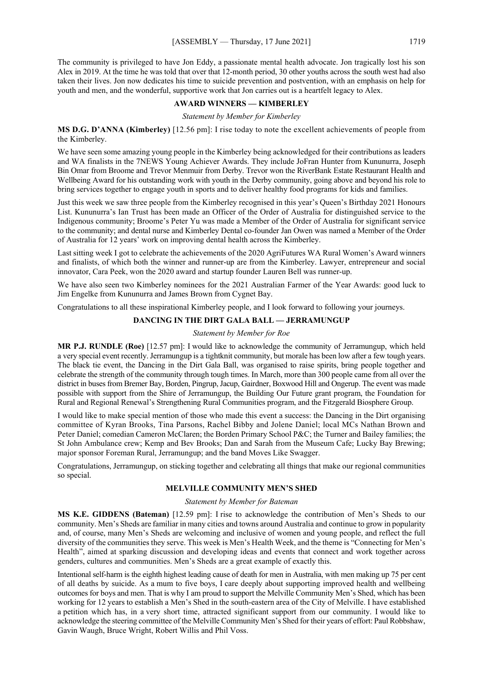The community is privileged to have Jon Eddy, a passionate mental health advocate. Jon tragically lost his son Alex in 2019. At the time he was told that over that 12-month period, 30 other youths across the south west had also taken their lives. Jon now dedicates his time to suicide prevention and postvention, with an emphasis on help for youth and men, and the wonderful, supportive work that Jon carries out is a heartfelt legacy to Alex.

#### **AWARD WINNERS — KIMBERLEY**

*Statement by Member for Kimberley*

**MS D.G. D'ANNA (Kimberley)** [12.56 pm]: I rise today to note the excellent achievements of people from the Kimberley.

We have seen some amazing young people in the Kimberley being acknowledged for their contributions as leaders and WA finalists in the 7NEWS Young Achiever Awards. They include JoFran Hunter from Kununurra, Joseph Bin Omar from Broome and Trevor Menmuir from Derby. Trevor won the RiverBank Estate Restaurant Health and Wellbeing Award for his outstanding work with youth in the Derby community, going above and beyond his role to bring services together to engage youth in sports and to deliver healthy food programs for kids and families.

Just this week we saw three people from the Kimberley recognised in this year's Queen's Birthday 2021 Honours List. Kununurra's Ian Trust has been made an Officer of the Order of Australia for distinguished service to the Indigenous community; Broome's Peter Yu was made a Member of the Order of Australia for significant service to the community; and dental nurse and Kimberley Dental co-founder Jan Owen was named a Member of the Order of Australia for 12 years' work on improving dental health across the Kimberley.

Last sitting week I got to celebrate the achievements of the 2020 AgriFutures WA Rural Women's Award winners and finalists, of which both the winner and runner-up are from the Kimberley. Lawyer, entrepreneur and social innovator, Cara Peek, won the 2020 award and startup founder Lauren Bell was runner-up.

We have also seen two Kimberley nominees for the 2021 Australian Farmer of the Year Awards: good luck to Jim Engelke from Kununurra and James Brown from Cygnet Bay.

Congratulations to all these inspirational Kimberley people, and I look forward to following your journeys.

#### **DANCING IN THE DIRT GALA BALL — JERRAMUNGUP**

#### *Statement by Member for Roe*

**MR P.J. RUNDLE (Roe)** [12.57 pm]: I would like to acknowledge the community of Jerramungup, which held a very special event recently. Jerramungup is a tightknit community, but morale has been low after a few tough years. The black tie event, the Dancing in the Dirt Gala Ball, was organised to raise spirits, bring people together and celebrate the strength of the community through tough times. In March, more than 300 people came from all over the district in buses from Bremer Bay, Borden, Pingrup, Jacup, Gairdner, Boxwood Hill and Ongerup. The event was made possible with support from the Shire of Jerramungup, the Building Our Future grant program, the Foundation for Rural and Regional Renewal's Strengthening Rural Communities program, and the Fitzgerald Biosphere Group.

I would like to make special mention of those who made this event a success: the Dancing in the Dirt organising committee of Kyran Brooks, Tina Parsons, Rachel Bibby and Jolene Daniel; local MCs Nathan Brown and Peter Daniel; comedian Cameron McClaren; the Borden Primary School P&C; the Turner and Bailey families; the St John Ambulance crew; Kemp and Bev Brooks; Dan and Sarah from the Museum Cafe; Lucky Bay Brewing; major sponsor Foreman Rural, Jerramungup; and the band Moves Like Swagger.

Congratulations, Jerramungup, on sticking together and celebrating all things that make our regional communities so special.

# **MELVILLE COMMUNITY MEN'S SHED**

# *Statement by Member for Bateman*

**MS K.E. GIDDENS (Bateman)** [12.59 pm]: I rise to acknowledge the contribution of Men's Sheds to our community. Men's Sheds are familiar in many cities and towns around Australia and continue to grow in popularity and, of course, many Men's Sheds are welcoming and inclusive of women and young people, and reflect the full diversity of the communities they serve. This week is Men's Health Week, and the theme is "Connecting for Men's Health", aimed at sparking discussion and developing ideas and events that connect and work together across genders, cultures and communities. Men's Sheds are a great example of exactly this.

Intentional self-harm is the eighth highest leading cause of death for men in Australia, with men making up 75 per cent of all deaths by suicide. As a mum to five boys, I care deeply about supporting improved health and wellbeing outcomes for boys and men. That is why I am proud to support the Melville Community Men's Shed, which has been working for 12 years to establish a Men's Shed in the south-eastern area of the City of Melville. I have established a petition which has, in a very short time, attracted significant support from our community. I would like to acknowledge the steering committee of the Melville Community Men's Shed for their years of effort: Paul Robbshaw, Gavin Waugh, Bruce Wright, Robert Willis and Phil Voss.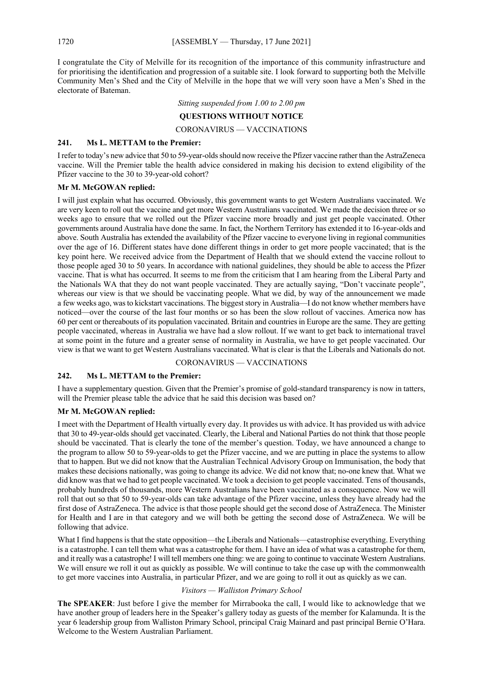I congratulate the City of Melville for its recognition of the importance of this community infrastructure and for prioritising the identification and progression of a suitable site. I look forward to supporting both the Melville Community Men's Shed and the City of Melville in the hope that we will very soon have a Men's Shed in the electorate of Bateman.

*Sitting suspended from 1.00 to 2.00 pm*

## **QUESTIONS WITHOUT NOTICE**

CORONAVIRUS — VACCINATIONS

#### **241. Ms L. METTAM to the Premier:**

I refer to today's new advice that 50 to 59-year-olds should now receive the Pfizer vaccine rather than the AstraZeneca vaccine. Will the Premier table the health advice considered in making his decision to extend eligibility of the Pfizer vaccine to the 30 to 39-year-old cohort?

#### **Mr M. McGOWAN replied:**

I will just explain what has occurred. Obviously, this government wants to get Western Australians vaccinated. We are very keen to roll out the vaccine and get more Western Australians vaccinated. We made the decision three or so weeks ago to ensure that we rolled out the Pfizer vaccine more broadly and just get people vaccinated. Other governments around Australia have done the same. In fact, the Northern Territory has extended it to 16-year-olds and above. South Australia has extended the availability of the Pfizer vaccine to everyone living in regional communities over the age of 16. Different states have done different things in order to get more people vaccinated; that is the key point here. We received advice from the Department of Health that we should extend the vaccine rollout to those people aged 30 to 50 years. In accordance with national guidelines, they should be able to access the Pfizer vaccine. That is what has occurred. It seems to me from the criticism that I am hearing from the Liberal Party and the Nationals WA that they do not want people vaccinated. They are actually saying, "Don't vaccinate people", whereas our view is that we should be vaccinating people. What we did, by way of the announcement we made a few weeks ago, was to kickstart vaccinations. The biggest story in Australia—I do not know whether members have noticed—over the course of the last four months or so has been the slow rollout of vaccines. America now has 60 per cent or thereabouts of its population vaccinated. Britain and countries in Europe are the same. They are getting people vaccinated, whereas in Australia we have had a slow rollout. If we want to get back to international travel at some point in the future and a greater sense of normality in Australia, we have to get people vaccinated. Our view is that we want to get Western Australians vaccinated. What is clear is that the Liberals and Nationals do not.

# CORONAVIRUS — VACCINATIONS

# **242. Ms L. METTAM to the Premier:**

I have a supplementary question. Given that the Premier's promise of gold-standard transparency is now in tatters, will the Premier please table the advice that he said this decision was based on?

#### **Mr M. McGOWAN replied:**

I meet with the Department of Health virtually every day. It provides us with advice. It has provided us with advice that 30 to 49-year-olds should get vaccinated. Clearly, the Liberal and National Parties do not think that those people should be vaccinated. That is clearly the tone of the member's question. Today, we have announced a change to the program to allow 50 to 59-year-olds to get the Pfizer vaccine, and we are putting in place the systems to allow that to happen. But we did not know that the Australian Technical Advisory Group on Immunisation, the body that makes these decisions nationally, was going to change its advice. We did not know that; no-one knew that. What we did know was that we had to get people vaccinated. We took a decision to get people vaccinated. Tens of thousands, probably hundreds of thousands, more Western Australians have been vaccinated as a consequence. Now we will roll that out so that 50 to 59-year-olds can take advantage of the Pfizer vaccine, unless they have already had the first dose of AstraZeneca. The advice is that those people should get the second dose of AstraZeneca. The Minister for Health and I are in that category and we will both be getting the second dose of AstraZeneca. We will be following that advice.

What I find happens is that the state opposition—the Liberals and Nationals—catastrophise everything. Everything is a catastrophe. I can tell them what was a catastrophe for them. I have an idea of what was a catastrophe for them, and it really was a catastrophe! I will tell members one thing: we are going to continue to vaccinate Western Australians. We will ensure we roll it out as quickly as possible. We will continue to take the case up with the commonwealth to get more vaccines into Australia, in particular Pfizer, and we are going to roll it out as quickly as we can.

# *Visitors — Walliston Primary School*

**The SPEAKER**: Just before I give the member for Mirrabooka the call, I would like to acknowledge that we have another group of leaders here in the Speaker's gallery today as guests of the member for Kalamunda. It is the year 6 leadership group from Walliston Primary School, principal Craig Mainard and past principal Bernie O'Hara. Welcome to the Western Australian Parliament.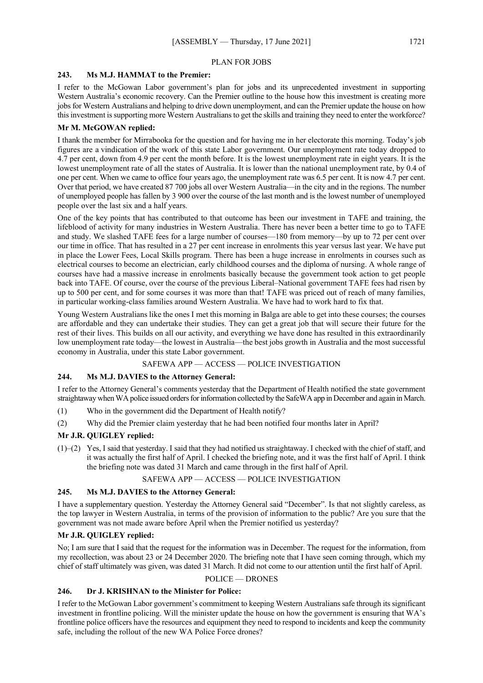#### PLAN FOR JOBS

# **243. Ms M.J. HAMMAT to the Premier:**

I refer to the McGowan Labor government's plan for jobs and its unprecedented investment in supporting Western Australia's economic recovery. Can the Premier outline to the house how this investment is creating more jobs for Western Australians and helping to drive down unemployment, and can the Premier update the house on how this investment is supporting more Western Australians to get the skills and training they need to enter the workforce?

# **Mr M. McGOWAN replied:**

I thank the member for Mirrabooka for the question and for having me in her electorate this morning. Today's job figures are a vindication of the work of this state Labor government. Our unemployment rate today dropped to 4.7 per cent, down from 4.9 per cent the month before. It is the lowest unemployment rate in eight years. It is the lowest unemployment rate of all the states of Australia. It is lower than the national unemployment rate, by 0.4 of one per cent. When we came to office four years ago, the unemployment rate was 6.5 per cent. It is now 4.7 per cent. Over that period, we have created 87 700 jobs all over Western Australia—in the city and in the regions. The number of unemployed people has fallen by 3 900 over the course of the last month and is the lowest number of unemployed people over the last six and a half years.

One of the key points that has contributed to that outcome has been our investment in TAFE and training, the lifeblood of activity for many industries in Western Australia. There has never been a better time to go to TAFE and study. We slashed TAFE fees for a large number of courses—180 from memory—by up to 72 per cent over our time in office. That has resulted in a 27 per cent increase in enrolments this year versus last year. We have put in place the Lower Fees, Local Skills program. There has been a huge increase in enrolments in courses such as electrical courses to become an electrician, early childhood courses and the diploma of nursing. A whole range of courses have had a massive increase in enrolments basically because the government took action to get people back into TAFE. Of course, over the course of the previous Liberal–National government TAFE fees had risen by up to 500 per cent, and for some courses it was more than that! TAFE was priced out of reach of many families, in particular working-class families around Western Australia. We have had to work hard to fix that.

Young Western Australians like the ones I met this morning in Balga are able to get into these courses; the courses are affordable and they can undertake their studies. They can get a great job that will secure their future for the rest of their lives. This builds on all our activity, and everything we have done has resulted in this extraordinarily low unemployment rate today—the lowest in Australia—the best jobs growth in Australia and the most successful economy in Australia, under this state Labor government.

## SAFEWA APP — ACCESS — POLICE INVESTIGATION

# **244. Ms M.J. DAVIES to the Attorney General:**

I refer to the Attorney General's comments yesterday that the Department of Health notified the state government straightaway when WA police issued orders for information collected by the SafeWA app in December and again in March.

- (1) Who in the government did the Department of Health notify?
- (2) Why did the Premier claim yesterday that he had been notified four months later in April?

#### **Mr J.R. QUIGLEY replied:**

(1)–(2) Yes, I said that yesterday. I said that they had notified us straightaway. I checked with the chief of staff, and it was actually the first half of April. I checked the briefing note, and it was the first half of April. I think the briefing note was dated 31 March and came through in the first half of April.

# SAFEWA APP — ACCESS — POLICE INVESTIGATION

# **245. Ms M.J. DAVIES to the Attorney General:**

I have a supplementary question. Yesterday the Attorney General said "December". Is that not slightly careless, as the top lawyer in Western Australia, in terms of the provision of information to the public? Are you sure that the government was not made aware before April when the Premier notified us yesterday?

#### **Mr J.R. QUIGLEY replied:**

No; I am sure that I said that the request for the information was in December. The request for the information, from my recollection, was about 23 or 24 December 2020. The briefing note that I have seen coming through, which my chief of staff ultimately was given, was dated 31 March. It did not come to our attention until the first half of April.

#### POLICE — DRONES

#### **246. Dr J. KRISHNAN to the Minister for Police:**

I refer to the McGowan Labor government's commitment to keeping Western Australians safe through its significant investment in frontline policing. Will the minister update the house on how the government is ensuring that WA's frontline police officers have the resources and equipment they need to respond to incidents and keep the community safe, including the rollout of the new WA Police Force drones?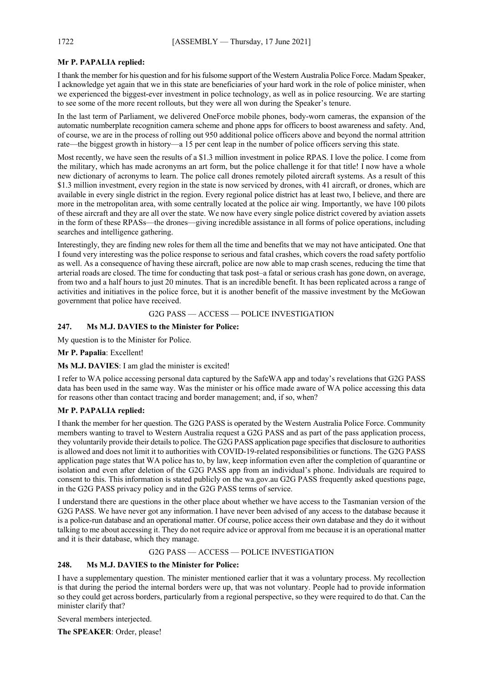# **Mr P. PAPALIA replied:**

I thank the member for his question and for his fulsome support of the Western Australia Police Force. Madam Speaker, I acknowledge yet again that we in this state are beneficiaries of your hard work in the role of police minister, when we experienced the biggest-ever investment in police technology, as well as in police resourcing. We are starting to see some of the more recent rollouts, but they were all won during the Speaker's tenure.

In the last term of Parliament, we delivered OneForce mobile phones, body-worn cameras, the expansion of the automatic numberplate recognition camera scheme and phone apps for officers to boost awareness and safety. And, of course, we are in the process of rolling out 950 additional police officers above and beyond the normal attrition rate—the biggest growth in history—a 15 per cent leap in the number of police officers serving this state.

Most recently, we have seen the results of a \$1.3 million investment in police RPAS. I love the police. I come from the military, which has made acronyms an art form, but the police challenge it for that title! I now have a whole new dictionary of acronyms to learn. The police call drones remotely piloted aircraft systems. As a result of this \$1.3 million investment, every region in the state is now serviced by drones, with 41 aircraft, or drones, which are available in every single district in the region. Every regional police district has at least two, I believe, and there are more in the metropolitan area, with some centrally located at the police air wing. Importantly, we have 100 pilots of these aircraft and they are all over the state. We now have every single police district covered by aviation assets in the form of these RPASs—the drones—giving incredible assistance in all forms of police operations, including searches and intelligence gathering.

Interestingly, they are finding new roles for them all the time and benefits that we may not have anticipated. One that I found very interesting was the police response to serious and fatal crashes, which covers the road safety portfolio as well. As a consequence of having these aircraft, police are now able to map crash scenes, reducing the time that arterial roads are closed. The time for conducting that task post–a fatal or serious crash has gone down, on average, from two and a half hours to just 20 minutes. That is an incredible benefit. It has been replicated across a range of activities and initiatives in the police force, but it is another benefit of the massive investment by the McGowan government that police have received.

#### G2G PASS — ACCESS — POLICE INVESTIGATION

### **247. Ms M.J. DAVIES to the Minister for Police:**

My question is to the Minister for Police.

# **Mr P. Papalia**: Excellent!

#### **Ms M.J. DAVIES**: I am glad the minister is excited!

I refer to WA police accessing personal data captured by the SafeWA app and today's revelations that G2G PASS data has been used in the same way. Was the minister or his office made aware of WA police accessing this data for reasons other than contact tracing and border management; and, if so, when?

# **Mr P. PAPALIA replied:**

I thank the member for her question. The G2G PASS is operated by the Western Australia Police Force. Community members wanting to travel to Western Australia request a G2G PASS and as part of the pass application process, they voluntarily provide their details to police. The G2G PASS application page specifies that disclosure to authorities is allowed and does not limit it to authorities with COVID-19-related responsibilities or functions. The G2G PASS application page states that WA police has to, by law, keep information even after the completion of quarantine or isolation and even after deletion of the G2G PASS app from an individual's phone. Individuals are required to consent to this. This information is stated publicly on the wa.gov.au G2G PASS frequently asked questions page, in the G2G PASS privacy policy and in the G2G PASS terms of service.

I understand there are questions in the other place about whether we have access to the Tasmanian version of the G2G PASS. We have never got any information. I have never been advised of any access to the database because it is a police-run database and an operational matter. Of course, police access their own database and they do it without talking to me about accessing it. They do not require advice or approval from me because it is an operational matter and it is their database, which they manage.

#### G2G PASS — ACCESS — POLICE INVESTIGATION

#### **248. Ms M.J. DAVIES to the Minister for Police:**

I have a supplementary question. The minister mentioned earlier that it was a voluntary process. My recollection is that during the period the internal borders were up, that was not voluntary. People had to provide information so they could get across borders, particularly from a regional perspective, so they were required to do that. Can the minister clarify that?

Several members interjected.

**The SPEAKER**: Order, please!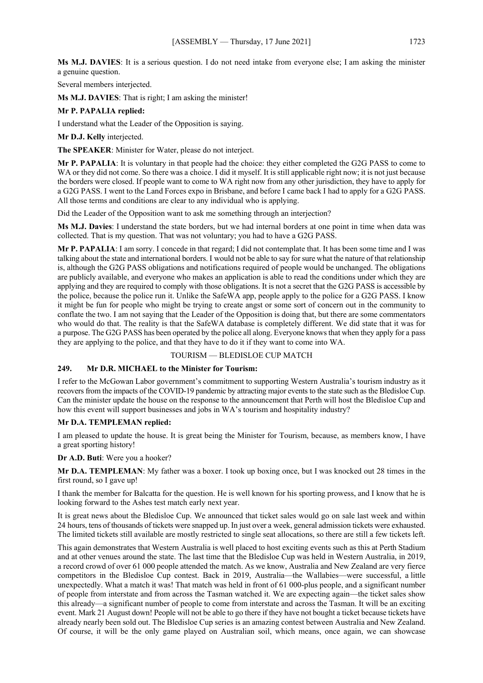**Ms M.J. DAVIES**: It is a serious question. I do not need intake from everyone else; I am asking the minister a genuine question.

Several members interjected.

**Ms M.J. DAVIES**: That is right; I am asking the minister!

#### **Mr P. PAPALIA replied:**

I understand what the Leader of the Opposition is saying.

**Mr D.J. Kelly** interjected.

**The SPEAKER**: Minister for Water, please do not interject.

**Mr P. PAPALIA**: It is voluntary in that people had the choice: they either completed the G2G PASS to come to WA or they did not come. So there was a choice. I did it myself. It is still applicable right now; it is not just because the borders were closed. If people want to come to WA right now from any other jurisdiction, they have to apply for a G2G PASS. I went to the Land Forces expo in Brisbane, and before I came back I had to apply for a G2G PASS. All those terms and conditions are clear to any individual who is applying.

Did the Leader of the Opposition want to ask me something through an interjection?

**Ms M.J. Davies**: I understand the state borders, but we had internal borders at one point in time when data was collected. That is my question. That was not voluntary; you had to have a G2G PASS.

**Mr P. PAPALIA**: I am sorry. I concede in that regard; I did not contemplate that. It has been some time and I was talking about the state and international borders. I would not be able to say for sure what the nature of that relationship is, although the G2G PASS obligations and notifications required of people would be unchanged. The obligations are publicly available, and everyone who makes an application is able to read the conditions under which they are applying and they are required to comply with those obligations. It is not a secret that the G2G PASS is accessible by the police, because the police run it. Unlike the SafeWA app, people apply to the police for a G2G PASS. I know it might be fun for people who might be trying to create angst or some sort of concern out in the community to conflate the two. I am not saying that the Leader of the Opposition is doing that, but there are some commentators who would do that. The reality is that the SafeWA database is completely different. We did state that it was for a purpose. The G2G PASS has been operated by the police all along. Everyone knows that when they apply for a pass they are applying to the police, and that they have to do it if they want to come into WA.

#### TOURISM — BLEDISLOE CUP MATCH

# **249. Mr D.R. MICHAEL to the Minister for Tourism:**

I refer to the McGowan Labor government's commitment to supporting Western Australia's tourism industry as it recovers from the impacts of the COVID-19 pandemic by attracting major events to the state such as the Bledisloe Cup. Can the minister update the house on the response to the announcement that Perth will host the Bledisloe Cup and how this event will support businesses and jobs in WA's tourism and hospitality industry?

#### **Mr D.A. TEMPLEMAN replied:**

I am pleased to update the house. It is great being the Minister for Tourism, because, as members know, I have a great sporting history!

**Dr A.D. Buti**: Were you a hooker?

**Mr D.A. TEMPLEMAN**: My father was a boxer. I took up boxing once, but I was knocked out 28 times in the first round, so I gave up!

I thank the member for Balcatta for the question. He is well known for his sporting prowess, and I know that he is looking forward to the Ashes test match early next year.

It is great news about the Bledisloe Cup. We announced that ticket sales would go on sale last week and within 24 hours, tens of thousands of tickets were snapped up. In just over a week, general admission tickets were exhausted. The limited tickets still available are mostly restricted to single seat allocations, so there are still a few tickets left.

This again demonstrates that Western Australia is well placed to host exciting events such as this at Perth Stadium and at other venues around the state. The last time that the Bledisloe Cup was held in Western Australia, in 2019, a record crowd of over 61 000 people attended the match. As we know, Australia and New Zealand are very fierce competitors in the Bledisloe Cup contest. Back in 2019, Australia—the Wallabies—were successful, a little unexpectedly. What a match it was! That match was held in front of 61 000-plus people, and a significant number of people from interstate and from across the Tasman watched it. We are expecting again—the ticket sales show this already—a significant number of people to come from interstate and across the Tasman. It will be an exciting event. Mark 21 August down! People will not be able to go there if they have not bought a ticket because tickets have already nearly been sold out. The Bledisloe Cup series is an amazing contest between Australia and New Zealand. Of course, it will be the only game played on Australian soil, which means, once again, we can showcase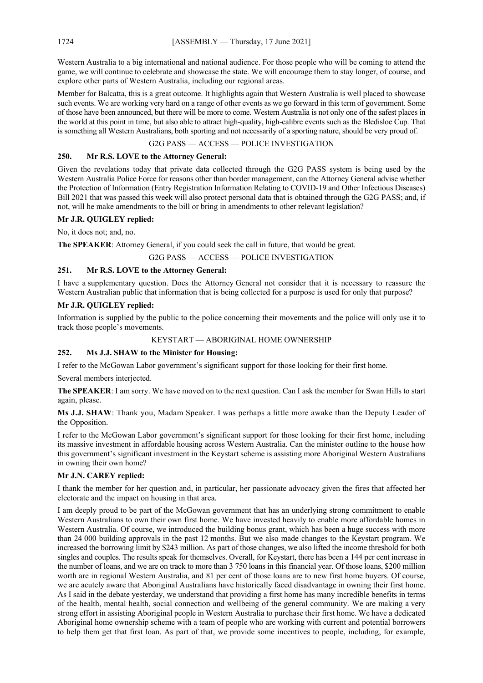Western Australia to a big international and national audience. For those people who will be coming to attend the game, we will continue to celebrate and showcase the state. We will encourage them to stay longer, of course, and explore other parts of Western Australia, including our regional areas.

Member for Balcatta, this is a great outcome. It highlights again that Western Australia is well placed to showcase such events. We are working very hard on a range of other events as we go forward in this term of government. Some of those have been announced, but there will be more to come. Western Australia is not only one of the safest places in the world at this point in time, but also able to attract high-quality, high-calibre events such as the Bledisloe Cup. That is something all Western Australians, both sporting and not necessarily of a sporting nature, should be very proud of.

# G2G PASS — ACCESS — POLICE INVESTIGATION

# **250. Mr R.S. LOVE to the Attorney General:**

Given the revelations today that private data collected through the G2G PASS system is being used by the Western Australia Police Force for reasons other than border management, can the Attorney General advise whether the Protection of Information (Entry Registration Information Relating to COVID-19 and Other Infectious Diseases) Bill 2021 that was passed this week will also protect personal data that is obtained through the G2G PASS; and, if not, will he make amendments to the bill or bring in amendments to other relevant legislation?

# **Mr J.R. QUIGLEY replied:**

No, it does not; and, no.

**The SPEAKER**: Attorney General, if you could seek the call in future, that would be great.

G2G PASS — ACCESS — POLICE INVESTIGATION

#### **251. Mr R.S. LOVE to the Attorney General:**

I have a supplementary question. Does the Attorney General not consider that it is necessary to reassure the Western Australian public that information that is being collected for a purpose is used for only that purpose?

#### **Mr J.R. QUIGLEY replied:**

Information is supplied by the public to the police concerning their movements and the police will only use it to track those people's movements.

#### KEYSTART — ABORIGINAL HOME OWNERSHIP

# **252. Ms J.J. SHAW to the Minister for Housing:**

I refer to the McGowan Labor government's significant support for those looking for their first home.

Several members interjected.

**The SPEAKER**: I am sorry. We have moved on to the next question. Can I ask the member for Swan Hills to start again, please.

**Ms J.J. SHAW**: Thank you, Madam Speaker. I was perhaps a little more awake than the Deputy Leader of the Opposition.

I refer to the McGowan Labor government's significant support for those looking for their first home, including its massive investment in affordable housing across Western Australia. Can the minister outline to the house how this government's significant investment in the Keystart scheme is assisting more Aboriginal Western Australians in owning their own home?

# **Mr J.N. CAREY replied:**

I thank the member for her question and, in particular, her passionate advocacy given the fires that affected her electorate and the impact on housing in that area.

I am deeply proud to be part of the McGowan government that has an underlying strong commitment to enable Western Australians to own their own first home. We have invested heavily to enable more affordable homes in Western Australia. Of course, we introduced the building bonus grant, which has been a huge success with more than 24 000 building approvals in the past 12 months. But we also made changes to the Keystart program. We increased the borrowing limit by \$243 million. As part of those changes, we also lifted the income threshold for both singles and couples. The results speak for themselves. Overall, for Keystart, there has been a 144 per cent increase in the number of loans, and we are on track to more than 3 750 loans in this financial year. Of those loans, \$200 million worth are in regional Western Australia, and 81 per cent of those loans are to new first home buyers. Of course, we are acutely aware that Aboriginal Australians have historically faced disadvantage in owning their first home. As I said in the debate yesterday, we understand that providing a first home has many incredible benefits in terms of the health, mental health, social connection and wellbeing of the general community. We are making a very strong effort in assisting Aboriginal people in Western Australia to purchase their first home. We have a dedicated Aboriginal home ownership scheme with a team of people who are working with current and potential borrowers to help them get that first loan. As part of that, we provide some incentives to people, including, for example,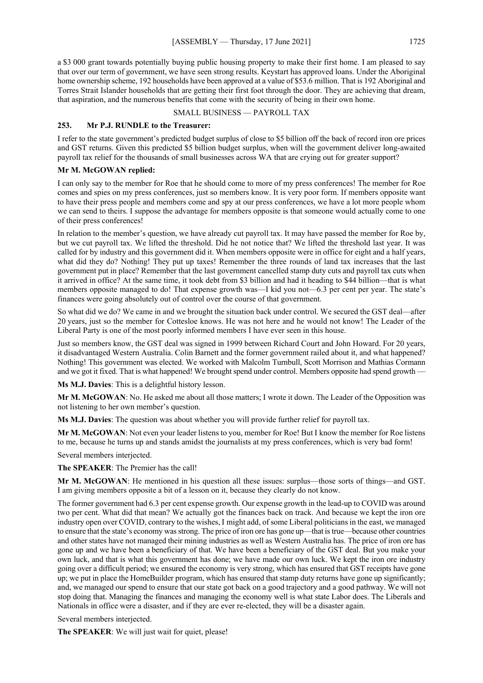a \$3 000 grant towards potentially buying public housing property to make their first home. I am pleased to say that over our term of government, we have seen strong results. Keystart has approved loans. Under the Aboriginal home ownership scheme, 192 households have been approved at a value of \$53.6 million. That is 192 Aboriginal and Torres Strait Islander households that are getting their first foot through the door. They are achieving that dream, that aspiration, and the numerous benefits that come with the security of being in their own home.

# SMALL BUSINESS — PAYROLL TAX

# **253. Mr P.J. RUNDLE to the Treasurer:**

I refer to the state government's predicted budget surplus of close to \$5 billion off the back of record iron ore prices and GST returns. Given this predicted \$5 billion budget surplus, when will the government deliver long-awaited payroll tax relief for the thousands of small businesses across WA that are crying out for greater support?

# **Mr M. McGOWAN replied:**

I can only say to the member for Roe that he should come to more of my press conferences! The member for Roe comes and spies on my press conferences, just so members know. It is very poor form. If members opposite want to have their press people and members come and spy at our press conferences, we have a lot more people whom we can send to theirs. I suppose the advantage for members opposite is that someone would actually come to one of their press conferences!

In relation to the member's question, we have already cut payroll tax. It may have passed the member for Roe by, but we cut payroll tax. We lifted the threshold. Did he not notice that? We lifted the threshold last year. It was called for by industry and this government did it. When members opposite were in office for eight and a half years, what did they do? Nothing! They put up taxes! Remember the three rounds of land tax increases that the last government put in place? Remember that the last government cancelled stamp duty cuts and payroll tax cuts when it arrived in office? At the same time, it took debt from \$3 billion and had it heading to \$44 billion—that is what members opposite managed to do! That expense growth was—I kid you not—6.3 per cent per year. The state's finances were going absolutely out of control over the course of that government.

So what did we do? We came in and we brought the situation back under control. We secured the GST deal—after 20 years, just so the member for Cottesloe knows. He was not here and he would not know! The Leader of the Liberal Party is one of the most poorly informed members I have ever seen in this house.

Just so members know, the GST deal was signed in 1999 between Richard Court and John Howard. For 20 years, it disadvantaged Western Australia. Colin Barnett and the former government railed about it, and what happened? Nothing! This government was elected. We worked with Malcolm Turnbull, Scott Morrison and Mathias Cormann and we got it fixed. That is what happened! We brought spend under control. Members opposite had spend growth

**Ms M.J. Davies**: This is a delightful history lesson.

**Mr M. McGOWAN**: No. He asked me about all those matters; I wrote it down. The Leader of the Opposition was not listening to her own member's question.

**Ms M.J. Davies**: The question was about whether you will provide further relief for payroll tax.

**Mr M. McGOWAN**: Not even your leader listens to you, member for Roe! But I know the member for Roe listens to me, because he turns up and stands amidst the journalists at my press conferences, which is very bad form!

Several members interjected.

**The SPEAKER**: The Premier has the call!

**Mr M. McGOWAN**: He mentioned in his question all these issues: surplus—those sorts of things—and GST. I am giving members opposite a bit of a lesson on it, because they clearly do not know.

The former government had 6.3 per cent expense growth. Our expense growth in the lead-up to COVID was around two per cent. What did that mean? We actually got the finances back on track. And because we kept the iron ore industry open over COVID, contrary to the wishes, I might add, of some Liberal politicians in the east, we managed to ensure that the state's economy was strong. The price of iron ore has gone up—that is true—because other countries and other states have not managed their mining industries as well as Western Australia has. The price of iron ore has gone up and we have been a beneficiary of that. We have been a beneficiary of the GST deal. But you make your own luck, and that is what this government has done; we have made our own luck. We kept the iron ore industry going over a difficult period; we ensured the economy is very strong, which has ensured that GST receipts have gone up; we put in place the HomeBuilder program, which has ensured that stamp duty returns have gone up significantly; and, we managed our spend to ensure that our state got back on a good trajectory and a good pathway. We will not stop doing that. Managing the finances and managing the economy well is what state Labor does. The Liberals and Nationals in office were a disaster, and if they are ever re-elected, they will be a disaster again.

Several members interjected.

**The SPEAKER**: We will just wait for quiet, please!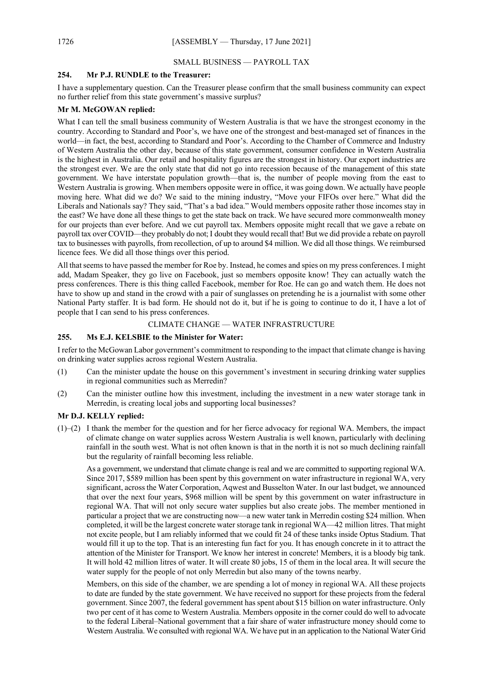#### SMALL BUSINESS — PAYROLL TAX

#### **254. Mr P.J. RUNDLE to the Treasurer:**

I have a supplementary question. Can the Treasurer please confirm that the small business community can expect no further relief from this state government's massive surplus?

#### **Mr M. McGOWAN replied:**

What I can tell the small business community of Western Australia is that we have the strongest economy in the country. According to Standard and Poor's, we have one of the strongest and best-managed set of finances in the world—in fact, the best, according to Standard and Poor's. According to the Chamber of Commerce and Industry of Western Australia the other day, because of this state government, consumer confidence in Western Australia is the highest in Australia. Our retail and hospitality figures are the strongest in history. Our export industries are the strongest ever. We are the only state that did not go into recession because of the management of this state government. We have interstate population growth—that is, the number of people moving from the east to Western Australia is growing. When members opposite were in office, it was going down. We actually have people moving here. What did we do? We said to the mining industry, "Move your FIFOs over here." What did the Liberals and Nationals say? They said, "That's a bad idea." Would members opposite rather those incomes stay in the east? We have done all these things to get the state back on track. We have secured more commonwealth money for our projects than ever before. And we cut payroll tax. Members opposite might recall that we gave a rebate on payroll tax over COVID—they probably do not; I doubt they would recall that! But we did provide a rebate on payroll tax to businesses with payrolls, from recollection, of up to around \$4 million. We did all those things. We reimbursed licence fees. We did all those things over this period.

All that seems to have passed the member for Roe by. Instead, he comes and spies on my press conferences. I might add, Madam Speaker, they go live on Facebook, just so members opposite know! They can actually watch the press conferences. There is this thing called Facebook, member for Roe. He can go and watch them. He does not have to show up and stand in the crowd with a pair of sunglasses on pretending he is a journalist with some other National Party staffer. It is bad form. He should not do it, but if he is going to continue to do it, I have a lot of people that I can send to his press conferences.

#### CLIMATE CHANGE — WATER INFRASTRUCTURE

#### **255. Ms E.J. KELSBIE to the Minister for Water:**

I refer to the McGowan Labor government's commitment to responding to the impact that climate change is having on drinking water supplies across regional Western Australia.

- (1) Can the minister update the house on this government's investment in securing drinking water supplies in regional communities such as Merredin?
- (2) Can the minister outline how this investment, including the investment in a new water storage tank in Merredin, is creating local jobs and supporting local businesses?

#### **Mr D.J. KELLY replied:**

(1)–(2) I thank the member for the question and for her fierce advocacy for regional WA. Members, the impact of climate change on water supplies across Western Australia is well known, particularly with declining rainfall in the south west. What is not often known is that in the north it is not so much declining rainfall but the regularity of rainfall becoming less reliable.

As a government, we understand that climate change is real and we are committed to supporting regional WA. Since 2017, \$589 million has been spent by this government on water infrastructure in regional WA, very significant, across the Water Corporation, Aqwest and Busselton Water. In our last budget, we announced that over the next four years, \$968 million will be spent by this government on water infrastructure in regional WA. That will not only secure water supplies but also create jobs. The member mentioned in particular a project that we are constructing now—a new water tank in Merredin costing \$24 million. When completed, it will be the largest concrete water storage tank in regional WA—42 million litres. That might not excite people, but I am reliably informed that we could fit 24 of these tanks inside Optus Stadium. That would fill it up to the top. That is an interesting fun fact for you. It has enough concrete in it to attract the attention of the Minister for Transport. We know her interest in concrete! Members, it is a bloody big tank. It will hold 42 million litres of water. It will create 80 jobs, 15 of them in the local area. It will secure the water supply for the people of not only Merredin but also many of the towns nearby.

Members, on this side of the chamber, we are spending a lot of money in regional WA. All these projects to date are funded by the state government. We have received no support for these projects from the federal government. Since 2007, the federal government has spent about \$15 billion on water infrastructure. Only two per cent of it has come to Western Australia. Members opposite in the corner could do well to advocate to the federal Liberal–National government that a fair share of water infrastructure money should come to Western Australia. We consulted with regional WA. We have put in an application to the National Water Grid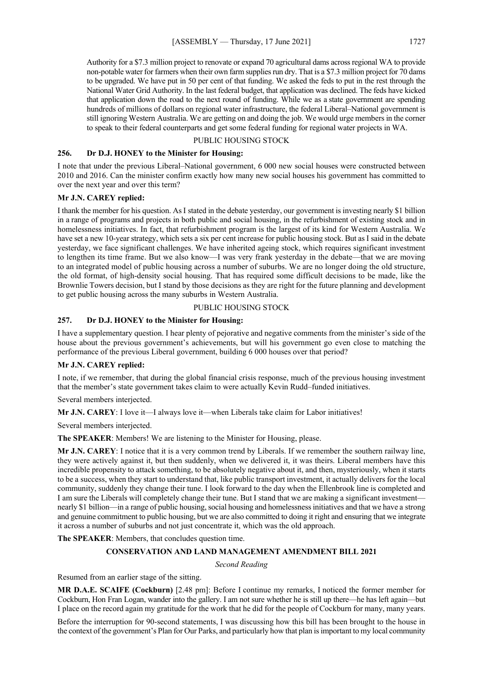Authority for a \$7.3 million project to renovate or expand 70 agricultural dams across regional WA to provide non-potable water for farmers when their own farm supplies run dry. That is a \$7.3 million project for 70 dams to be upgraded. We have put in 50 per cent of that funding. We asked the feds to put in the rest through the National Water Grid Authority. In the last federal budget, that application was declined. The feds have kicked that application down the road to the next round of funding. While we as a state government are spending hundreds of millions of dollars on regional water infrastructure, the federal Liberal–National government is still ignoring Western Australia. We are getting on and doing the job. We would urge members in the corner to speak to their federal counterparts and get some federal funding for regional water projects in WA.

#### PUBLIC HOUSING STOCK

#### **256. Dr D.J. HONEY to the Minister for Housing:**

I note that under the previous Liberal–National government, 6 000 new social houses were constructed between 2010 and 2016. Can the minister confirm exactly how many new social houses his government has committed to over the next year and over this term?

#### **Mr J.N. CAREY replied:**

I thank the member for his question. As I stated in the debate yesterday, our government is investing nearly \$1 billion in a range of programs and projects in both public and social housing, in the refurbishment of existing stock and in homelessness initiatives. In fact, that refurbishment program is the largest of its kind for Western Australia. We have set a new 10-year strategy, which sets a six per cent increase for public housing stock. But as I said in the debate yesterday, we face significant challenges. We have inherited ageing stock, which requires significant investment to lengthen its time frame. But we also know—I was very frank yesterday in the debate—that we are moving to an integrated model of public housing across a number of suburbs. We are no longer doing the old structure, the old format, of high-density social housing. That has required some difficult decisions to be made, like the Brownlie Towers decision, but I stand by those decisions as they are right for the future planning and development to get public housing across the many suburbs in Western Australia.

#### PUBLIC HOUSING STOCK

#### **257. Dr D.J. HONEY to the Minister for Housing:**

I have a supplementary question. I hear plenty of pejorative and negative comments from the minister's side of the house about the previous government's achievements, but will his government go even close to matching the performance of the previous Liberal government, building 6 000 houses over that period?

#### **Mr J.N. CAREY replied:**

I note, if we remember, that during the global financial crisis response, much of the previous housing investment that the member's state government takes claim to were actually Kevin Rudd–funded initiatives.

Several members interjected.

**Mr J.N. CAREY**: I love it—I always love it—when Liberals take claim for Labor initiatives!

Several members interjected.

**The SPEAKER**: Members! We are listening to the Minister for Housing, please.

**Mr J.N. CAREY**: I notice that it is a very common trend by Liberals. If we remember the southern railway line, they were actively against it, but then suddenly, when we delivered it, it was theirs. Liberal members have this incredible propensity to attack something, to be absolutely negative about it, and then, mysteriously, when it starts to be a success, when they start to understand that, like public transport investment, it actually delivers for the local community, suddenly they change their tune. I look forward to the day when the Ellenbrook line is completed and I am sure the Liberals will completely change their tune. But I stand that we are making a significant investment nearly \$1 billion—in a range of public housing, social housing and homelessness initiatives and that we have a strong and genuine commitment to public housing, but we are also committed to doing it right and ensuring that we integrate it across a number of suburbs and not just concentrate it, which was the old approach.

**The SPEAKER**: Members, that concludes question time.

#### **CONSERVATION AND LAND MANAGEMENT AMENDMENT BILL 2021**

*Second Reading*

Resumed from an earlier stage of the sitting.

**MR D.A.E. SCAIFE (Cockburn)** [2.48 pm]: Before I continue my remarks, I noticed the former member for Cockburn, Hon Fran Logan, wander into the gallery. I am not sure whether he is still up there—he has left again—but I place on the record again my gratitude for the work that he did for the people of Cockburn for many, many years.

Before the interruption for 90-second statements, I was discussing how this bill has been brought to the house in the context of the government's Plan for Our Parks, and particularly how that plan is important to my local community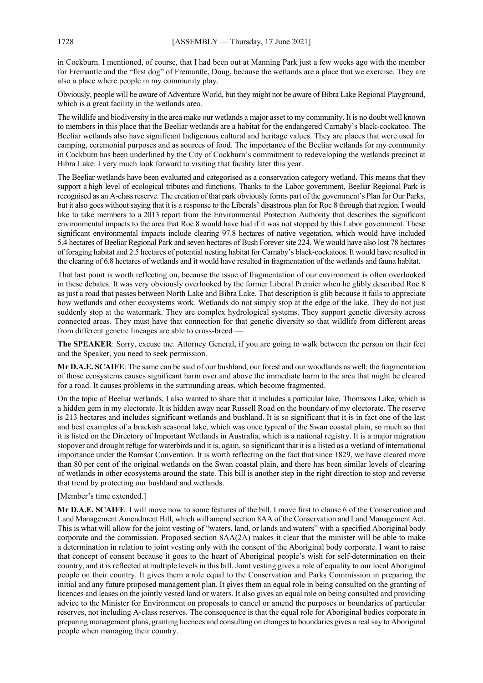in Cockburn. I mentioned, of course, that I had been out at Manning Park just a few weeks ago with the member for Fremantle and the "first dog" of Fremantle, Doug, because the wetlands are a place that we exercise. They are also a place where people in my community play.

Obviously, people will be aware of Adventure World, but they might not be aware of Bibra Lake Regional Playground, which is a great facility in the wetlands area.

The wildlife and biodiversity in the area make our wetlands a major asset to my community. It is no doubt well known to members in this place that the Beeliar wetlands are a habitat for the endangered Carnaby's black-cockatoo. The Beeliar wetlands also have significant Indigenous cultural and heritage values. They are places that were used for camping, ceremonial purposes and as sources of food. The importance of the Beeliar wetlands for my community in Cockburn has been underlined by the City of Cockburn's commitment to redeveloping the wetlands precinct at Bibra Lake. I very much look forward to visiting that facility later this year.

The Beeliar wetlands have been evaluated and categorised as a conservation category wetland. This means that they support a high level of ecological tributes and functions. Thanks to the Labor government, Beeliar Regional Park is recognised as an A-class reserve. The creation of that park obviously forms part of the government's Plan for Our Parks, but it also goes without saying that it is a response to the Liberals' disastrous plan for Roe 8 through that region. I would like to take members to a 2013 report from the Environmental Protection Authority that describes the significant environmental impacts to the area that Roe 8 would have had if it was not stopped by this Labor government. These significant environmental impacts include clearing 97.8 hectares of native vegetation, which would have included 5.4 hectares of Beeliar Regional Park and seven hectares of Bush Forever site 224. We would have also lost 78 hectares of foraging habitat and 2.5 hectares of potential nesting habitat for Carnaby's black-cockatoos. It would have resulted in the clearing of 6.8 hectares of wetlands and it would have resulted in fragmentation of the wetlands and fauna habitat.

That last point is worth reflecting on, because the issue of fragmentation of our environment is often overlooked in these debates. It was very obviously overlooked by the former Liberal Premier when he glibly described Roe 8 as just a road that passes between North Lake and Bibra Lake. That description is glib because it fails to appreciate how wetlands and other ecosystems work. Wetlands do not simply stop at the edge of the lake. They do not just suddenly stop at the watermark. They are complex hydrological systems. They support genetic diversity across connected areas. They must have that connection for that genetic diversity so that wildlife from different areas from different genetic lineages are able to cross-breed —

**The SPEAKER**: Sorry, excuse me. Attorney General, if you are going to walk between the person on their feet and the Speaker, you need to seek permission.

**Mr D.A.E. SCAIFE**: The same can be said of our bushland, our forest and our woodlands as well; the fragmentation of those ecosystems causes significant harm over and above the immediate harm to the area that might be cleared for a road. It causes problems in the surrounding areas, which become fragmented.

On the topic of Beeliar wetlands, I also wanted to share that it includes a particular lake, Thomsons Lake, which is a hidden gem in my electorate. It is hidden away near Russell Road on the boundary of my electorate. The reserve is 213 hectares and includes significant wetlands and bushland. It is so significant that it is in fact one of the last and best examples of a brackish seasonal lake, which was once typical of the Swan coastal plain, so much so that it is listed on the Directory of Important Wetlands in Australia, which is a national registry. It is a major migration stopover and drought refuge for waterbirds and it is, again, so significant that it is a listed as a wetland of international importance under the Ramsar Convention. It is worth reflecting on the fact that since 1829, we have cleared more than 80 per cent of the original wetlands on the Swan coastal plain, and there has been similar levels of clearing of wetlands in other ecosystems around the state. This bill is another step in the right direction to stop and reverse that trend by protecting our bushland and wetlands.

[Member's time extended.]

**Mr D.A.E. SCAIFE**: I will move now to some features of the bill. I move first to clause 6 of the Conservation and Land Management Amendment Bill, which will amend section 8AA of the Conservation and Land Management Act. This is what will allow for the joint vesting of "waters, land, or lands and waters" with a specified Aboriginal body corporate and the commission. Proposed section 8AA(2A) makes it clear that the minister will be able to make a determination in relation to joint vesting only with the consent of the Aboriginal body corporate. I want to raise that concept of consent because it goes to the heart of Aboriginal people's wish for self-determination on their country, and it is reflected at multiple levels in this bill. Joint vesting gives a role of equality to our local Aboriginal people on their country. It gives them a role equal to the Conservation and Parks Commission in preparing the initial and any future proposed management plan. It gives them an equal role in being consulted on the granting of licences and leases on the jointly vested land or waters. It also gives an equal role on being consulted and providing advice to the Minister for Environment on proposals to cancel or amend the purposes or boundaries of particular reserves, not including A-class reserves. The consequence is that the equal role for Aboriginal bodies corporate in preparing management plans, granting licences and consulting on changes to boundaries gives a real say to Aboriginal people when managing their country.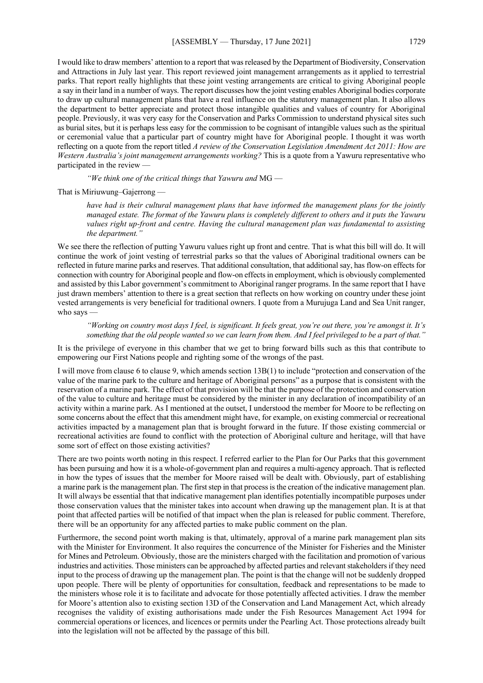I would like to draw members' attention to a report that was released by the Department of Biodiversity, Conservation and Attractions in July last year. This report reviewed joint management arrangements as it applied to terrestrial parks. That report really highlights that these joint vesting arrangements are critical to giving Aboriginal people a say in their land in a number of ways. The report discusses how the joint vesting enables Aboriginal bodies corporate to draw up cultural management plans that have a real influence on the statutory management plan. It also allows the department to better appreciate and protect those intangible qualities and values of country for Aboriginal people. Previously, it was very easy for the Conservation and Parks Commission to understand physical sites such as burial sites, but it is perhaps less easy for the commission to be cognisant of intangible values such as the spiritual or ceremonial value that a particular part of country might have for Aboriginal people. I thought it was worth reflecting on a quote from the report titled *A review of the Conservation Legislation Amendment Act 2011: How are Western Australia's joint management arrangements working?* This is a quote from a Yawuru representative who participated in the review —

*"We think one of the critical things that Yawuru and* MG —

That is Miriuwung–Gajerrong —

*have had is their cultural management plans that have informed the management plans for the jointly managed estate. The format of the Yawuru plans is completely different to others and it puts the Yawuru values right up-front and centre. Having the cultural management plan was fundamental to assisting the department."*

We see there the reflection of putting Yawuru values right up front and centre. That is what this bill will do. It will continue the work of joint vesting of terrestrial parks so that the values of Aboriginal traditional owners can be reflected in future marine parks and reserves. That additional consultation, that additional say, has flow-on effects for connection with country for Aboriginal people and flow-on effects in employment, which is obviously complemented and assisted by this Labor government's commitment to Aboriginal ranger programs. In the same report that I have just drawn members' attention to there is a great section that reflects on how working on country under these joint vested arrangements is very beneficial for traditional owners. I quote from a Murujuga Land and Sea Unit ranger, who says

*"Working on country most days I feel, is significant. It feels great, you're out there, you're amongst it. It's something that the old people wanted so we can learn from them. And I feel privileged to be a part of that."*

It is the privilege of everyone in this chamber that we get to bring forward bills such as this that contribute to empowering our First Nations people and righting some of the wrongs of the past.

I will move from clause 6 to clause 9, which amends section 13B(1) to include "protection and conservation of the value of the marine park to the culture and heritage of Aboriginal persons" as a purpose that is consistent with the reservation of a marine park. The effect of that provision will be that the purpose of the protection and conservation of the value to culture and heritage must be considered by the minister in any declaration of incompatibility of an activity within a marine park. As I mentioned at the outset, I understood the member for Moore to be reflecting on some concerns about the effect that this amendment might have, for example, on existing commercial or recreational activities impacted by a management plan that is brought forward in the future. If those existing commercial or recreational activities are found to conflict with the protection of Aboriginal culture and heritage, will that have some sort of effect on those existing activities?

There are two points worth noting in this respect. I referred earlier to the Plan for Our Parks that this government has been pursuing and how it is a whole-of-government plan and requires a multi-agency approach. That is reflected in how the types of issues that the member for Moore raised will be dealt with. Obviously, part of establishing a marine park is the management plan. The first step in that process is the creation of the indicative management plan. It will always be essential that that indicative management plan identifies potentially incompatible purposes under those conservation values that the minister takes into account when drawing up the management plan. It is at that point that affected parties will be notified of that impact when the plan is released for public comment. Therefore, there will be an opportunity for any affected parties to make public comment on the plan.

Furthermore, the second point worth making is that, ultimately, approval of a marine park management plan sits with the Minister for Environment. It also requires the concurrence of the Minister for Fisheries and the Minister for Mines and Petroleum. Obviously, those are the ministers charged with the facilitation and promotion of various industries and activities. Those ministers can be approached by affected parties and relevant stakeholders if they need input to the process of drawing up the management plan. The point is that the change will not be suddenly dropped upon people. There will be plenty of opportunities for consultation, feedback and representations to be made to the ministers whose role it is to facilitate and advocate for those potentially affected activities. I draw the member for Moore's attention also to existing section 13D of the Conservation and Land Management Act, which already recognises the validity of existing authorisations made under the Fish Resources Management Act 1994 for commercial operations or licences, and licences or permits under the Pearling Act. Those protections already built into the legislation will not be affected by the passage of this bill.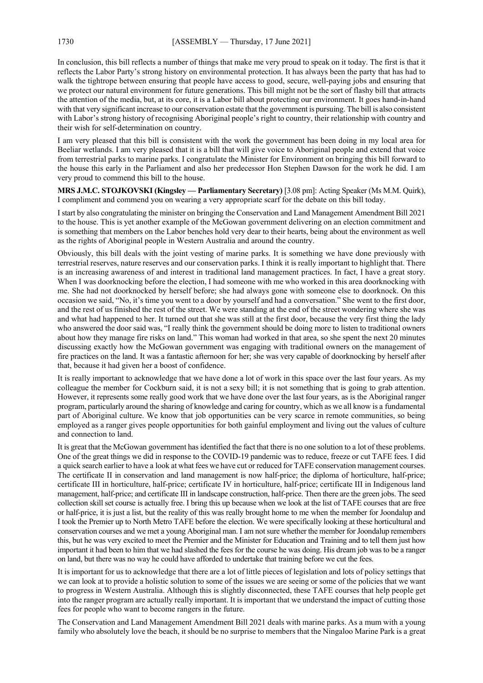In conclusion, this bill reflects a number of things that make me very proud to speak on it today. The first is that it reflects the Labor Party's strong history on environmental protection. It has always been the party that has had to walk the tightrope between ensuring that people have access to good, secure, well-paying jobs and ensuring that we protect our natural environment for future generations. This bill might not be the sort of flashy bill that attracts the attention of the media, but, at its core, it is a Labor bill about protecting our environment. It goes hand-in-hand with that very significant increase to our conservation estate that the government is pursuing. The bill is also consistent with Labor's strong history of recognising Aboriginal people's right to country, their relationship with country and their wish for self-determination on country.

I am very pleased that this bill is consistent with the work the government has been doing in my local area for Beeliar wetlands. I am very pleased that it is a bill that will give voice to Aboriginal people and extend that voice from terrestrial parks to marine parks. I congratulate the Minister for Environment on bringing this bill forward to the house this early in the Parliament and also her predecessor Hon Stephen Dawson for the work he did. I am very proud to commend this bill to the house.

**MRS J.M.C. STOJKOVSKI (Kingsley — Parliamentary Secretary)** [3.08 pm]: Acting Speaker (Ms M.M. Quirk), I compliment and commend you on wearing a very appropriate scarf for the debate on this bill today.

I start by also congratulating the minister on bringing the Conservation and Land Management Amendment Bill 2021 to the house. This is yet another example of the McGowan government delivering on an election commitment and is something that members on the Labor benches hold very dear to their hearts, being about the environment as well as the rights of Aboriginal people in Western Australia and around the country.

Obviously, this bill deals with the joint vesting of marine parks. It is something we have done previously with terrestrial reserves, nature reserves and our conservation parks. I think it is really important to highlight that. There is an increasing awareness of and interest in traditional land management practices. In fact, I have a great story. When I was doorknocking before the election, I had someone with me who worked in this area doorknocking with me. She had not doorknocked by herself before; she had always gone with someone else to doorknock. On this occasion we said, "No, it's time you went to a door by yourself and had a conversation." She went to the first door, and the rest of us finished the rest of the street. We were standing at the end of the street wondering where she was and what had happened to her. It turned out that she was still at the first door, because the very first thing the lady who answered the door said was, "I really think the government should be doing more to listen to traditional owners about how they manage fire risks on land." This woman had worked in that area, so she spent the next 20 minutes discussing exactly how the McGowan government was engaging with traditional owners on the management of fire practices on the land. It was a fantastic afternoon for her; she was very capable of doorknocking by herself after that, because it had given her a boost of confidence.

It is really important to acknowledge that we have done a lot of work in this space over the last four years. As my colleague the member for Cockburn said, it is not a sexy bill; it is not something that is going to grab attention. However, it represents some really good work that we have done over the last four years, as is the Aboriginal ranger program, particularly around the sharing of knowledge and caring for country, which as we all know is a fundamental part of Aboriginal culture. We know that job opportunities can be very scarce in remote communities, so being employed as a ranger gives people opportunities for both gainful employment and living out the values of culture and connection to land.

It is great that the McGowan government has identified the fact that there is no one solution to a lot of these problems. One of the great things we did in response to the COVID-19 pandemic was to reduce, freeze or cut TAFE fees. I did a quick search earlier to have a look at what fees we have cut or reduced for TAFE conservation management courses. The certificate II in conservation and land management is now half-price; the diploma of horticulture, half-price; certificate III in horticulture, half-price; certificate IV in horticulture, half-price; certificate III in Indigenous land management, half-price; and certificate III in landscape construction, half-price. Then there are the green jobs. The seed collection skill set course is actually free. I bring this up because when we look at the list of TAFE courses that are free or half-price, it is just a list, but the reality of this was really brought home to me when the member for Joondalup and I took the Premier up to North Metro TAFE before the election. We were specifically looking at these horticultural and conservation courses and we met a young Aboriginal man. I am not sure whether the member for Joondalup remembers this, but he was very excited to meet the Premier and the Minister for Education and Training and to tell them just how important it had been to him that we had slashed the fees for the course he was doing. His dream job was to be a ranger on land, but there was no way he could have afforded to undertake that training before we cut the fees.

It is important for us to acknowledge that there are a lot of little pieces of legislation and lots of policy settings that we can look at to provide a holistic solution to some of the issues we are seeing or some of the policies that we want to progress in Western Australia. Although this is slightly disconnected, these TAFE courses that help people get into the ranger program are actually really important. It is important that we understand the impact of cutting those fees for people who want to become rangers in the future.

The Conservation and Land Management Amendment Bill 2021 deals with marine parks. As a mum with a young family who absolutely love the beach, it should be no surprise to members that the Ningaloo Marine Park is a great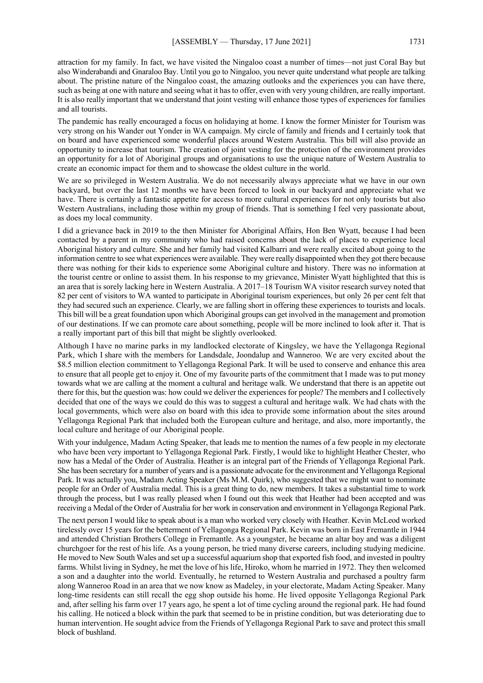attraction for my family. In fact, we have visited the Ningaloo coast a number of times—not just Coral Bay but also Winderabandi and Gnaraloo Bay. Until you go to Ningaloo, you never quite understand what people are talking about. The pristine nature of the Ningaloo coast, the amazing outlooks and the experiences you can have there, such as being at one with nature and seeing what it has to offer, even with very young children, are really important. It is also really important that we understand that joint vesting will enhance those types of experiences for families and all tourists.

The pandemic has really encouraged a focus on holidaying at home. I know the former Minister for Tourism was very strong on his Wander out Yonder in WA campaign. My circle of family and friends and I certainly took that on board and have experienced some wonderful places around Western Australia. This bill will also provide an opportunity to increase that tourism. The creation of joint vesting for the protection of the environment provides an opportunity for a lot of Aboriginal groups and organisations to use the unique nature of Western Australia to create an economic impact for them and to showcase the oldest culture in the world.

We are so privileged in Western Australia. We do not necessarily always appreciate what we have in our own backyard, but over the last 12 months we have been forced to look in our backyard and appreciate what we have. There is certainly a fantastic appetite for access to more cultural experiences for not only tourists but also Western Australians, including those within my group of friends. That is something I feel very passionate about, as does my local community.

I did a grievance back in 2019 to the then Minister for Aboriginal Affairs, Hon Ben Wyatt, because I had been contacted by a parent in my community who had raised concerns about the lack of places to experience local Aboriginal history and culture. She and her family had visited Kalbarri and were really excited about going to the information centre to see what experiences were available. They were really disappointed when they got there because there was nothing for their kids to experience some Aboriginal culture and history. There was no information at the tourist centre or online to assist them. In his response to my grievance, Minister Wyatt highlighted that this is an area that is sorely lacking here in Western Australia. A 2017–18 Tourism WA visitor research survey noted that 82 per cent of visitors to WA wanted to participate in Aboriginal tourism experiences, but only 26 per cent felt that they had secured such an experience. Clearly, we are falling short in offering these experiences to tourists and locals. This bill will be a great foundation upon which Aboriginal groups can get involved in the management and promotion of our destinations. If we can promote care about something, people will be more inclined to look after it. That is a really important part of this bill that might be slightly overlooked.

Although I have no marine parks in my landlocked electorate of Kingsley, we have the Yellagonga Regional Park, which I share with the members for Landsdale, Joondalup and Wanneroo. We are very excited about the \$8.5 million election commitment to Yellagonga Regional Park. It will be used to conserve and enhance this area to ensure that all people get to enjoy it. One of my favourite parts of the commitment that I made was to put money towards what we are calling at the moment a cultural and heritage walk. We understand that there is an appetite out there for this, but the question was: how could we deliver the experiences for people? The members and I collectively decided that one of the ways we could do this was to suggest a cultural and heritage walk. We had chats with the local governments, which were also on board with this idea to provide some information about the sites around Yellagonga Regional Park that included both the European culture and heritage, and also, more importantly, the local culture and heritage of our Aboriginal people.

With your indulgence, Madam Acting Speaker, that leads me to mention the names of a few people in my electorate who have been very important to Yellagonga Regional Park. Firstly, I would like to highlight Heather Chester, who now has a Medal of the Order of Australia. Heather is an integral part of the Friends of Yellagonga Regional Park. She has been secretary for a number of years and is a passionate advocate for the environment and Yellagonga Regional Park. It was actually you, Madam Acting Speaker (Ms M.M. Quirk), who suggested that we might want to nominate people for an Order of Australia medal. This is a great thing to do, new members. It takes a substantial time to work through the process, but I was really pleased when I found out this week that Heather had been accepted and was receiving a Medal of the Order of Australia for her work in conservation and environment in Yellagonga Regional Park.

The next person I would like to speak about is a man who worked very closely with Heather. Kevin McLeod worked tirelessly over 15 years for the betterment of Yellagonga Regional Park. Kevin was born in East Fremantle in 1944 and attended Christian Brothers College in Fremantle. As a youngster, he became an altar boy and was a diligent churchgoer for the rest of his life. As a young person, he tried many diverse careers, including studying medicine. He moved to New South Wales and set up a successful aquarium shop that exported fish food, and invested in poultry farms. Whilst living in Sydney, he met the love of his life, Hiroko, whom he married in 1972. They then welcomed a son and a daughter into the world. Eventually, he returned to Western Australia and purchased a poultry farm along Wanneroo Road in an area that we now know as Madeley, in your electorate, Madam Acting Speaker. Many long-time residents can still recall the egg shop outside his home. He lived opposite Yellagonga Regional Park and, after selling his farm over 17 years ago, he spent a lot of time cycling around the regional park. He had found his calling. He noticed a block within the park that seemed to be in pristine condition, but was deteriorating due to human intervention. He sought advice from the Friends of Yellagonga Regional Park to save and protect this small block of bushland.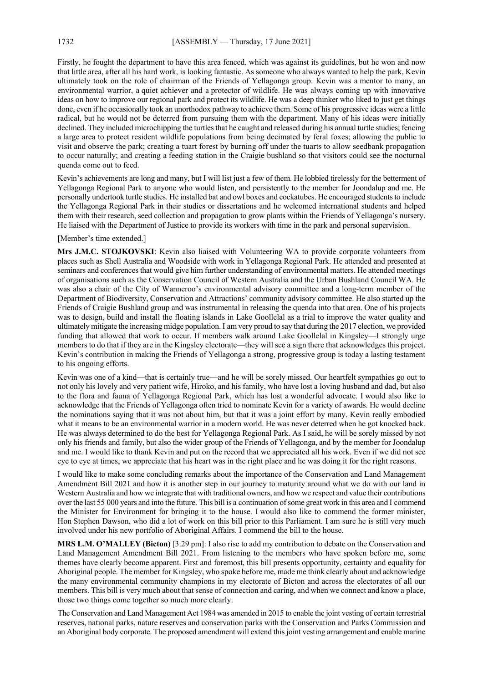Firstly, he fought the department to have this area fenced, which was against its guidelines, but he won and now that little area, after all his hard work, is looking fantastic. As someone who always wanted to help the park, Kevin ultimately took on the role of chairman of the Friends of Yellagonga group. Kevin was a mentor to many, an environmental warrior, a quiet achiever and a protector of wildlife. He was always coming up with innovative ideas on how to improve our regional park and protect its wildlife. He was a deep thinker who liked to just get things done, even if he occasionally took an unorthodox pathway to achieve them. Some of his progressive ideas were a little radical, but he would not be deterred from pursuing them with the department. Many of his ideas were initially declined. They included microchipping the turtles that he caught and released during his annual turtle studies; fencing a large area to protect resident wildlife populations from being decimated by feral foxes; allowing the public to visit and observe the park; creating a tuart forest by burning off under the tuarts to allow seedbank propagation to occur naturally; and creating a feeding station in the Craigie bushland so that visitors could see the nocturnal quenda come out to feed.

Kevin's achievements are long and many, but I will list just a few of them. He lobbied tirelessly for the betterment of Yellagonga Regional Park to anyone who would listen, and persistently to the member for Joondalup and me. He personally undertook turtle studies. He installed bat and owl boxes and cockatubes. He encouraged students to include the Yellagonga Regional Park in their studies or dissertations and he welcomed international students and helped them with their research, seed collection and propagation to grow plants within the Friends of Yellagonga's nursery. He liaised with the Department of Justice to provide its workers with time in the park and personal supervision.

#### [Member's time extended.]

**Mrs J.M.C. STOJKOVSKI**: Kevin also liaised with Volunteering WA to provide corporate volunteers from places such as Shell Australia and Woodside with work in Yellagonga Regional Park. He attended and presented at seminars and conferences that would give him further understanding of environmental matters. He attended meetings of organisations such as the Conservation Council of Western Australia and the Urban Bushland Council WA. He was also a chair of the City of Wanneroo's environmental advisory committee and a long-term member of the Department of Biodiversity, Conservation and Attractions' community advisory committee. He also started up the Friends of Craigie Bushland group and was instrumental in releasing the quenda into that area. One of his projects was to design, build and install the floating islands in Lake Goollelal as a trial to improve the water quality and ultimately mitigate the increasing midge population. I am very proud to say that during the 2017 election, we provided funding that allowed that work to occur. If members walk around Lake Goollelal in Kingsley—I strongly urge members to do that if they are in the Kingsley electorate—they will see a sign there that acknowledges this project. Kevin's contribution in making the Friends of Yellagonga a strong, progressive group is today a lasting testament to his ongoing efforts.

Kevin was one of a kind—that is certainly true—and he will be sorely missed. Our heartfelt sympathies go out to not only his lovely and very patient wife, Hiroko, and his family, who have lost a loving husband and dad, but also to the flora and fauna of Yellagonga Regional Park, which has lost a wonderful advocate. I would also like to acknowledge that the Friends of Yellagonga often tried to nominate Kevin for a variety of awards. He would decline the nominations saying that it was not about him, but that it was a joint effort by many. Kevin really embodied what it means to be an environmental warrior in a modern world. He was never deterred when he got knocked back. He was always determined to do the best for Yellagonga Regional Park. As I said, he will be sorely missed by not only his friends and family, but also the wider group of the Friends of Yellagonga, and by the member for Joondalup and me. I would like to thank Kevin and put on the record that we appreciated all his work. Even if we did not see eye to eye at times, we appreciate that his heart was in the right place and he was doing it for the right reasons.

I would like to make some concluding remarks about the importance of the Conservation and Land Management Amendment Bill 2021 and how it is another step in our journey to maturity around what we do with our land in Western Australia and how we integrate that with traditional owners, and how we respect and value their contributions over the last 55 000 years and into the future. This bill is a continuation of some great work in this area and I commend the Minister for Environment for bringing it to the house. I would also like to commend the former minister, Hon Stephen Dawson, who did a lot of work on this bill prior to this Parliament. I am sure he is still very much involved under his new portfolio of Aboriginal Affairs. I commend the bill to the house.

**MRS L.M. O'MALLEY (Bicton)** [3.29 pm]: I also rise to add my contribution to debate on the Conservation and Land Management Amendment Bill 2021. From listening to the members who have spoken before me, some themes have clearly become apparent. First and foremost, this bill presents opportunity, certainty and equality for Aboriginal people. The member for Kingsley, who spoke before me, made me think clearly about and acknowledge the many environmental community champions in my electorate of Bicton and across the electorates of all our members. This bill is very much about that sense of connection and caring, and when we connect and know a place, those two things come together so much more clearly.

The Conservation and Land Management Act 1984 was amended in 2015 to enable the joint vesting of certain terrestrial reserves, national parks, nature reserves and conservation parks with the Conservation and Parks Commission and an Aboriginal body corporate. The proposed amendment will extend this joint vesting arrangement and enable marine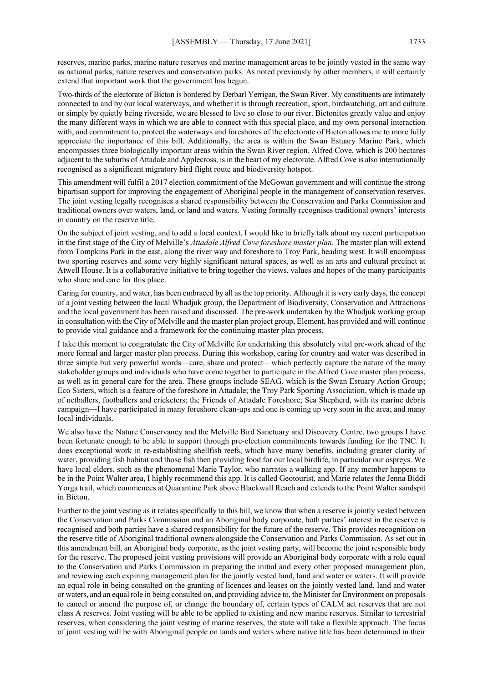reserves, marine parks, marine nature reserves and marine management areas to be jointly vested in the same way as national parks, nature reserves and conservation parks. As noted previously by other members, it will certainly extend that important work that the government has begun.

Two-thirds of the electorate of Bicton is bordered by Derbarl Yerrigan, the Swan River. My constituents are intimately connected to and by our local waterways, and whether it is through recreation, sport, birdwatching, art and culture or simply by quietly being riverside, we are blessed to live so close to our river. Bictonites greatly value and enjoy the many different ways in which we are able to connect with this special place, and my own personal interaction with, and commitment to, protect the waterways and foreshores of the electorate of Bicton allows me to more fully appreciate the importance of this bill. Additionally, the area is within the Swan Estuary Marine Park, which encompasses three biologically important areas within the Swan River region. Alfred Cove, which is 200 hectares adjacent to the suburbs of Attadale and Applecross, is in the heart of my electorate. Alfred Cove is also internationally recognised as a significant migratory bird flight route and biodiversity hotspot.

This amendment will fulfil a 2017 election commitment of the McGowan government and will continue the strong bipartisan support for improving the engagement of Aboriginal people in the management of conservation reserves. The joint vesting legally recognises a shared responsibility between the Conservation and Parks Commission and traditional owners over waters, land, or land and waters. Vesting formally recognises traditional owners' interests in country on the reserve title.

On the subject of joint vesting, and to add a local context, I would like to briefly talk about my recent participation in the first stage of the City of Melville's *Attadale Alfred Cove foreshore master plan*. The master plan will extend from Tompkins Park in the east, along the river way and foreshore to Troy Park, heading west. It will encompass two sporting reserves and some very highly significant natural spaces, as well as an arts and cultural precinct at Atwell House. It is a collaborative initiative to bring together the views, values and hopes of the many participants who share and care for this place.

Caring for country, and water, has been embraced by all as the top priority. Although it is very early days, the concept of a joint vesting between the local Whadjuk group, the Department of Biodiversity, Conservation and Attractions and the local government has been raised and discussed. The pre-work undertaken by the Whadjuk working group in consultation with the City of Melville and the master plan project group, Element, has provided and will continue to provide vital guidance and a framework for the continuing master plan process.

I take this moment to congratulate the City of Melville for undertaking this absolutely vital pre-work ahead of the more formal and larger master plan process. During this workshop, caring for country and water was described in three simple but very powerful words—care, share and protect—which perfectly capture the nature of the many stakeholder groups and individuals who have come together to participate in the Alfred Cove master plan process, as well as in general care for the area. These groups include SEAG, which is the Swan Estuary Action Group; Eco Sisters, which is a feature of the foreshore in Attadale; the Troy Park Sporting Association, which is made up of netballers, footballers and cricketers; the Friends of Attadale Foreshore; Sea Shepherd, with its marine debris campaign—I have participated in many foreshore clean-ups and one is coming up very soon in the area; and many local individuals.

We also have the Nature Conservancy and the Melville Bird Sanctuary and Discovery Centre, two groups I have been fortunate enough to be able to support through pre-election commitments towards funding for the TNC. It does exceptional work in re-establishing shellfish reefs, which have many benefits, including greater clarity of water, providing fish habitat and those fish then providing food for our local birdlife, in particular our ospreys. We have local elders, such as the phenomenal Marie Taylor, who narrates a walking app. If any member happens to be in the Point Walter area, I highly recommend this app. It is called Geotourist, and Marie relates the Jenna Biddi Yorga trail, which commences at Quarantine Park above Blackwall Reach and extends to the Point Walter sandspit in Bicton.

Further to the joint vesting as it relates specifically to this bill, we know that when a reserve is jointly vested between the Conservation and Parks Commission and an Aboriginal body corporate, both parties' interest in the reserve is recognised and both parties have a shared responsibility for the future of the reserve. This provides recognition on the reserve title of Aboriginal traditional owners alongside the Conservation and Parks Commission. As set out in this amendment bill, an Aboriginal body corporate, as the joint vesting party, will become the joint responsible body for the reserve. The proposed joint vesting provisions will provide an Aboriginal body corporate with a role equal to the Conservation and Parks Commission in preparing the initial and every other proposed management plan, and reviewing each expiring management plan for the jointly vested land, land and water or waters. It will provide an equal role in being consulted on the granting of licences and leases on the jointly vested land, land and water or waters, and an equal role in being consulted on, and providing advice to, the Minister for Environment on proposals to cancel or amend the purpose of, or change the boundary of, certain types of CALM act reserves that are not class A reserves. Joint vesting will be able to be applied to existing and new marine reserves. Similar to terrestrial reserves, when considering the joint vesting of marine reserves, the state will take a flexible approach. The focus of joint vesting will be with Aboriginal people on lands and waters where native title has been determined in their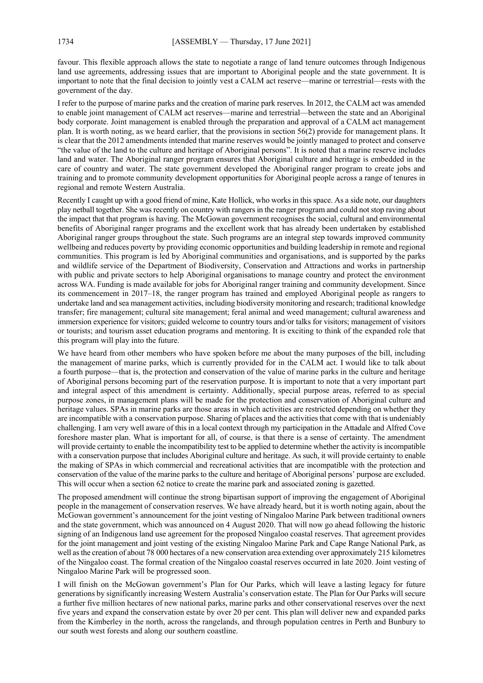favour. This flexible approach allows the state to negotiate a range of land tenure outcomes through Indigenous land use agreements, addressing issues that are important to Aboriginal people and the state government. It is important to note that the final decision to jointly vest a CALM act reserve—marine or terrestrial—rests with the government of the day.

I refer to the purpose of marine parks and the creation of marine park reserves. In 2012, the CALM act was amended to enable joint management of CALM act reserves—marine and terrestrial—between the state and an Aboriginal body corporate. Joint management is enabled through the preparation and approval of a CALM act management plan. It is worth noting, as we heard earlier, that the provisions in section 56(2) provide for management plans. It is clear that the 2012 amendments intended that marine reserves would be jointly managed to protect and conserve "the value of the land to the culture and heritage of Aboriginal persons". It is noted that a marine reserve includes land and water. The Aboriginal ranger program ensures that Aboriginal culture and heritage is embedded in the care of country and water. The state government developed the Aboriginal ranger program to create jobs and training and to promote community development opportunities for Aboriginal people across a range of tenures in regional and remote Western Australia.

Recently I caught up with a good friend of mine, Kate Hollick, who works in this space. As a side note, our daughters play netball together. She was recently on country with rangers in the ranger program and could not stop raving about the impact that that program is having. The McGowan government recognises the social, cultural and environmental benefits of Aboriginal ranger programs and the excellent work that has already been undertaken by established Aboriginal ranger groups throughout the state. Such programs are an integral step towards improved community wellbeing and reduces poverty by providing economic opportunities and building leadership in remote and regional communities. This program is led by Aboriginal communities and organisations, and is supported by the parks and wildlife service of the Department of Biodiversity, Conservation and Attractions and works in partnership with public and private sectors to help Aboriginal organisations to manage country and protect the environment across WA. Funding is made available for jobs for Aboriginal ranger training and community development. Since its commencement in 2017–18, the ranger program has trained and employed Aboriginal people as rangers to undertake land and sea management activities, including biodiversity monitoring and research; traditional knowledge transfer; fire management; cultural site management; feral animal and weed management; cultural awareness and immersion experience for visitors; guided welcome to country tours and/or talks for visitors; management of visitors or tourists; and tourism asset education programs and mentoring. It is exciting to think of the expanded role that this program will play into the future.

We have heard from other members who have spoken before me about the many purposes of the bill, including the management of marine parks, which is currently provided for in the CALM act. I would like to talk about a fourth purpose—that is, the protection and conservation of the value of marine parks in the culture and heritage of Aboriginal persons becoming part of the reservation purpose. It is important to note that a very important part and integral aspect of this amendment is certainty. Additionally, special purpose areas, referred to as special purpose zones, in management plans will be made for the protection and conservation of Aboriginal culture and heritage values. SPAs in marine parks are those areas in which activities are restricted depending on whether they are incompatible with a conservation purpose. Sharing of places and the activities that come with that is undeniably challenging. I am very well aware of this in a local context through my participation in the Attadale and Alfred Cove foreshore master plan. What is important for all, of course, is that there is a sense of certainty. The amendment will provide certainty to enable the incompatibility test to be applied to determine whether the activity is incompatible with a conservation purpose that includes Aboriginal culture and heritage. As such, it will provide certainty to enable the making of SPAs in which commercial and recreational activities that are incompatible with the protection and conservation of the value of the marine parks to the culture and heritage of Aboriginal persons' purpose are excluded. This will occur when a section 62 notice to create the marine park and associated zoning is gazetted.

The proposed amendment will continue the strong bipartisan support of improving the engagement of Aboriginal people in the management of conservation reserves. We have already heard, but it is worth noting again, about the McGowan government's announcement for the joint vesting of Ningaloo Marine Park between traditional owners and the state government, which was announced on 4 August 2020. That will now go ahead following the historic signing of an Indigenous land use agreement for the proposed Ningaloo coastal reserves. That agreement provides for the joint management and joint vesting of the existing Ningaloo Marine Park and Cape Range National Park, as well as the creation of about 78 000 hectares of a new conservation area extending over approximately 215 kilometres of the Ningaloo coast. The formal creation of the Ningaloo coastal reserves occurred in late 2020. Joint vesting of Ningaloo Marine Park will be progressed soon.

I will finish on the McGowan government's Plan for Our Parks, which will leave a lasting legacy for future generations by significantly increasing Western Australia's conservation estate. The Plan for Our Parks will secure a further five million hectares of new national parks, marine parks and other conservational reserves over the next five years and expand the conservation estate by over 20 per cent. This plan will deliver new and expanded parks from the Kimberley in the north, across the rangelands, and through population centres in Perth and Bunbury to our south west forests and along our southern coastline.